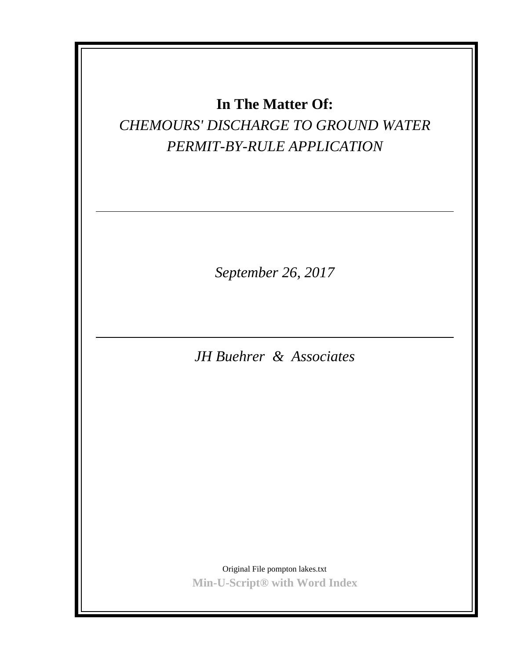## *CHEMOURS' DISCHARGE TO GROUND WATER PERMIT-BY-RULE APPLICATION*

*September 26, 2017*

*JH Buehrer & Associates*

Original File pompton lakes.txt **Min-U-Script® with Word Index**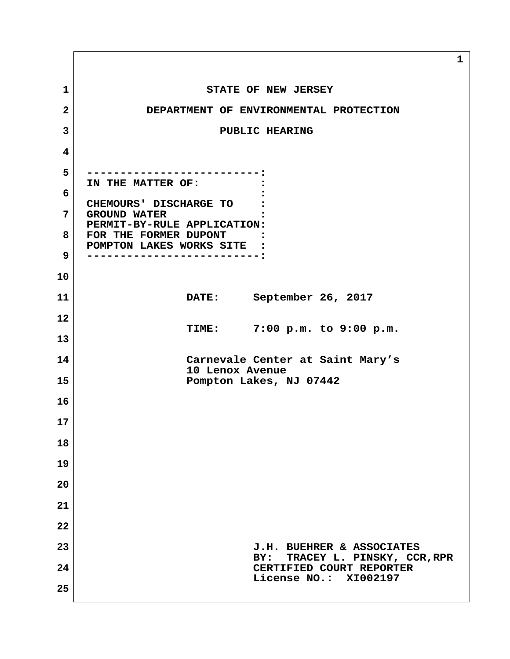**1** STATE OF NEW JERSEY  **2 DEPARTMENT OF ENVIRONMENTAL PROTECTION 3** PUBLIC HEARING  **4 5 --------------------------: IN THE MATTER OF: : 6 : CHEMOURS' DISCHARGE TO : 7 GROUND WATER : PERMIT-BY-RULE APPLICATION: 8 FOR THE FORMER DUPONT : POMPTON LAKES WORKS SITE : 9 --------------------------: 10 11 DATE: September 26, 2017 12 TIME: 7:00 p.m. to 9:00 p.m. 13 14 Carnevale Center at Saint Mary's 10 Lenox Avenue 15 Pompton Lakes, NJ 07442 16 17 18 19 20 21 22 23 J.H. BUEHRER & ASSOCIATES BY: TRACEY L. PINSKY, CCR,RPR 24 CERTIFIED COURT REPORTER License NO.: XI002197 25**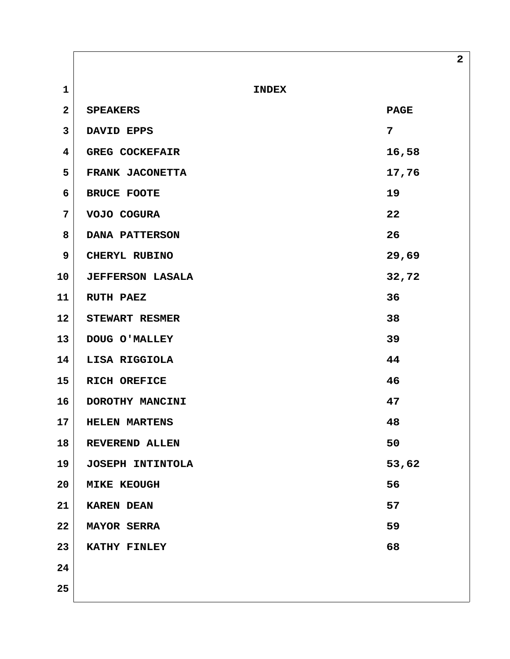**1** INDEX **2** SPEAKERS PAGE  **3 DAVID EPPS 7** 4 GREG COCKEFAIR 16,58 **5** FRANK JACONETTA 17,76  **6 BRUCE FOOTE 19 7 VOJO COGURA 22 8 DANA PATTERSON 26 9** CHERYL RUBINO 29,69 **10 JEFFERSON LASALA 32,72 11 RUTH PAEZ 36 12 STEWART RESMER 38 13 DOUG O'MALLEY 39 14 LISA RIGGIOLA 44 15 RICH OREFICE 46 16 DOROTHY MANCINI 47 17 HELEN MARTENS 48 18 REVEREND ALLEN 50 19 JOSEPH INTINTOLA 53,62 20** MIKE KEOUGH 56 **21 KAREN DEAN 57 22 MAYOR SERRA 59 23 KATHY FINLEY 68 24 25**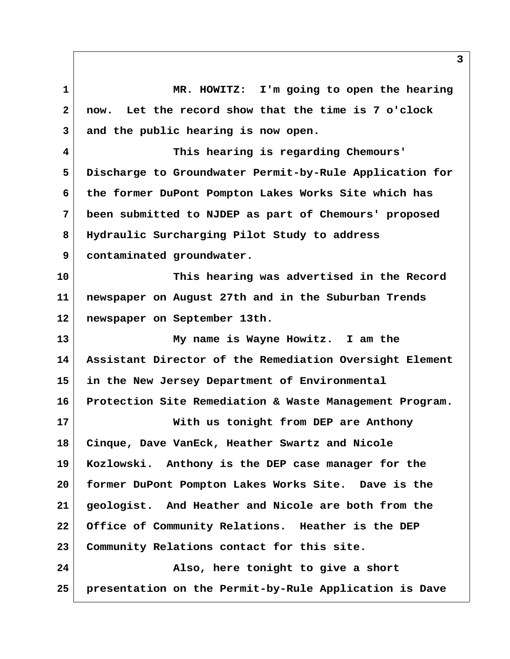**1 MR. HOWITZ: I'm going to open the hearing 2 now. Let the record show that the time is 7 o'clock 3 and the public hearing is now open. 4 This hearing is regarding Chemours' 5 Discharge to Groundwater Permit-by-Rule Application for 6 the former DuPont Pompton Lakes Works Site which has 7 been submitted to NJDEP as part of Chemours' proposed 8 Hydraulic Surcharging Pilot Study to address 9 contaminated groundwater. 10 This hearing was advertised in the Record 11 newspaper on August 27th and in the Suburban Trends 12 newspaper on September 13th. 13 My name is Wayne Howitz. I am the 14 Assistant Director of the Remediation Oversight Element 15 in the New Jersey Department of Environmental 16 Protection Site Remediation & Waste Management Program. 17 With us tonight from DEP are Anthony 18 Cinque, Dave VanEck, Heather Swartz and Nicole 19 Kozlowski. Anthony is the DEP case manager for the 20 former DuPont Pompton Lakes Works Site. Dave is the 21 geologist. And Heather and Nicole are both from the 22 Office of Community Relations. Heather is the DEP 23 Community Relations contact for this site. 24 Also, here tonight to give a short 25 presentation on the Permit-by-Rule Application is Dave**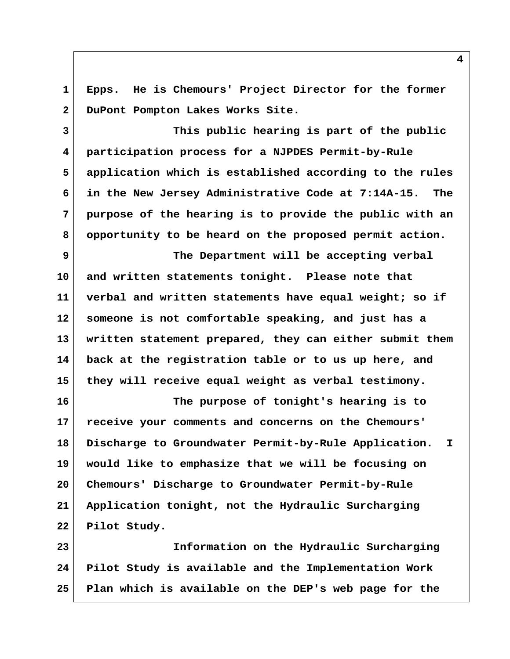**1 Epps. He is Chemours' Project Director for the former 2 DuPont Pompton Lakes Works Site.**

 **3 This public hearing is part of the public 4 participation process for a NJPDES Permit-by-Rule 5 application which is established according to the rules 6 in the New Jersey Administrative Code at 7:14A-15. The 7 purpose of the hearing is to provide the public with an 8 opportunity to be heard on the proposed permit action.**

 **9 The Department will be accepting verbal 10 and written statements tonight. Please note that 11 verbal and written statements have equal weight; so if 12 someone is not comfortable speaking, and just has a 13 written statement prepared, they can either submit them 14 back at the registration table or to us up here, and 15 they will receive equal weight as verbal testimony.**

**16 The purpose of tonight's hearing is to 17 receive your comments and concerns on the Chemours' 18 Discharge to Groundwater Permit-by-Rule Application. I 19 would like to emphasize that we will be focusing on 20 Chemours' Discharge to Groundwater Permit-by-Rule 21 Application tonight, not the Hydraulic Surcharging 22 Pilot Study.**

**23 Information on the Hydraulic Surcharging 24 Pilot Study is available and the Implementation Work 25 Plan which is available on the DEP's web page for the**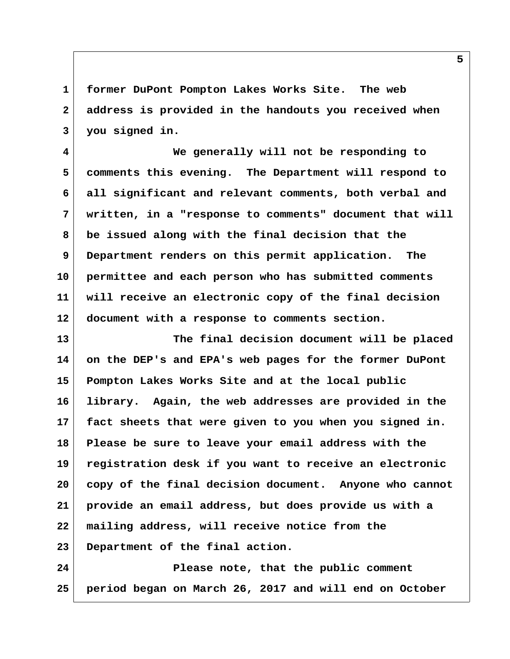**1 former DuPont Pompton Lakes Works Site. The web 2 address is provided in the handouts you received when 3 you signed in.**

 **4 We generally will not be responding to 5 comments this evening. The Department will respond to 6 all significant and relevant comments, both verbal and 7 written, in a "response to comments" document that will 8 be issued along with the final decision that the 9 Department renders on this permit application. The 10 permittee and each person who has submitted comments 11 will receive an electronic copy of the final decision 12 document with a response to comments section.**

**13 The final decision document will be placed 14 on the DEP's and EPA's web pages for the former DuPont 15 Pompton Lakes Works Site and at the local public 16 library. Again, the web addresses are provided in the 17 fact sheets that were given to you when you signed in. 18 Please be sure to leave your email address with the 19 registration desk if you want to receive an electronic 20 copy of the final decision document. Anyone who cannot 21 provide an email address, but does provide us with a 22 mailing address, will receive notice from the 23 Department of the final action.**

**24 Please note, that the public comment 25 period began on March 26, 2017 and will end on October**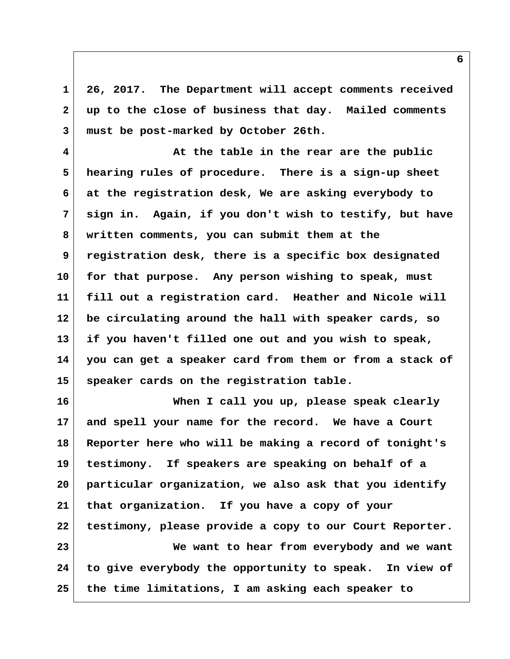**1 26, 2017. The Department will accept comments received 2 up to the close of business that day. Mailed comments 3 must be post-marked by October 26th.**

 **4 At the table in the rear are the public 5 hearing rules of procedure. There is a sign-up sheet 6 at the registration desk, We are asking everybody to 7 sign in. Again, if you don't wish to testify, but have 8 written comments, you can submit them at the 9 registration desk, there is a specific box designated 10 for that purpose. Any person wishing to speak, must 11 fill out a registration card. Heather and Nicole will 12 be circulating around the hall with speaker cards, so 13 if you haven't filled one out and you wish to speak, 14 you can get a speaker card from them or from a stack of 15 speaker cards on the registration table.**

**16 When I call you up, please speak clearly 17 and spell your name for the record. We have a Court 18 Reporter here who will be making a record of tonight's 19 testimony. If speakers are speaking on behalf of a 20 particular organization, we also ask that you identify 21 that organization. If you have a copy of your 22 testimony, please provide a copy to our Court Reporter. 23 We want to hear from everybody and we want 24 to give everybody the opportunity to speak. In view of 25 the time limitations, I am asking each speaker to**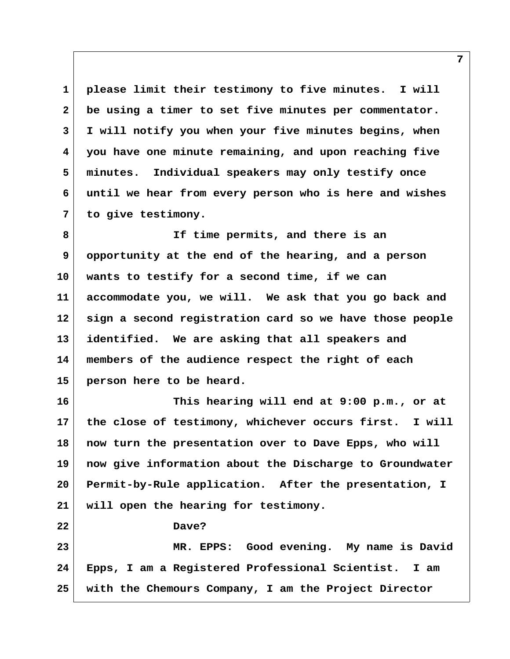**1 please limit their testimony to five minutes. I will 2 be using a timer to set five minutes per commentator. 3 I will notify you when your five minutes begins, when 4 you have one minute remaining, and upon reaching five 5 minutes. Individual speakers may only testify once 6 until we hear from every person who is here and wishes 7 to give testimony.**

 **8 If time permits, and there is an 9 opportunity at the end of the hearing, and a person 10 wants to testify for a second time, if we can 11 accommodate you, we will. We ask that you go back and 12 sign a second registration card so we have those people 13 identified. We are asking that all speakers and 14 members of the audience respect the right of each 15 person here to be heard.**

**16 This hearing will end at 9:00 p.m., or at 17 the close of testimony, whichever occurs first. I will 18 now turn the presentation over to Dave Epps, who will 19 now give information about the Discharge to Groundwater 20 Permit-by-Rule application. After the presentation, I 21 will open the hearing for testimony.**

**22 Dave?**

**23 MR. EPPS: Good evening. My name is David 24 Epps, I am a Registered Professional Scientist. I am 25 with the Chemours Company, I am the Project Director**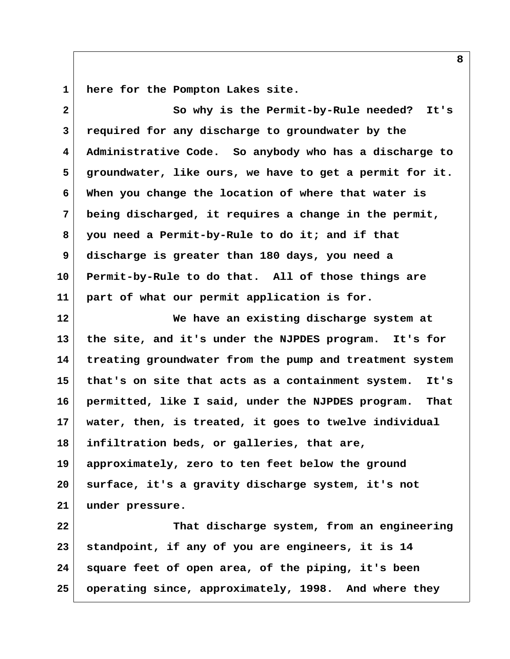**1 here for the Pompton Lakes site.**

 **2 So why is the Permit-by-Rule needed? It's 3 required for any discharge to groundwater by the 4 Administrative Code. So anybody who has a discharge to 5 groundwater, like ours, we have to get a permit for it. 6 When you change the location of where that water is 7 being discharged, it requires a change in the permit, 8 you need a Permit-by-Rule to do it; and if that 9 discharge is greater than 180 days, you need a 10 Permit-by-Rule to do that. All of those things are 11 part of what our permit application is for. 12 We have an existing discharge system at 13 the site, and it's under the NJPDES program. It's for 14 treating groundwater from the pump and treatment system 15 that's on site that acts as a containment system. It's 16 permitted, like I said, under the NJPDES program. That 17 water, then, is treated, it goes to twelve individual 18 infiltration beds, or galleries, that are, 19 approximately, zero to ten feet below the ground 20 surface, it's a gravity discharge system, it's not 21 under pressure. 22 That discharge system, from an engineering 23 standpoint, if any of you are engineers, it is 14 24 square feet of open area, of the piping, it's been 25 operating since, approximately, 1998. And where they**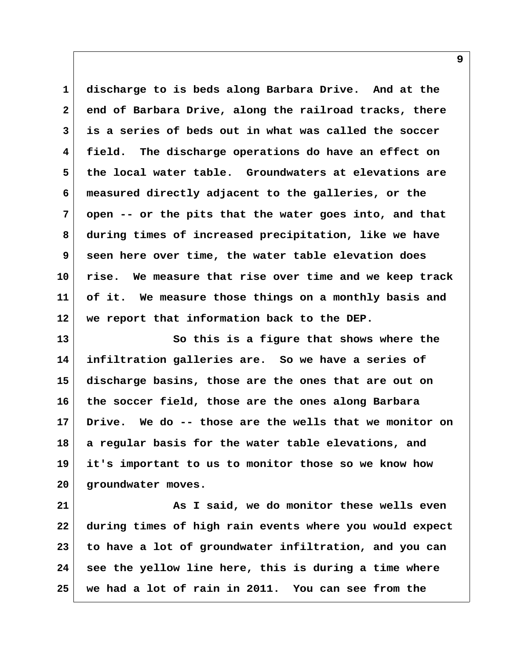**1 discharge to is beds along Barbara Drive. And at the 2 end of Barbara Drive, along the railroad tracks, there 3 is a series of beds out in what was called the soccer 4 field. The discharge operations do have an effect on 5 the local water table. Groundwaters at elevations are 6 measured directly adjacent to the galleries, or the 7 open -- or the pits that the water goes into, and that 8 during times of increased precipitation, like we have 9 seen here over time, the water table elevation does 10 rise. We measure that rise over time and we keep track 11 of it. We measure those things on a monthly basis and 12 we report that information back to the DEP.**

**13 So this is a figure that shows where the 14 infiltration galleries are. So we have a series of 15 discharge basins, those are the ones that are out on 16 the soccer field, those are the ones along Barbara 17 Drive. We do -- those are the wells that we monitor on 18 a regular basis for the water table elevations, and 19 it's important to us to monitor those so we know how 20 groundwater moves.**

**21 As I said, we do monitor these wells even 22 during times of high rain events where you would expect 23 to have a lot of groundwater infiltration, and you can 24 see the yellow line here, this is during a time where 25 we had a lot of rain in 2011. You can see from the**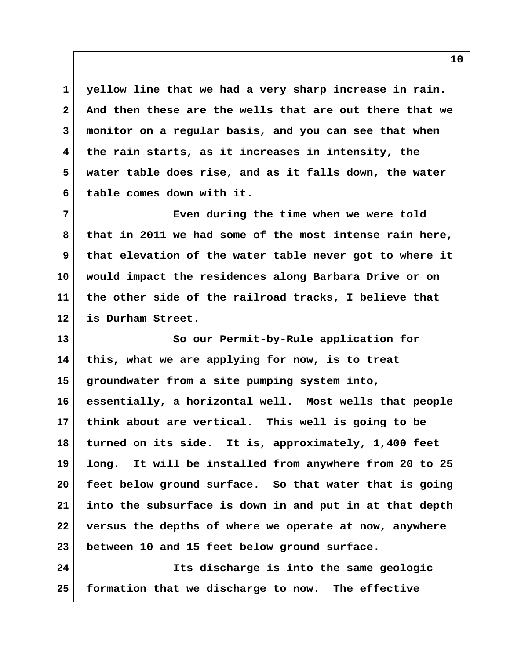**1 yellow line that we had a very sharp increase in rain. 2 And then these are the wells that are out there that we 3 monitor on a regular basis, and you can see that when 4 the rain starts, as it increases in intensity, the 5 water table does rise, and as it falls down, the water 6 table comes down with it.**

 **7 Even during the time when we were told 8 that in 2011 we had some of the most intense rain here, 9 that elevation of the water table never got to where it 10 would impact the residences along Barbara Drive or on 11 the other side of the railroad tracks, I believe that 12 is Durham Street.**

**13 So our Permit-by-Rule application for 14 this, what we are applying for now, is to treat 15 groundwater from a site pumping system into, 16 essentially, a horizontal well. Most wells that people 17 think about are vertical. This well is going to be 18 turned on its side. It is, approximately, 1,400 feet 19 long. It will be installed from anywhere from 20 to 25 20 feet below ground surface. So that water that is going 21 into the subsurface is down in and put in at that depth 22 versus the depths of where we operate at now, anywhere 23 between 10 and 15 feet below ground surface.**

**24 Its discharge is into the same geologic 25 formation that we discharge to now. The effective**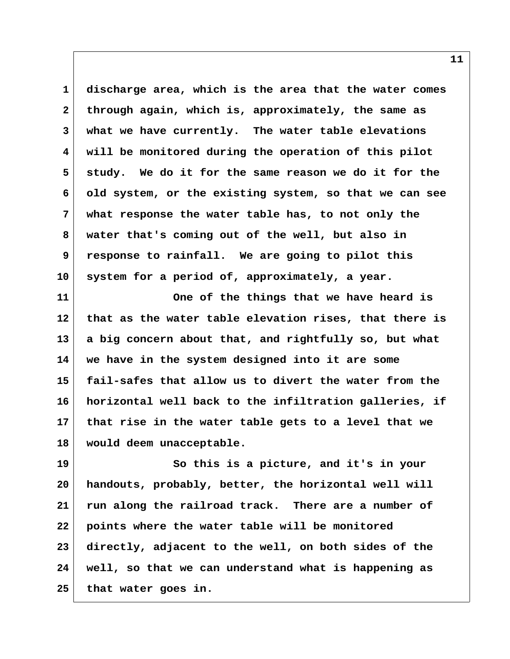**1 discharge area, which is the area that the water comes 2 through again, which is, approximately, the same as 3 what we have currently. The water table elevations 4 will be monitored during the operation of this pilot 5 study. We do it for the same reason we do it for the 6 old system, or the existing system, so that we can see 7 what response the water table has, to not only the 8 water that's coming out of the well, but also in 9 response to rainfall. We are going to pilot this 10 system for a period of, approximately, a year.**

**11 One of the things that we have heard is 12 that as the water table elevation rises, that there is 13 a big concern about that, and rightfully so, but what 14 we have in the system designed into it are some 15 fail-safes that allow us to divert the water from the 16 horizontal well back to the infiltration galleries, if 17 that rise in the water table gets to a level that we 18 would deem unacceptable.**

**19 So this is a picture, and it's in your 20 handouts, probably, better, the horizontal well will 21 run along the railroad track. There are a number of 22 points where the water table will be monitored 23 directly, adjacent to the well, on both sides of the 24 well, so that we can understand what is happening as 25 that water goes in.**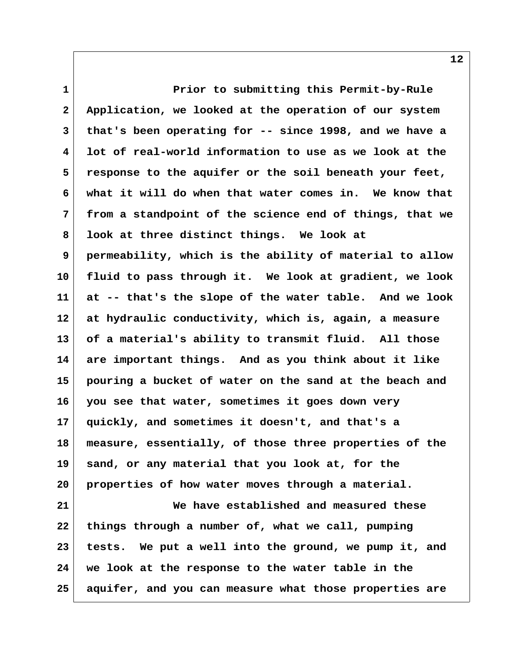**1 Prior to submitting this Permit-by-Rule 2 Application, we looked at the operation of our system 3 that's been operating for -- since 1998, and we have a 4 lot of real-world information to use as we look at the 5 response to the aquifer or the soil beneath your feet, 6 what it will do when that water comes in. We know that 7 from a standpoint of the science end of things, that we 8 look at three distinct things. We look at 9 permeability, which is the ability of material to allow 10 fluid to pass through it. We look at gradient, we look 11 at -- that's the slope of the water table. And we look 12 at hydraulic conductivity, which is, again, a measure 13 of a material's ability to transmit fluid. All those 14 are important things. And as you think about it like 15 pouring a bucket of water on the sand at the beach and 16 you see that water, sometimes it goes down very 17 quickly, and sometimes it doesn't, and that's a 18 measure, essentially, of those three properties of the 19 sand, or any material that you look at, for the 20 properties of how water moves through a material. 21 We have established and measured these 22 things through a number of, what we call, pumping 23 tests. We put a well into the ground, we pump it, and**

**25 aquifer, and you can measure what those properties are**

**24 we look at the response to the water table in the**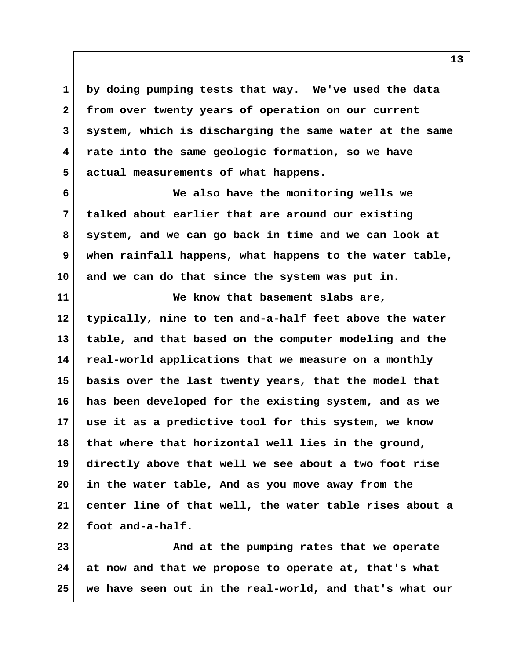**1 by doing pumping tests that way. We've used the data 2 from over twenty years of operation on our current 3 system, which is discharging the same water at the same 4 rate into the same geologic formation, so we have 5 actual measurements of what happens.**

 **6 We also have the monitoring wells we 7 talked about earlier that are around our existing 8 system, and we can go back in time and we can look at 9 when rainfall happens, what happens to the water table, 10 and we can do that since the system was put in.**

**11 We know that basement slabs are, 12 typically, nine to ten and-a-half feet above the water 13 table, and that based on the computer modeling and the 14 real-world applications that we measure on a monthly 15 basis over the last twenty years, that the model that 16 has been developed for the existing system, and as we 17 use it as a predictive tool for this system, we know 18 that where that horizontal well lies in the ground, 19 directly above that well we see about a two foot rise 20 in the water table, And as you move away from the 21 center line of that well, the water table rises about a 22 foot and-a-half.**

**23 And at the pumping rates that we operate 24 at now and that we propose to operate at, that's what 25 we have seen out in the real-world, and that's what our**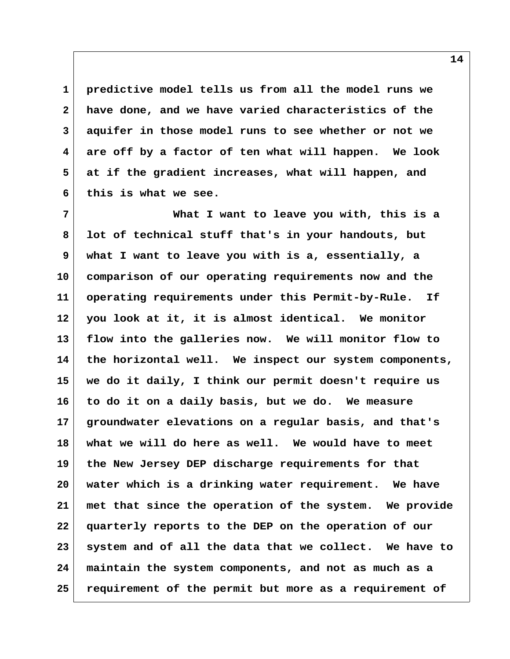**1 predictive model tells us from all the model runs we 2 have done, and we have varied characteristics of the 3 aquifer in those model runs to see whether or not we 4 are off by a factor of ten what will happen. We look 5 at if the gradient increases, what will happen, and 6 this is what we see.**

 **7 What I want to leave you with, this is a 8 lot of technical stuff that's in your handouts, but 9 what I want to leave you with is a, essentially, a 10 comparison of our operating requirements now and the 11 operating requirements under this Permit-by-Rule. If 12 you look at it, it is almost identical. We monitor 13 flow into the galleries now. We will monitor flow to 14 the horizontal well. We inspect our system components, 15 we do it daily, I think our permit doesn't require us 16 to do it on a daily basis, but we do. We measure 17 groundwater elevations on a regular basis, and that's 18 what we will do here as well. We would have to meet 19 the New Jersey DEP discharge requirements for that 20 water which is a drinking water requirement. We have 21 met that since the operation of the system. We provide 22 quarterly reports to the DEP on the operation of our 23 system and of all the data that we collect. We have to 24 maintain the system components, and not as much as a 25 requirement of the permit but more as a requirement of**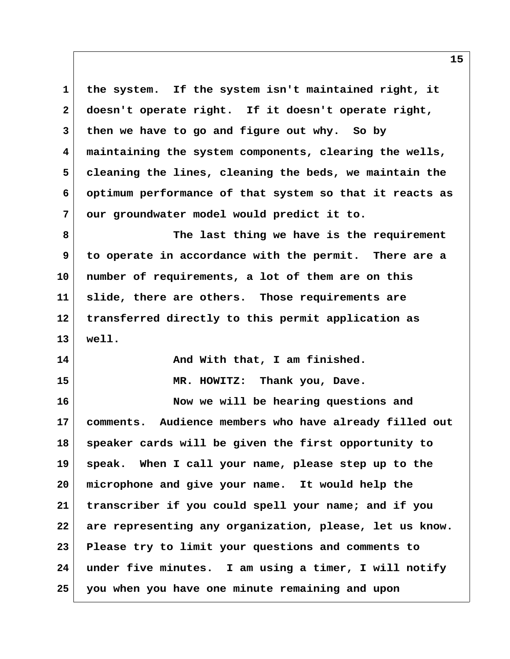**1 the system. If the system isn't maintained right, it 2 doesn't operate right. If it doesn't operate right, 3 then we have to go and figure out why. So by 4 maintaining the system components, clearing the wells, 5 cleaning the lines, cleaning the beds, we maintain the 6 optimum performance of that system so that it reacts as 7 our groundwater model would predict it to.**

 **8 The last thing we have is the requirement 9 to operate in accordance with the permit. There are a 10 number of requirements, a lot of them are on this 11 slide, there are others. Those requirements are 12 transferred directly to this permit application as 13 well.**

14 And With that, I am finished. **15 MR. HOWITZ: Thank you, Dave.**

**16 Now we will be hearing questions and 17 comments. Audience members who have already filled out 18 speaker cards will be given the first opportunity to 19 speak. When I call your name, please step up to the 20 microphone and give your name. It would help the 21 transcriber if you could spell your name; and if you 22 are representing any organization, please, let us know. 23 Please try to limit your questions and comments to 24 under five minutes. I am using a timer, I will notify 25 you when you have one minute remaining and upon**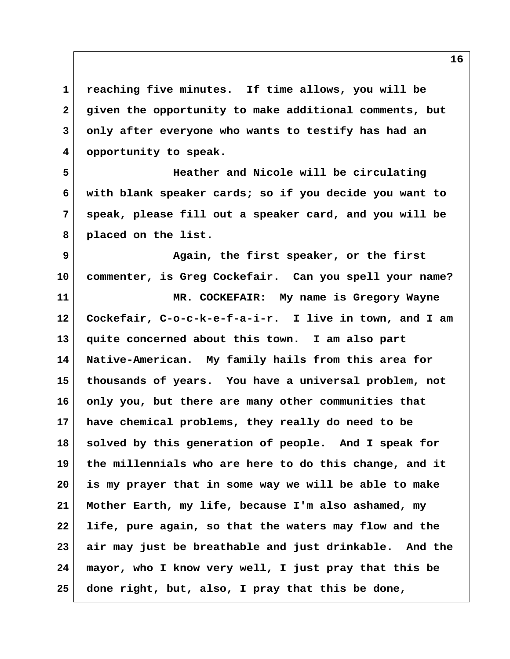**1 reaching five minutes. If time allows, you will be 2 given the opportunity to make additional comments, but 3 only after everyone who wants to testify has had an 4 opportunity to speak.**

 **5 Heather and Nicole will be circulating 6 with blank speaker cards; so if you decide you want to 7 speak, please fill out a speaker card, and you will be 8 placed on the list.**

 **9 Again, the first speaker, or the first 10 commenter, is Greg Cockefair. Can you spell your name? 11 MR. COCKEFAIR: My name is Gregory Wayne 12 Cockefair, C-o-c-k-e-f-a-i-r. I live in town, and I am**

**13 quite concerned about this town. I am also part 14 Native-American. My family hails from this area for 15 thousands of years. You have a universal problem, not 16 only you, but there are many other communities that 17 have chemical problems, they really do need to be 18 solved by this generation of people. And I speak for 19 the millennials who are here to do this change, and it 20 is my prayer that in some way we will be able to make 21 Mother Earth, my life, because I'm also ashamed, my 22 life, pure again, so that the waters may flow and the 23 air may just be breathable and just drinkable. And the 24 mayor, who I know very well, I just pray that this be 25 done right, but, also, I pray that this be done,**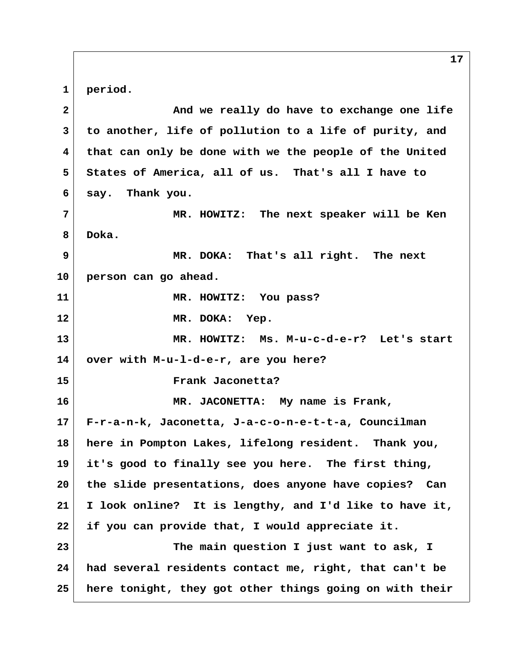**1 period. 2 And we really do have to exchange one life 3 to another, life of pollution to a life of purity, and 4 that can only be done with we the people of the United 5 States of America, all of us. That's all I have to 6 say. Thank you. 7 MR. HOWITZ: The next speaker will be Ken 8 Doka. 9 MR. DOKA: That's all right. The next 10 person can go ahead. 11 MR. HOWITZ: You pass? 12 MR. DOKA: Yep. 13 MR. HOWITZ: Ms. M-u-c-d-e-r? Let's start 14 over with M-u-l-d-e-r, are you here? 15 Frank Jaconetta? 16 MR. JACONETTA: My name is Frank, 17 F-r-a-n-k, Jaconetta, J-a-c-o-n-e-t-t-a, Councilman 18 here in Pompton Lakes, lifelong resident. Thank you, 19 it's good to finally see you here. The first thing, 20 the slide presentations, does anyone have copies? Can 21 I look online? It is lengthy, and I'd like to have it, 22 if you can provide that, I would appreciate it. 23 The main question I just want to ask, I 24 had several residents contact me, right, that can't be 25 here tonight, they got other things going on with their**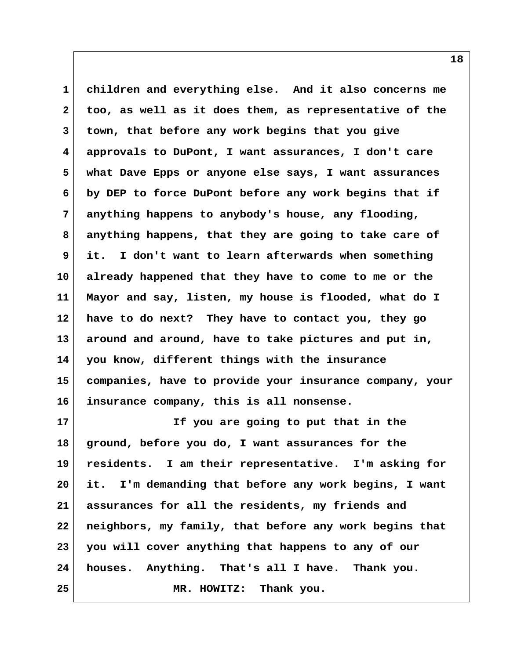**1 children and everything else. And it also concerns me 2 too, as well as it does them, as representative of the 3 town, that before any work begins that you give 4 approvals to DuPont, I want assurances, I don't care 5 what Dave Epps or anyone else says, I want assurances 6 by DEP to force DuPont before any work begins that if 7 anything happens to anybody's house, any flooding, 8 anything happens, that they are going to take care of 9 it. I don't want to learn afterwards when something 10 already happened that they have to come to me or the 11 Mayor and say, listen, my house is flooded, what do I 12 have to do next? They have to contact you, they go 13 around and around, have to take pictures and put in, 14 you know, different things with the insurance 15 companies, have to provide your insurance company, your 16 insurance company, this is all nonsense.**

**17 If you are going to put that in the 18 ground, before you do, I want assurances for the 19 residents. I am their representative. I'm asking for 20 it. I'm demanding that before any work begins, I want 21 assurances for all the residents, my friends and 22 neighbors, my family, that before any work begins that 23 you will cover anything that happens to any of our 24 houses. Anything. That's all I have. Thank you. 25 MR. HOWITZ: Thank you.**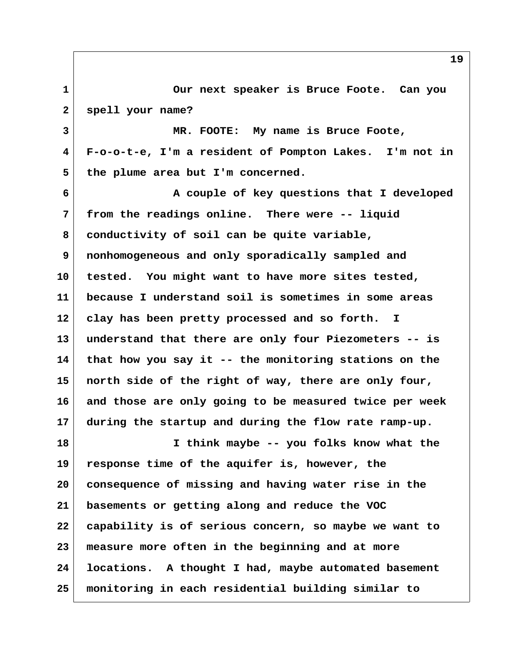**1 Our next speaker is Bruce Foote. Can you 2 spell your name? 3 MR. FOOTE: My name is Bruce Foote, 4 F-o-o-t-e, I'm a resident of Pompton Lakes. I'm not in 5 the plume area but I'm concerned. 6 A couple of key questions that I developed 7 from the readings online. There were -- liquid 8 conductivity of soil can be quite variable, 9 nonhomogeneous and only sporadically sampled and 10 tested. You might want to have more sites tested, 11 because I understand soil is sometimes in some areas 12 clay has been pretty processed and so forth. I 13 understand that there are only four Piezometers -- is 14 that how you say it -- the monitoring stations on the 15 north side of the right of way, there are only four, 16 and those are only going to be measured twice per week 17 during the startup and during the flow rate ramp-up. 18 I think maybe -- you folks know what the 19 response time of the aquifer is, however, the 20 consequence of missing and having water rise in the 21 basements or getting along and reduce the VOC 22 capability is of serious concern, so maybe we want to 23 measure more often in the beginning and at more 24 locations. A thought I had, maybe automated basement 25 monitoring in each residential building similar to**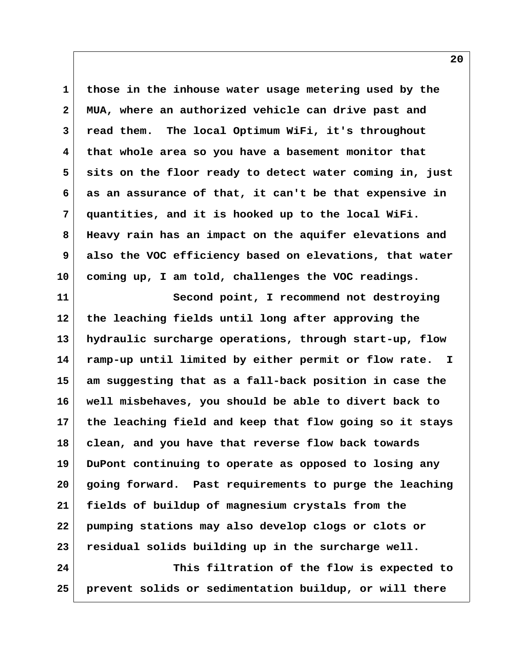**1 those in the inhouse water usage metering used by the 2 MUA, where an authorized vehicle can drive past and 3 read them. The local Optimum WiFi, it's throughout 4 that whole area so you have a basement monitor that 5 sits on the floor ready to detect water coming in, just 6 as an assurance of that, it can't be that expensive in 7 quantities, and it is hooked up to the local WiFi. 8 Heavy rain has an impact on the aquifer elevations and 9 also the VOC efficiency based on elevations, that water 10 coming up, I am told, challenges the VOC readings.**

**11 Second point, I recommend not destroying 12 the leaching fields until long after approving the 13 hydraulic surcharge operations, through start-up, flow 14 ramp-up until limited by either permit or flow rate. I 15 am suggesting that as a fall-back position in case the 16 well misbehaves, you should be able to divert back to 17 the leaching field and keep that flow going so it stays 18 clean, and you have that reverse flow back towards 19 DuPont continuing to operate as opposed to losing any 20 going forward. Past requirements to purge the leaching 21 fields of buildup of magnesium crystals from the 22 pumping stations may also develop clogs or clots or 23 residual solids building up in the surcharge well. 24 This filtration of the flow is expected to**

**25 prevent solids or sedimentation buildup, or will there**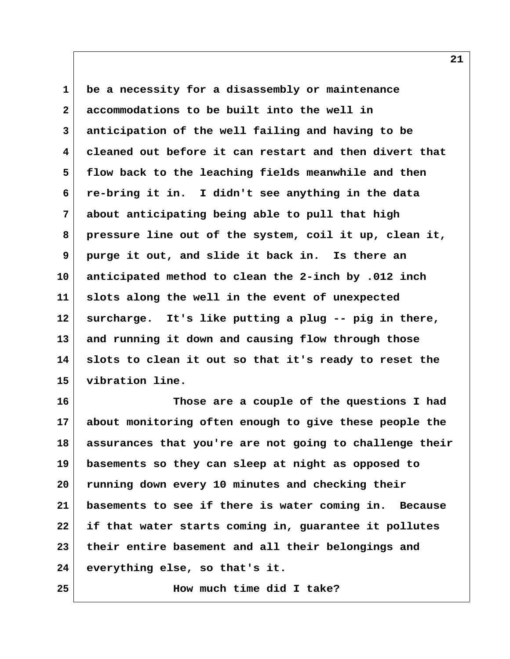**1 be a necessity for a disassembly or maintenance 2 accommodations to be built into the well in 3 anticipation of the well failing and having to be 4 cleaned out before it can restart and then divert that 5 flow back to the leaching fields meanwhile and then 6 re-bring it in. I didn't see anything in the data 7 about anticipating being able to pull that high 8 pressure line out of the system, coil it up, clean it, 9 purge it out, and slide it back in. Is there an 10 anticipated method to clean the 2-inch by .012 inch 11 slots along the well in the event of unexpected 12 surcharge. It's like putting a plug -- pig in there, 13 and running it down and causing flow through those 14 slots to clean it out so that it's ready to reset the 15 vibration line.**

**16 Those are a couple of the questions I had 17 about monitoring often enough to give these people the 18 assurances that you're are not going to challenge their 19 basements so they can sleep at night as opposed to 20 running down every 10 minutes and checking their 21 basements to see if there is water coming in. Because 22 if that water starts coming in, guarantee it pollutes 23 their entire basement and all their belongings and 24 everything else, so that's it.**

**25 How much time did I take?**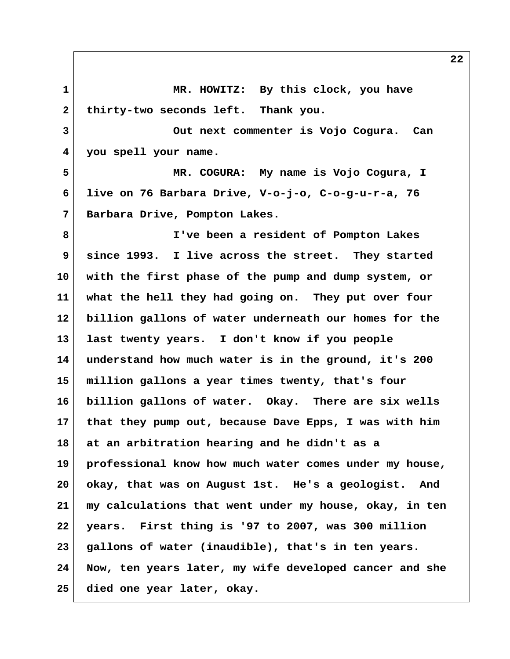**1 MR. HOWITZ: By this clock, you have** 2 thirty-two seconds left. Thank you.  **3 Out next commenter is Vojo Cogura. Can 4 you spell your name. 5 MR. COGURA: My name is Vojo Cogura, I 6 live on 76 Barbara Drive, V-o-j-o, C-o-g-u-r-a, 76 7 Barbara Drive, Pompton Lakes. 8 I've been a resident of Pompton Lakes 9 since 1993. I live across the street. They started 10 with the first phase of the pump and dump system, or 11 what the hell they had going on. They put over four 12 billion gallons of water underneath our homes for the 13 last twenty years. I don't know if you people 14 understand how much water is in the ground, it's 200 15 million gallons a year times twenty, that's four 16 billion gallons of water. Okay. There are six wells 17 that they pump out, because Dave Epps, I was with him 18 at an arbitration hearing and he didn't as a 19 professional know how much water comes under my house, 20 okay, that was on August 1st. He's a geologist. And 21 my calculations that went under my house, okay, in ten 22 years. First thing is '97 to 2007, was 300 million 23 gallons of water (inaudible), that's in ten years. 24 Now, ten years later, my wife developed cancer and she 25 died one year later, okay.**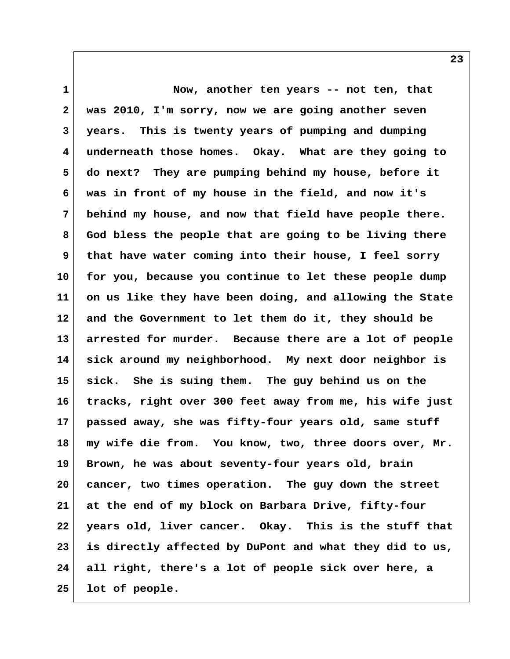**1 Now, another ten years -- not ten, that 2 was 2010, I'm sorry, now we are going another seven 3 years. This is twenty years of pumping and dumping 4 underneath those homes. Okay. What are they going to 5 do next? They are pumping behind my house, before it 6 was in front of my house in the field, and now it's 7 behind my house, and now that field have people there. 8 God bless the people that are going to be living there 9 that have water coming into their house, I feel sorry 10 for you, because you continue to let these people dump 11 on us like they have been doing, and allowing the State 12 and the Government to let them do it, they should be 13 arrested for murder. Because there are a lot of people 14 sick around my neighborhood. My next door neighbor is 15 sick. She is suing them. The guy behind us on the 16 tracks, right over 300 feet away from me, his wife just 17 passed away, she was fifty-four years old, same stuff 18 my wife die from. You know, two, three doors over, Mr. 19 Brown, he was about seventy-four years old, brain 20 cancer, two times operation. The guy down the street 21 at the end of my block on Barbara Drive, fifty-four 22 years old, liver cancer. Okay. This is the stuff that 23 is directly affected by DuPont and what they did to us, 24 all right, there's a lot of people sick over here, a 25 lot of people.**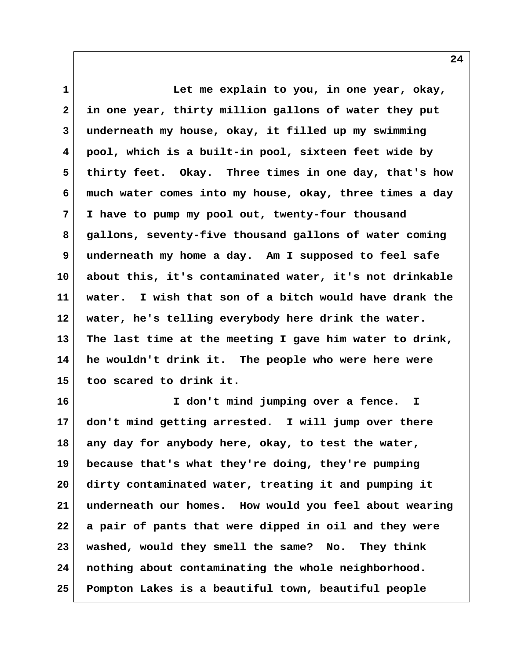**1 Let me explain to you, in one year, okay, 2 in one year, thirty million gallons of water they put 3 underneath my house, okay, it filled up my swimming 4 pool, which is a built-in pool, sixteen feet wide by 5 thirty feet. Okay. Three times in one day, that's how 6 much water comes into my house, okay, three times a day 7 I have to pump my pool out, twenty-four thousand 8 gallons, seventy-five thousand gallons of water coming 9 underneath my home a day. Am I supposed to feel safe 10 about this, it's contaminated water, it's not drinkable 11 water. I wish that son of a bitch would have drank the 12 water, he's telling everybody here drink the water. 13 The last time at the meeting I gave him water to drink, 14 he wouldn't drink it. The people who were here were 15 too scared to drink it.**

**16 I don't mind jumping over a fence. I 17 don't mind getting arrested. I will jump over there 18 any day for anybody here, okay, to test the water, 19 because that's what they're doing, they're pumping 20 dirty contaminated water, treating it and pumping it 21 underneath our homes. How would you feel about wearing 22 a pair of pants that were dipped in oil and they were 23 washed, would they smell the same? No. They think 24 nothing about contaminating the whole neighborhood. 25 Pompton Lakes is a beautiful town, beautiful people**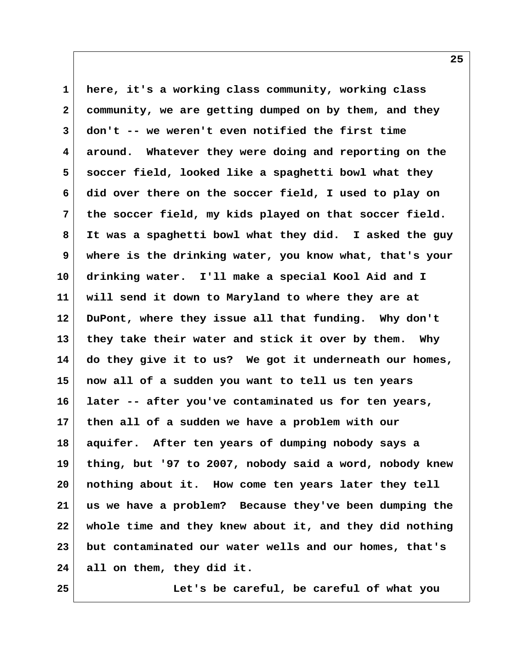**1 here, it's a working class community, working class 2 community, we are getting dumped on by them, and they 3 don't -- we weren't even notified the first time 4 around. Whatever they were doing and reporting on the 5 soccer field, looked like a spaghetti bowl what they 6 did over there on the soccer field, I used to play on 7 the soccer field, my kids played on that soccer field. 8 It was a spaghetti bowl what they did. I asked the guy 9 where is the drinking water, you know what, that's your 10 drinking water. I'll make a special Kool Aid and I 11 will send it down to Maryland to where they are at 12 DuPont, where they issue all that funding. Why don't 13 they take their water and stick it over by them. Why 14 do they give it to us? We got it underneath our homes, 15 now all of a sudden you want to tell us ten years 16 later -- after you've contaminated us for ten years, 17 then all of a sudden we have a problem with our 18 aquifer. After ten years of dumping nobody says a 19 thing, but '97 to 2007, nobody said a word, nobody knew 20 nothing about it. How come ten years later they tell 21 us we have a problem? Because they've been dumping the 22 whole time and they knew about it, and they did nothing 23 but contaminated our water wells and our homes, that's 24 all on them, they did it.**

**25 Let's be careful, be careful of what you**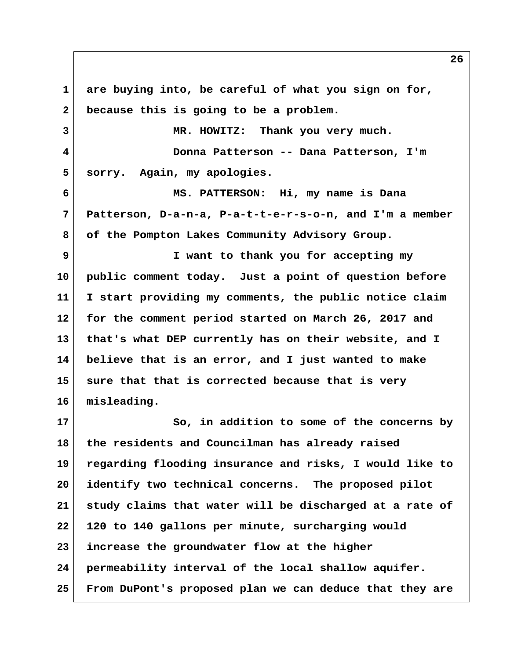**1 are buying into, be careful of what you sign on for, 2 because this is going to be a problem. 3 MR. HOWITZ: Thank you very much. 4 Donna Patterson -- Dana Patterson, I'm 5 sorry. Again, my apologies. 6 MS. PATTERSON: Hi, my name is Dana 7 Patterson, D-a-n-a, P-a-t-t-e-r-s-o-n, and I'm a member 8 of the Pompton Lakes Community Advisory Group. 9 I want to thank you for accepting my 10 public comment today. Just a point of question before 11 I start providing my comments, the public notice claim 12 for the comment period started on March 26, 2017 and 13 that's what DEP currently has on their website, and I 14 believe that is an error, and I just wanted to make 15 sure that that is corrected because that is very 16 misleading. 17** So, in addition to some of the concerns by **18 the residents and Councilman has already raised 19 regarding flooding insurance and risks, I would like to 20 identify two technical concerns. The proposed pilot 21 study claims that water will be discharged at a rate of 22 120 to 140 gallons per minute, surcharging would 23 increase the groundwater flow at the higher 24 permeability interval of the local shallow aquifer. 25 From DuPont's proposed plan we can deduce that they are**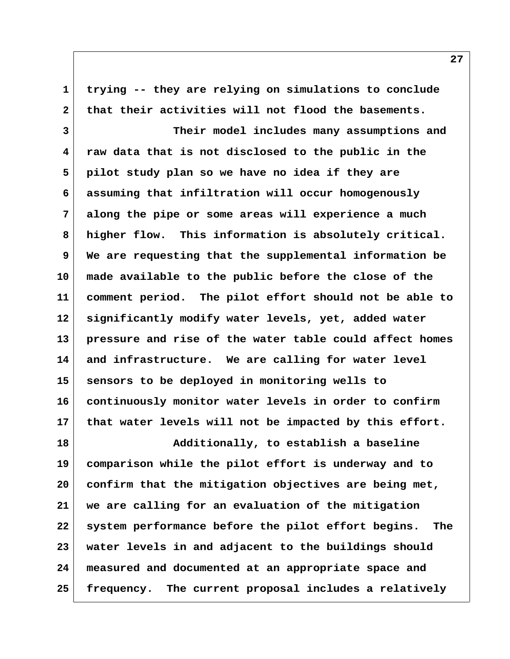**1 trying -- they are relying on simulations to conclude 2 that their activities will not flood the basements. 3 Their model includes many assumptions and 4 raw data that is not disclosed to the public in the 5 pilot study plan so we have no idea if they are 6 assuming that infiltration will occur homogenously 7 along the pipe or some areas will experience a much 8 higher flow. This information is absolutely critical. 9 We are requesting that the supplemental information be 10 made available to the public before the close of the 11 comment period. The pilot effort should not be able to 12 significantly modify water levels, yet, added water 13 pressure and rise of the water table could affect homes 14 and infrastructure. We are calling for water level 15 sensors to be deployed in monitoring wells to 16 continuously monitor water levels in order to confirm 17 that water levels will not be impacted by this effort. 18 Additionally, to establish a baseline 19 comparison while the pilot effort is underway and to 20 confirm that the mitigation objectives are being met, 21 we are calling for an evaluation of the mitigation 22 system performance before the pilot effort begins. The 23 water levels in and adjacent to the buildings should 24 measured and documented at an appropriate space and 25 frequency. The current proposal includes a relatively**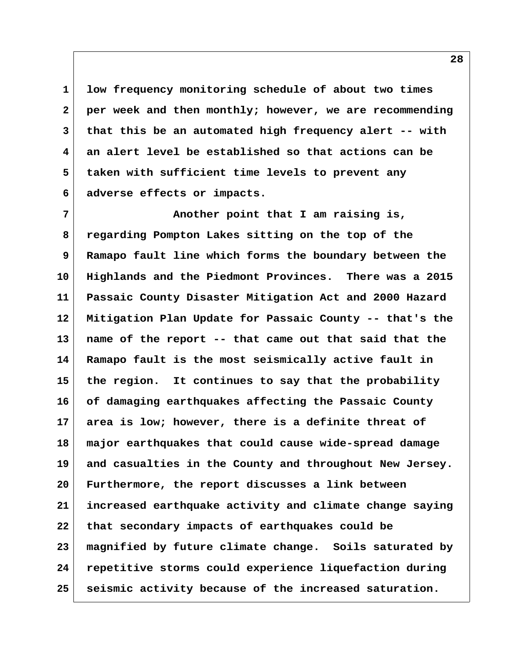**1 low frequency monitoring schedule of about two times 2 per week and then monthly; however, we are recommending 3 that this be an automated high frequency alert -- with 4 an alert level be established so that actions can be 5 taken with sufficient time levels to prevent any 6 adverse effects or impacts.**

 **7 Another point that I am raising is, 8 regarding Pompton Lakes sitting on the top of the 9 Ramapo fault line which forms the boundary between the 10 Highlands and the Piedmont Provinces. There was a 2015 11 Passaic County Disaster Mitigation Act and 2000 Hazard 12 Mitigation Plan Update for Passaic County -- that's the 13 name of the report -- that came out that said that the 14 Ramapo fault is the most seismically active fault in 15 the region. It continues to say that the probability 16 of damaging earthquakes affecting the Passaic County 17 area is low; however, there is a definite threat of 18 major earthquakes that could cause wide-spread damage 19 and casualties in the County and throughout New Jersey. 20 Furthermore, the report discusses a link between 21 increased earthquake activity and climate change saying 22 that secondary impacts of earthquakes could be 23 magnified by future climate change. Soils saturated by 24 repetitive storms could experience liquefaction during 25 seismic activity because of the increased saturation.**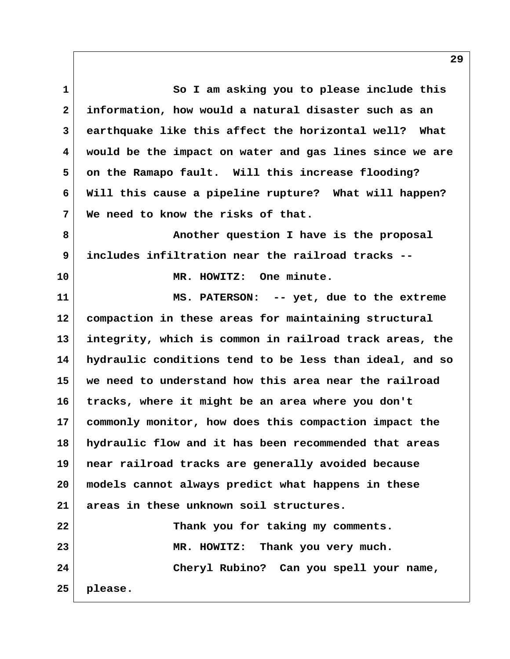**1 So I am asking you to please include this 2 information, how would a natural disaster such as an 3 earthquake like this affect the horizontal well? What 4 would be the impact on water and gas lines since we are 5 on the Ramapo fault. Will this increase flooding? 6 Will this cause a pipeline rupture? What will happen? 7 We need to know the risks of that. 8 Another question I have is the proposal 9 includes infiltration near the railroad tracks -- 10 MR. HOWITZ: One minute. 11 MS. PATERSON: -- yet, due to the extreme 12 compaction in these areas for maintaining structural 13 integrity, which is common in railroad track areas, the 14 hydraulic conditions tend to be less than ideal, and so 15 we need to understand how this area near the railroad 16 tracks, where it might be an area where you don't 17 commonly monitor, how does this compaction impact the 18 hydraulic flow and it has been recommended that areas 19 near railroad tracks are generally avoided because 20 models cannot always predict what happens in these 21 areas in these unknown soil structures. 22 Thank you for taking my comments. 23 MR. HOWITZ: Thank you very much. 24 Cheryl Rubino? Can you spell your name,**

**25 please.**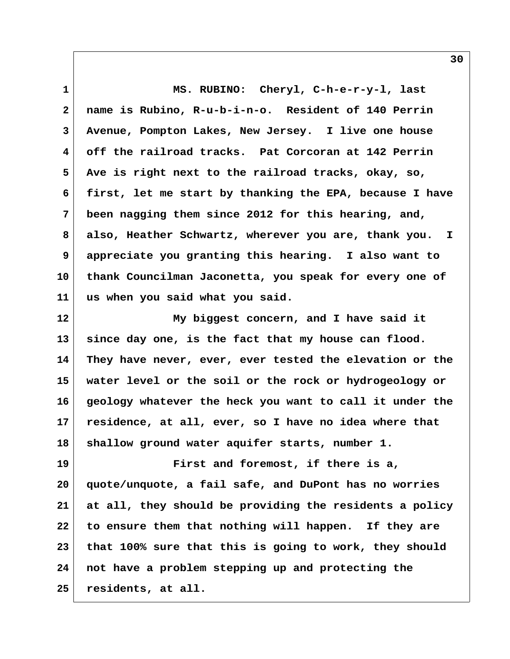**1 MS. RUBINO: Cheryl, C-h-e-r-y-l, last 2 name is Rubino, R-u-b-i-n-o. Resident of 140 Perrin 3 Avenue, Pompton Lakes, New Jersey. I live one house 4 off the railroad tracks. Pat Corcoran at 142 Perrin 5 Ave is right next to the railroad tracks, okay, so, 6 first, let me start by thanking the EPA, because I have 7 been nagging them since 2012 for this hearing, and, 8 also, Heather Schwartz, wherever you are, thank you. I 9 appreciate you granting this hearing. I also want to 10 thank Councilman Jaconetta, you speak for every one of 11 us when you said what you said.**

**12 My biggest concern, and I have said it 13 since day one, is the fact that my house can flood. 14 They have never, ever, ever tested the elevation or the 15 water level or the soil or the rock or hydrogeology or 16 geology whatever the heck you want to call it under the 17 residence, at all, ever, so I have no idea where that 18 shallow ground water aquifer starts, number 1.**

**19 First and foremost, if there is a, 20 quote/unquote, a fail safe, and DuPont has no worries 21 at all, they should be providing the residents a policy 22 to ensure them that nothing will happen. If they are 23 that 100% sure that this is going to work, they should 24 not have a problem stepping up and protecting the 25 residents, at all.**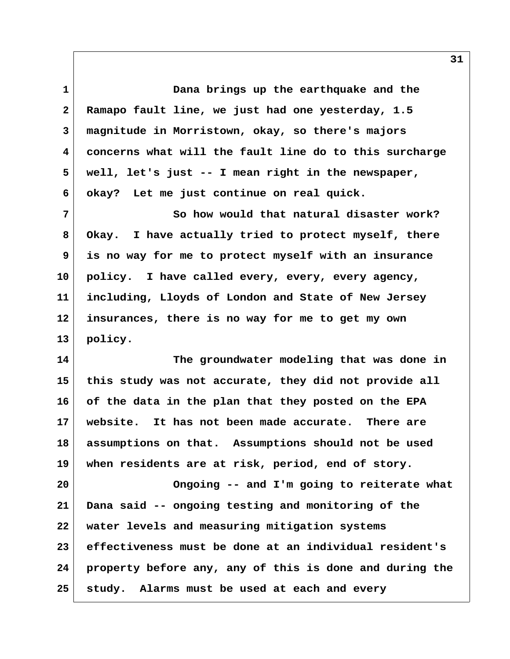**1 Dana brings up the earthquake and the 2 Ramapo fault line, we just had one yesterday, 1.5 3 magnitude in Morristown, okay, so there's majors 4 concerns what will the fault line do to this surcharge 5 well, let's just -- I mean right in the newspaper, 6 okay? Let me just continue on real quick.**

 **7 So how would that natural disaster work? 8 Okay. I have actually tried to protect myself, there 9 is no way for me to protect myself with an insurance 10 policy. I have called every, every, every agency, 11 including, Lloyds of London and State of New Jersey 12 insurances, there is no way for me to get my own 13 policy.**

**14 The groundwater modeling that was done in 15 this study was not accurate, they did not provide all 16 of the data in the plan that they posted on the EPA 17 website. It has not been made accurate. There are 18 assumptions on that. Assumptions should not be used 19 when residents are at risk, period, end of story.**

**20 Ongoing -- and I'm going to reiterate what 21 Dana said -- ongoing testing and monitoring of the 22 water levels and measuring mitigation systems 23 effectiveness must be done at an individual resident's 24 property before any, any of this is done and during the 25 study. Alarms must be used at each and every**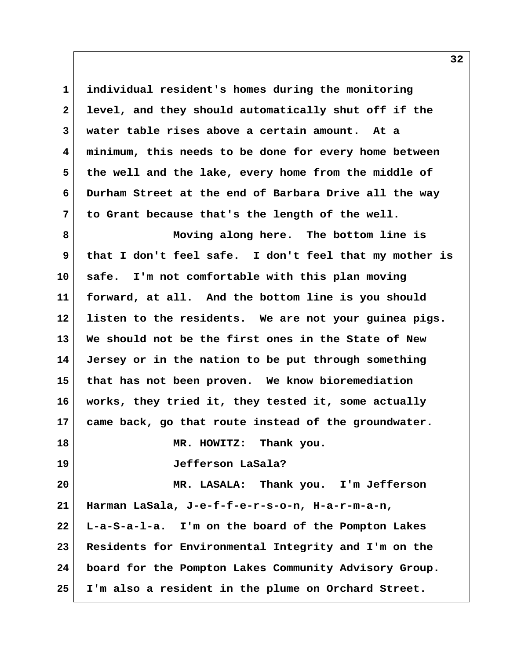**1 individual resident's homes during the monitoring 2 level, and they should automatically shut off if the 3 water table rises above a certain amount. At a 4 minimum, this needs to be done for every home between 5 the well and the lake, every home from the middle of 6 Durham Street at the end of Barbara Drive all the way 7 to Grant because that's the length of the well.**

 **8 Moving along here. The bottom line is 9 that I don't feel safe. I don't feel that my mother is 10 safe. I'm not comfortable with this plan moving 11 forward, at all. And the bottom line is you should 12 listen to the residents. We are not your guinea pigs. 13 We should not be the first ones in the State of New 14 Jersey or in the nation to be put through something 15 that has not been proven. We know bioremediation 16 works, they tried it, they tested it, some actually 17 came back, go that route instead of the groundwater. 18 MR. HOWITZ: Thank you. 19 Jefferson LaSala? 20 MR. LASALA: Thank you. I'm Jefferson 21 Harman LaSala, J-e-f-f-e-r-s-o-n, H-a-r-m-a-n, 22 L-a-S-a-l-a. I'm on the board of the Pompton Lakes 23 Residents for Environmental Integrity and I'm on the 24 board for the Pompton Lakes Community Advisory Group.**

**25 I'm also a resident in the plume on Orchard Street.**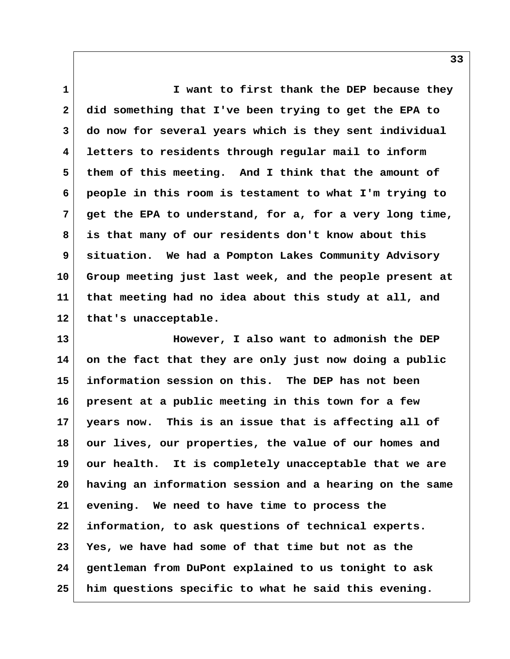**1 I want to first thank the DEP because they 2 did something that I've been trying to get the EPA to 3 do now for several years which is they sent individual 4 letters to residents through regular mail to inform 5 them of this meeting. And I think that the amount of 6 people in this room is testament to what I'm trying to 7 get the EPA to understand, for a, for a very long time, 8 is that many of our residents don't know about this 9 situation. We had a Pompton Lakes Community Advisory 10 Group meeting just last week, and the people present at 11 that meeting had no idea about this study at all, and** 12 that's unacceptable.

**13 However, I also want to admonish the DEP 14 on the fact that they are only just now doing a public 15 information session on this. The DEP has not been 16 present at a public meeting in this town for a few 17 years now. This is an issue that is affecting all of 18 our lives, our properties, the value of our homes and 19 our health. It is completely unacceptable that we are 20 having an information session and a hearing on the same 21 evening. We need to have time to process the 22 information, to ask questions of technical experts. 23 Yes, we have had some of that time but not as the 24 gentleman from DuPont explained to us tonight to ask 25 him questions specific to what he said this evening.**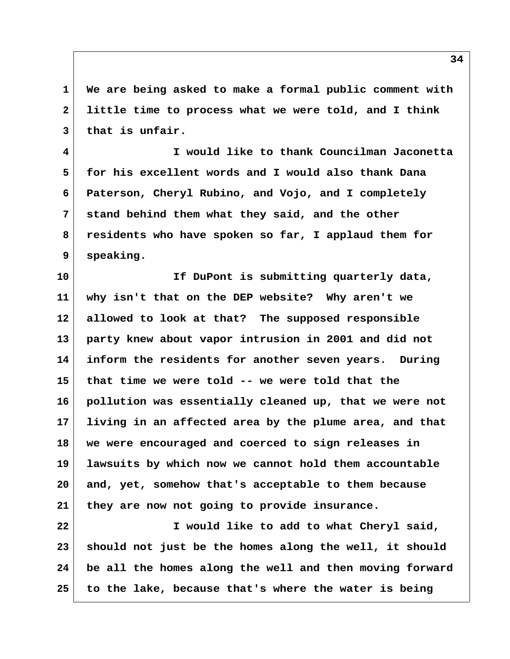**1 We are being asked to make a formal public comment with 2 little time to process what we were told, and I think 3 that is unfair.**

 **4 I would like to thank Councilman Jaconetta 5 for his excellent words and I would also thank Dana 6 Paterson, Cheryl Rubino, and Vojo, and I completely 7 stand behind them what they said, and the other 8 residents who have spoken so far, I applaud them for 9 speaking.**

**10 If DuPont is submitting quarterly data, 11 why isn't that on the DEP website? Why aren't we 12 allowed to look at that? The supposed responsible 13 party knew about vapor intrusion in 2001 and did not 14 inform the residents for another seven years. During 15 that time we were told -- we were told that the 16 pollution was essentially cleaned up, that we were not 17 living in an affected area by the plume area, and that 18 we were encouraged and coerced to sign releases in 19 lawsuits by which now we cannot hold them accountable 20 and, yet, somehow that's acceptable to them because 21 they are now not going to provide insurance.**

**22 I would like to add to what Cheryl said, 23 should not just be the homes along the well, it should 24 be all the homes along the well and then moving forward 25 to the lake, because that's where the water is being**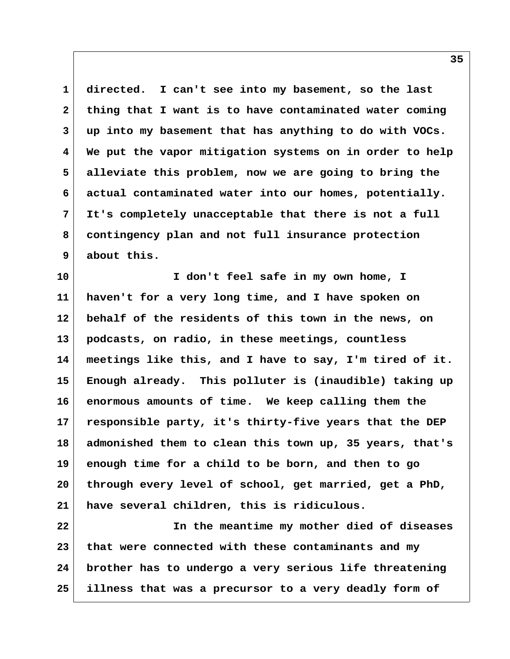**1 directed. I can't see into my basement, so the last 2 thing that I want is to have contaminated water coming 3 up into my basement that has anything to do with VOCs. 4 We put the vapor mitigation systems on in order to help 5 alleviate this problem, now we are going to bring the 6 actual contaminated water into our homes, potentially. 7 It's completely unacceptable that there is not a full 8 contingency plan and not full insurance protection 9 about this.**

**10 I don't feel safe in my own home, I 11 haven't for a very long time, and I have spoken on 12 behalf of the residents of this town in the news, on 13 podcasts, on radio, in these meetings, countless 14 meetings like this, and I have to say, I'm tired of it. 15 Enough already. This polluter is (inaudible) taking up 16 enormous amounts of time. We keep calling them the 17 responsible party, it's thirty-five years that the DEP 18 admonished them to clean this town up, 35 years, that's 19 enough time for a child to be born, and then to go 20 through every level of school, get married, get a PhD, 21 have several children, this is ridiculous.**

**22 In the meantime my mother died of diseases 23 that were connected with these contaminants and my 24 brother has to undergo a very serious life threatening 25 illness that was a precursor to a very deadly form of**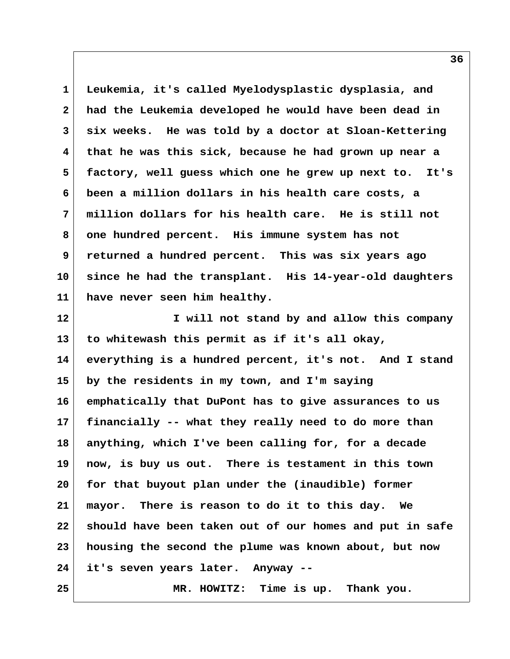**1 Leukemia, it's called Myelodysplastic dysplasia, and 2 had the Leukemia developed he would have been dead in 3 six weeks. He was told by a doctor at Sloan-Kettering 4 that he was this sick, because he had grown up near a 5 factory, well guess which one he grew up next to. It's 6 been a million dollars in his health care costs, a 7 million dollars for his health care. He is still not 8 one hundred percent. His immune system has not 9 returned a hundred percent. This was six years ago 10 since he had the transplant. His 14-year-old daughters 11 have never seen him healthy. 12 I will not stand by and allow this company 13 to whitewash this permit as if it's all okay, 14 everything is a hundred percent, it's not. And I stand 15 by the residents in my town, and I'm saying 16 emphatically that DuPont has to give assurances to us 17 financially -- what they really need to do more than**

**18 anything, which I've been calling for, for a decade 19 now, is buy us out. There is testament in this town 20 for that buyout plan under the (inaudible) former 21 mayor. There is reason to do it to this day. We 22 should have been taken out of our homes and put in safe 23 housing the second the plume was known about, but now 24 it's seven years later. Anyway --**

**25 MR. HOWITZ: Time is up. Thank you.**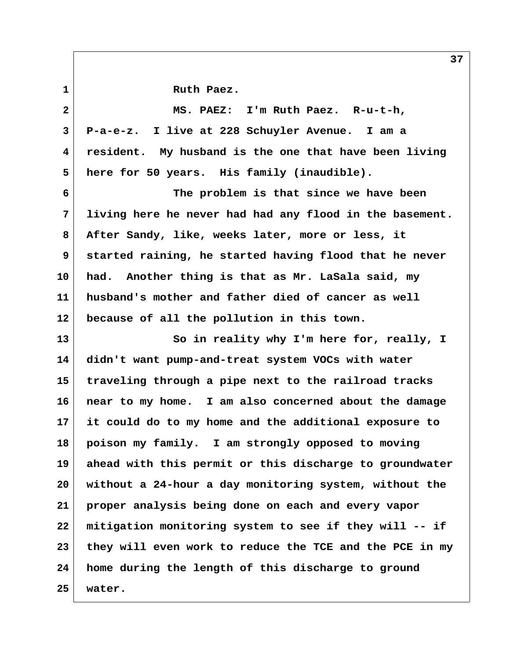1 Ruth Paez.  **2 MS. PAEZ: I'm Ruth Paez. R-u-t-h, 3 P-a-e-z. I live at 228 Schuyler Avenue. I am a 4 resident. My husband is the one that have been living 5 here for 50 years. His family (inaudible). 6 The problem is that since we have been 7 living here he never had had any flood in the basement. 8 After Sandy, like, weeks later, more or less, it 9 started raining, he started having flood that he never 10 had. Another thing is that as Mr. LaSala said, my 11 husband's mother and father died of cancer as well 12 because of all the pollution in this town.** 13 So in reality why I'm here for, really, I **14 didn't want pump-and-treat system VOCs with water 15 traveling through a pipe next to the railroad tracks 16 near to my home. I am also concerned about the damage 17 it could do to my home and the additional exposure to 18 poison my family. I am strongly opposed to moving 19 ahead with this permit or this discharge to groundwater 20 without a 24-hour a day monitoring system, without the 21 proper analysis being done on each and every vapor 22 mitigation monitoring system to see if they will -- if 23 they will even work to reduce the TCE and the PCE in my 24 home during the length of this discharge to ground 25 water.**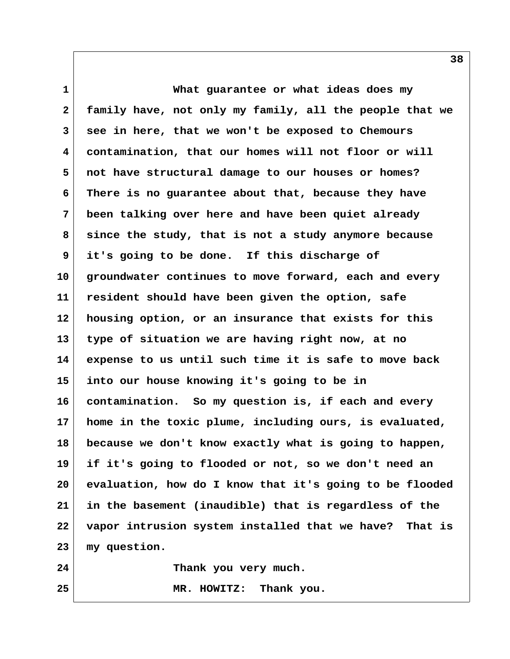**1 What guarantee or what ideas does my 2 family have, not only my family, all the people that we 3 see in here, that we won't be exposed to Chemours 4 contamination, that our homes will not floor or will 5 not have structural damage to our houses or homes? 6 There is no guarantee about that, because they have 7 been talking over here and have been quiet already 8 since the study, that is not a study anymore because 9 it's going to be done. If this discharge of 10 groundwater continues to move forward, each and every 11 resident should have been given the option, safe 12 housing option, or an insurance that exists for this 13 type of situation we are having right now, at no 14 expense to us until such time it is safe to move back 15 into our house knowing it's going to be in 16 contamination. So my question is, if each and every 17 home in the toxic plume, including ours, is evaluated, 18 because we don't know exactly what is going to happen, 19 if it's going to flooded or not, so we don't need an 20 evaluation, how do I know that it's going to be flooded 21 in the basement (inaudible) that is regardless of the 22 vapor intrusion system installed that we have? That is 23 my question.**

**24 Thank you very much.**

**25 MR. HOWITZ: Thank you.**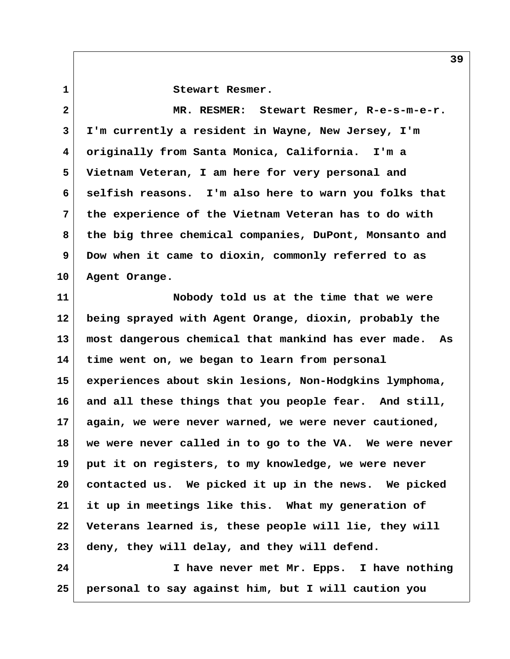**1 Stewart Resmer.**

 **2 MR. RESMER: Stewart Resmer, R-e-s-m-e-r. 3 I'm currently a resident in Wayne, New Jersey, I'm 4 originally from Santa Monica, California. I'm a 5 Vietnam Veteran, I am here for very personal and 6 selfish reasons. I'm also here to warn you folks that 7 the experience of the Vietnam Veteran has to do with 8 the big three chemical companies, DuPont, Monsanto and 9 Dow when it came to dioxin, commonly referred to as 10 Agent Orange. 11 Nobody told us at the time that we were 12 being sprayed with Agent Orange, dioxin, probably the 13 most dangerous chemical that mankind has ever made. As 14 time went on, we began to learn from personal 15 experiences about skin lesions, Non-Hodgkins lymphoma, 16 and all these things that you people fear. And still, 17 again, we were never warned, we were never cautioned, 18 we were never called in to go to the VA. We were never 19 put it on registers, to my knowledge, we were never 20 contacted us. We picked it up in the news. We picked 21 it up in meetings like this. What my generation of 22 Veterans learned is, these people will lie, they will 23 deny, they will delay, and they will defend. 24 I have never met Mr. Epps. I have nothing 25 personal to say against him, but I will caution you**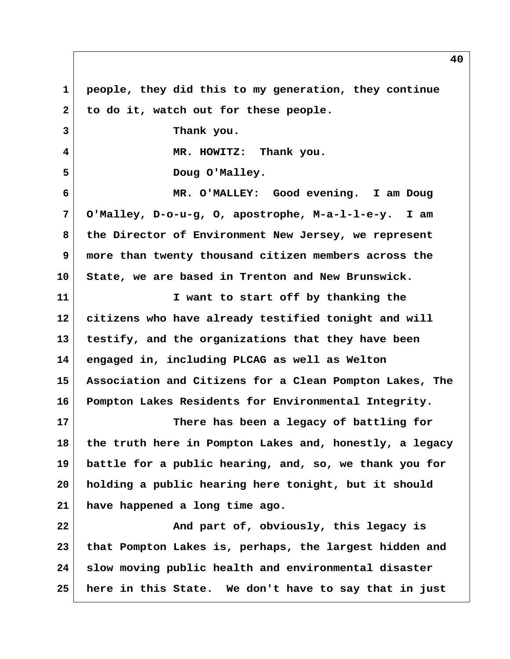**1 people, they did this to my generation, they continue** 2 to do it, watch out for these people.  **3 Thank you. 4 MR. HOWITZ: Thank you.** 5 Doug O'Malley.  **6 MR. O'MALLEY: Good evening. I am Doug 7 O'Malley, D-o-u-g, O, apostrophe, M-a-l-l-e-y. I am 8 the Director of Environment New Jersey, we represent 9 more than twenty thousand citizen members across the 10 State, we are based in Trenton and New Brunswick. 11 I want to start off by thanking the 12 citizens who have already testified tonight and will 13 testify, and the organizations that they have been 14 engaged in, including PLCAG as well as Welton 15 Association and Citizens for a Clean Pompton Lakes, The 16 Pompton Lakes Residents for Environmental Integrity. 17 There has been a legacy of battling for 18 the truth here in Pompton Lakes and, honestly, a legacy 19 battle for a public hearing, and, so, we thank you for 20 holding a public hearing here tonight, but it should 21 have happened a long time ago. 22 And part of, obviously, this legacy is 23 that Pompton Lakes is, perhaps, the largest hidden and 24 slow moving public health and environmental disaster 25 here in this State. We don't have to say that in just**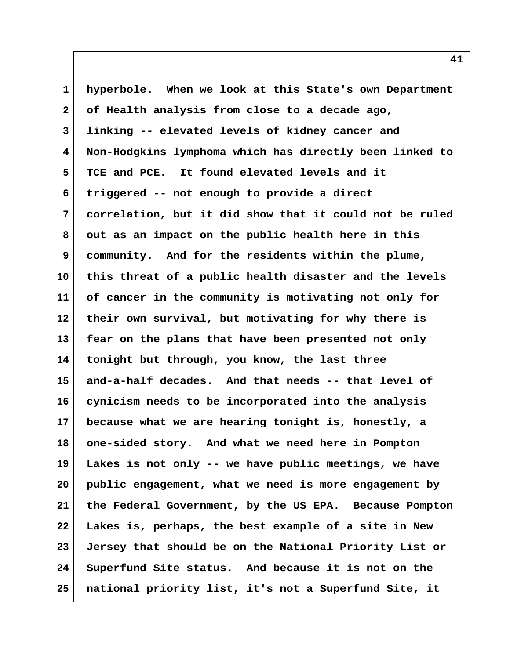**1 hyperbole. When we look at this State's own Department 2 of Health analysis from close to a decade ago, 3 linking -- elevated levels of kidney cancer and 4 Non-Hodgkins lymphoma which has directly been linked to 5 TCE and PCE. It found elevated levels and it 6 triggered -- not enough to provide a direct 7 correlation, but it did show that it could not be ruled 8 out as an impact on the public health here in this 9 community. And for the residents within the plume, 10 this threat of a public health disaster and the levels 11 of cancer in the community is motivating not only for 12 their own survival, but motivating for why there is 13 fear on the plans that have been presented not only 14 tonight but through, you know, the last three 15 and-a-half decades. And that needs -- that level of 16 cynicism needs to be incorporated into the analysis 17 because what we are hearing tonight is, honestly, a 18 one-sided story. And what we need here in Pompton 19 Lakes is not only -- we have public meetings, we have 20 public engagement, what we need is more engagement by 21 the Federal Government, by the US EPA. Because Pompton 22 Lakes is, perhaps, the best example of a site in New 23 Jersey that should be on the National Priority List or 24 Superfund Site status. And because it is not on the 25 national priority list, it's not a Superfund Site, it**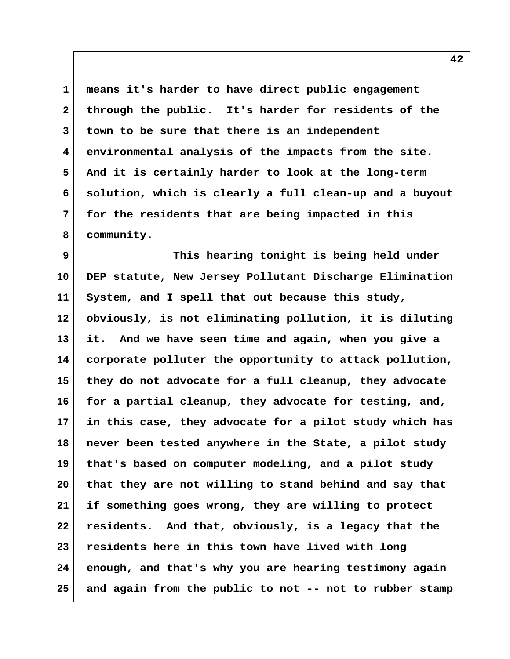**1 means it's harder to have direct public engagement 2 through the public. It's harder for residents of the 3 town to be sure that there is an independent 4 environmental analysis of the impacts from the site. 5 And it is certainly harder to look at the long-term 6 solution, which is clearly a full clean-up and a buyout 7 for the residents that are being impacted in this 8 community.**

 **9 This hearing tonight is being held under 10 DEP statute, New Jersey Pollutant Discharge Elimination 11 System, and I spell that out because this study, 12 obviously, is not eliminating pollution, it is diluting 13 it. And we have seen time and again, when you give a 14 corporate polluter the opportunity to attack pollution, 15 they do not advocate for a full cleanup, they advocate 16 for a partial cleanup, they advocate for testing, and, 17 in this case, they advocate for a pilot study which has 18 never been tested anywhere in the State, a pilot study 19 that's based on computer modeling, and a pilot study 20 that they are not willing to stand behind and say that 21 if something goes wrong, they are willing to protect 22 residents. And that, obviously, is a legacy that the 23 residents here in this town have lived with long 24 enough, and that's why you are hearing testimony again 25 and again from the public to not -- not to rubber stamp**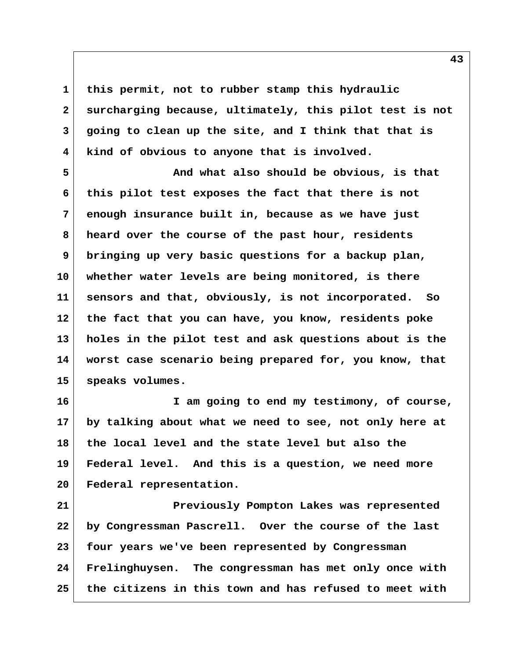**1 this permit, not to rubber stamp this hydraulic 2 surcharging because, ultimately, this pilot test is not 3 going to clean up the site, and I think that that is 4 kind of obvious to anyone that is involved.**

 **5 And what also should be obvious, is that 6 this pilot test exposes the fact that there is not 7 enough insurance built in, because as we have just 8 heard over the course of the past hour, residents 9 bringing up very basic questions for a backup plan, 10 whether water levels are being monitored, is there 11 sensors and that, obviously, is not incorporated. So 12 the fact that you can have, you know, residents poke 13 holes in the pilot test and ask questions about is the 14 worst case scenario being prepared for, you know, that 15 speaks volumes.**

**16 I am going to end my testimony, of course, 17 by talking about what we need to see, not only here at 18 the local level and the state level but also the 19 Federal level. And this is a question, we need more 20 Federal representation.**

**21 Previously Pompton Lakes was represented 22 by Congressman Pascrell. Over the course of the last 23 four years we've been represented by Congressman 24 Frelinghuysen. The congressman has met only once with 25 the citizens in this town and has refused to meet with**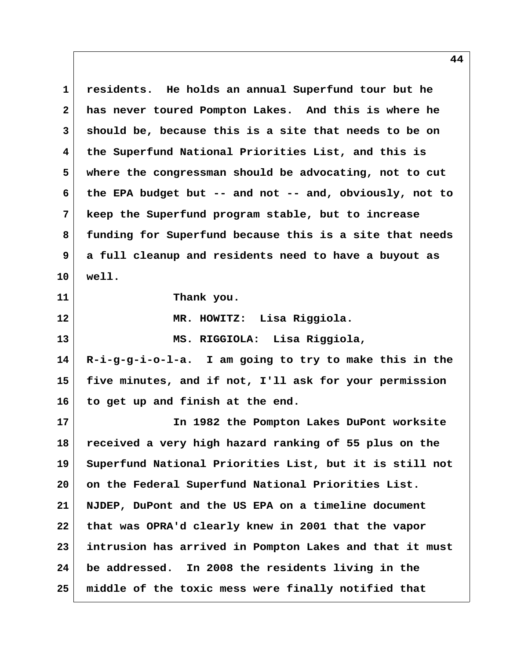**1 residents. He holds an annual Superfund tour but he 2 has never toured Pompton Lakes. And this is where he 3 should be, because this is a site that needs to be on 4 the Superfund National Priorities List, and this is 5 where the congressman should be advocating, not to cut 6 the EPA budget but -- and not -- and, obviously, not to 7 keep the Superfund program stable, but to increase 8 funding for Superfund because this is a site that needs 9 a full cleanup and residents need to have a buyout as 10 well. 11 Thank you. 12 MR. HOWITZ: Lisa Riggiola. 13 MS. RIGGIOLA: Lisa Riggiola, 14 R-i-g-g-i-o-l-a. I am going to try to make this in the 15 five minutes, and if not, I'll ask for your permission 16 to get up and finish at the end. 17 In 1982 the Pompton Lakes DuPont worksite 18 received a very high hazard ranking of 55 plus on the 19 Superfund National Priorities List, but it is still not 20 on the Federal Superfund National Priorities List. 21 NJDEP, DuPont and the US EPA on a timeline document 22 that was OPRA'd clearly knew in 2001 that the vapor 23 intrusion has arrived in Pompton Lakes and that it must 24 be addressed. In 2008 the residents living in the**

**25 middle of the toxic mess were finally notified that**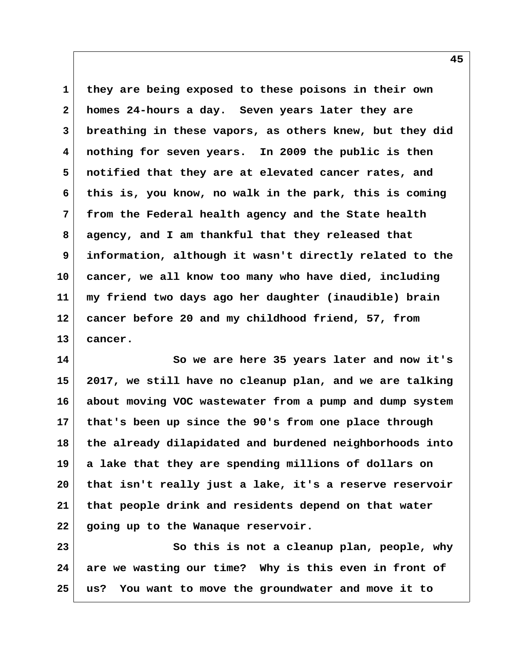**1 they are being exposed to these poisons in their own 2 homes 24-hours a day. Seven years later they are 3 breathing in these vapors, as others knew, but they did 4 nothing for seven years. In 2009 the public is then 5 notified that they are at elevated cancer rates, and 6 this is, you know, no walk in the park, this is coming 7 from the Federal health agency and the State health 8 agency, and I am thankful that they released that 9 information, although it wasn't directly related to the 10 cancer, we all know too many who have died, including 11 my friend two days ago her daughter (inaudible) brain 12 cancer before 20 and my childhood friend, 57, from 13 cancer.**

**14 So we are here 35 years later and now it's 15 2017, we still have no cleanup plan, and we are talking 16 about moving VOC wastewater from a pump and dump system 17 that's been up since the 90's from one place through 18 the already dilapidated and burdened neighborhoods into 19 a lake that they are spending millions of dollars on 20 that isn't really just a lake, it's a reserve reservoir 21 that people drink and residents depend on that water 22 going up to the Wanaque reservoir.**

**23** So this is not a cleanup plan, people, why **24 are we wasting our time? Why is this even in front of 25 us? You want to move the groundwater and move it to**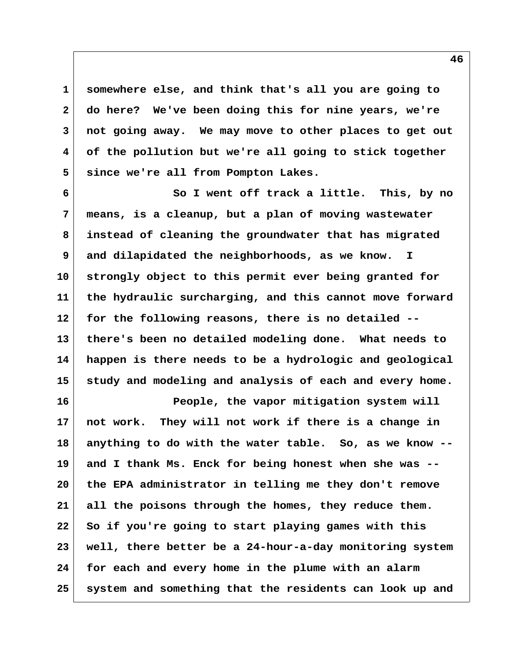**1 somewhere else, and think that's all you are going to 2 do here? We've been doing this for nine years, we're 3 not going away. We may move to other places to get out 4 of the pollution but we're all going to stick together 5 since we're all from Pompton Lakes.**

 **6 So I went off track a little. This, by no 7 means, is a cleanup, but a plan of moving wastewater 8 instead of cleaning the groundwater that has migrated 9 and dilapidated the neighborhoods, as we know. I 10 strongly object to this permit ever being granted for 11 the hydraulic surcharging, and this cannot move forward 12 for the following reasons, there is no detailed -- 13 there's been no detailed modeling done. What needs to 14 happen is there needs to be a hydrologic and geological 15 study and modeling and analysis of each and every home.**

**16 People, the vapor mitigation system will 17 not work. They will not work if there is a change in 18 anything to do with the water table. So, as we know -- 19 and I thank Ms. Enck for being honest when she was -- 20 the EPA administrator in telling me they don't remove 21 all the poisons through the homes, they reduce them. 22 So if you're going to start playing games with this 23 well, there better be a 24-hour-a-day monitoring system 24 for each and every home in the plume with an alarm 25 system and something that the residents can look up and**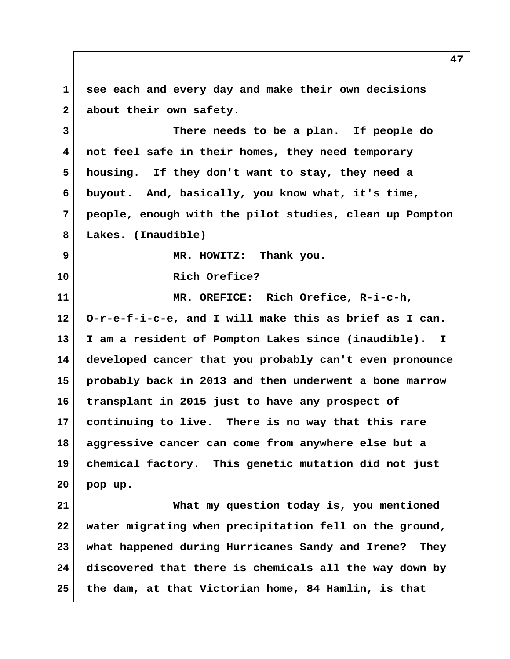**1 see each and every day and make their own decisions** 2 about their own safety.

 **3 There needs to be a plan. If people do 4 not feel safe in their homes, they need temporary 5 housing. If they don't want to stay, they need a 6 buyout. And, basically, you know what, it's time, 7 people, enough with the pilot studies, clean up Pompton 8 Lakes. (Inaudible)**

 **9 MR. HOWITZ: Thank you.**

**10 Rich Orefice?**

**11 MR. OREFICE: Rich Orefice, R-i-c-h, 12 O-r-e-f-i-c-e, and I will make this as brief as I can. 13 I am a resident of Pompton Lakes since (inaudible). I 14 developed cancer that you probably can't even pronounce 15 probably back in 2013 and then underwent a bone marrow 16 transplant in 2015 just to have any prospect of 17 continuing to live. There is no way that this rare 18 aggressive cancer can come from anywhere else but a 19 chemical factory. This genetic mutation did not just 20 pop up.**

**21 What my question today is, you mentioned 22 water migrating when precipitation fell on the ground, 23 what happened during Hurricanes Sandy and Irene? They 24 discovered that there is chemicals all the way down by 25 the dam, at that Victorian home, 84 Hamlin, is that**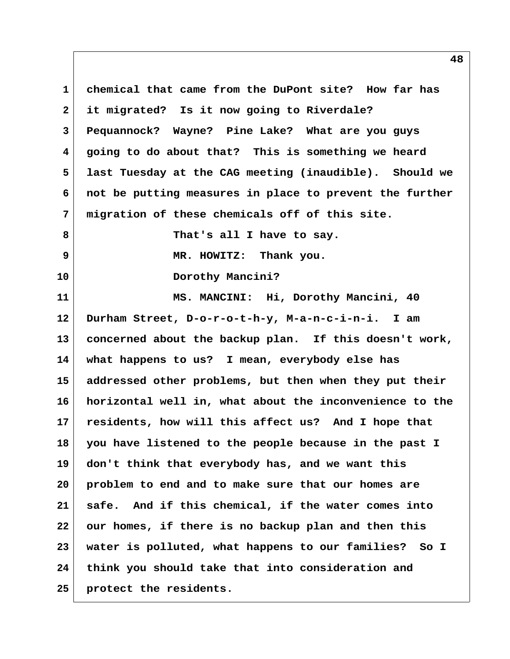**1 chemical that came from the DuPont site? How far has 2 it migrated? Is it now going to Riverdale? 3 Pequannock? Wayne? Pine Lake? What are you guys 4 going to do about that? This is something we heard 5 last Tuesday at the CAG meeting (inaudible). Should we 6 not be putting measures in place to prevent the further 7 migration of these chemicals off of this site. 8 That's all I have to say. 9 MR. HOWITZ: Thank you. 10 Dorothy Mancini?** 11 MS. MANCINI: Hi, Dorothy Mancini, 40 **12 Durham Street, D-o-r-o-t-h-y, M-a-n-c-i-n-i. I am 13 concerned about the backup plan. If this doesn't work, 14 what happens to us? I mean, everybody else has 15 addressed other problems, but then when they put their 16 horizontal well in, what about the inconvenience to the 17 residents, how will this affect us? And I hope that 18 you have listened to the people because in the past I 19 don't think that everybody has, and we want this 20 problem to end and to make sure that our homes are 21 safe. And if this chemical, if the water comes into 22 our homes, if there is no backup plan and then this 23 water is polluted, what happens to our families? So I 24 think you should take that into consideration and 25 protect the residents.**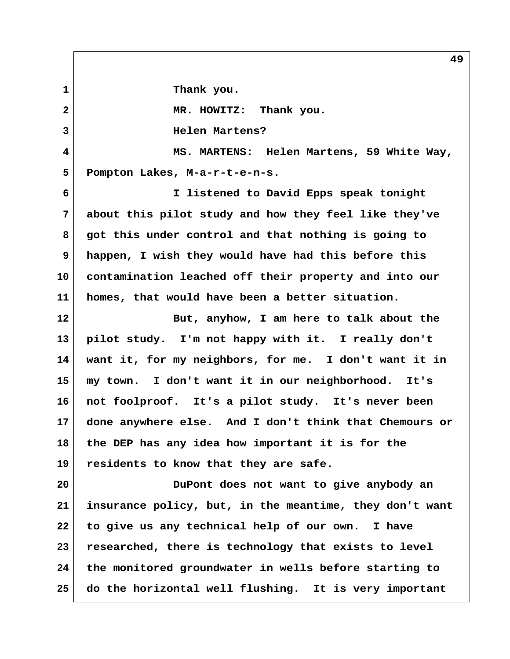**1 Thank you. 2 MR. HOWITZ: Thank you. 3 Helen Martens? 4 MS. MARTENS: Helen Martens, 59 White Way, 5 Pompton Lakes, M-a-r-t-e-n-s. 6 I listened to David Epps speak tonight 7 about this pilot study and how they feel like they've 8 got this under control and that nothing is going to 9 happen, I wish they would have had this before this 10 contamination leached off their property and into our 11 homes, that would have been a better situation. 12 But, anyhow, I am here to talk about the 13 pilot study. I'm not happy with it. I really don't 14 want it, for my neighbors, for me. I don't want it in 15 my town. I don't want it in our neighborhood. It's 16 not foolproof. It's a pilot study. It's never been 17 done anywhere else. And I don't think that Chemours or 18 the DEP has any idea how important it is for the 19 residents to know that they are safe. 20 DuPont does not want to give anybody an 21 insurance policy, but, in the meantime, they don't want 22 to give us any technical help of our own. I have 23 researched, there is technology that exists to level 24 the monitored groundwater in wells before starting to**

**25 do the horizontal well flushing. It is very important**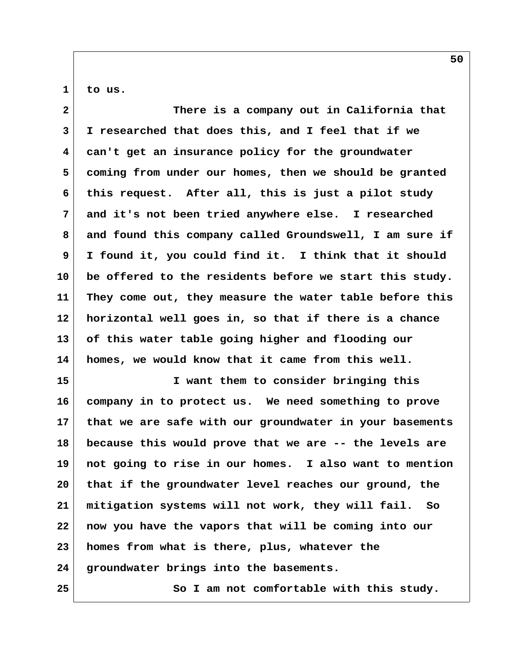$1$  to us.

| $\overline{2}$ | There is a company out in California that               |
|----------------|---------------------------------------------------------|
| 3              | I researched that does this, and I feel that if we      |
| 4              | can't get an insurance policy for the groundwater       |
| 5              | coming from under our homes, then we should be granted  |
| 6              | this request. After all, this is just a pilot study     |
| 7              | and it's not been tried anywhere else. I researched     |
| 8              | and found this company called Groundswell, I am sure if |
| 9              | I found it, you could find it. I think that it should   |
| 10             | be offered to the residents before we start this study. |
| 11             | They come out, they measure the water table before this |
| 12             | horizontal well goes in, so that if there is a chance   |
| 13             | of this water table going higher and flooding our       |
| 14             | homes, we would know that it came from this well.       |
| 15             | I want them to consider bringing this                   |
| 16             | company in to protect us. We need something to prove    |
| 17             | that we are safe with our groundwater in your basements |
| 18             | because this would prove that we are -- the levels are  |
| 19             | not going to rise in our homes. I also want to mention  |
| 20             | that if the groundwater level reaches our ground, the   |
| 21             | mitigation systems will not work, they will fail.<br>So |
| 22             | now you have the vapors that will be coming into our    |
| 23             | homes from what is there, plus, whatever the            |
| 24             | groundwater brings into the basements.                  |
| 25             | So I am not comfortable with this study.                |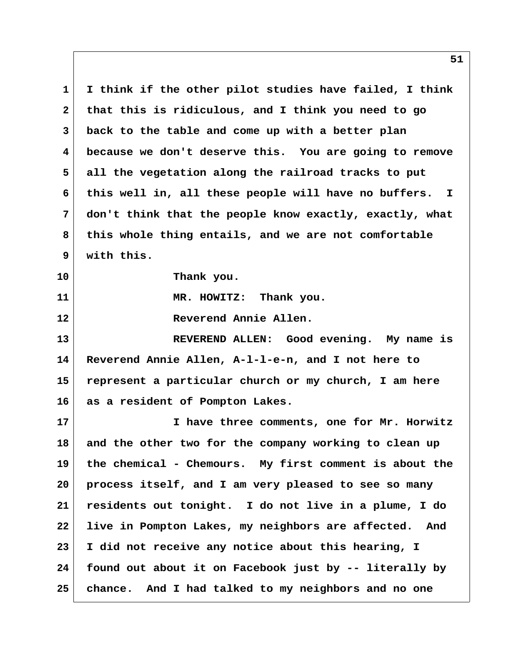**1 I think if the other pilot studies have failed, I think 2 that this is ridiculous, and I think you need to go 3 back to the table and come up with a better plan 4 because we don't deserve this. You are going to remove 5 all the vegetation along the railroad tracks to put 6 this well in, all these people will have no buffers. I 7 don't think that the people know exactly, exactly, what 8 this whole thing entails, and we are not comfortable 9 with this. 10 Thank you. 11 MR. HOWITZ: Thank you. 12 Reverend Annie Allen. 13 REVEREND ALLEN: Good evening. My name is 14 Reverend Annie Allen, A-l-l-e-n, and I not here to 15 represent a particular church or my church, I am here 16 as a resident of Pompton Lakes. 17 I have three comments, one for Mr. Horwitz 18 and the other two for the company working to clean up 19 the chemical - Chemours. My first comment is about the 20 process itself, and I am very pleased to see so many 21 residents out tonight. I do not live in a plume, I do 22 live in Pompton Lakes, my neighbors are affected. And 23 I did not receive any notice about this hearing, I 24 found out about it on Facebook just by -- literally by 25 chance. And I had talked to my neighbors and no one**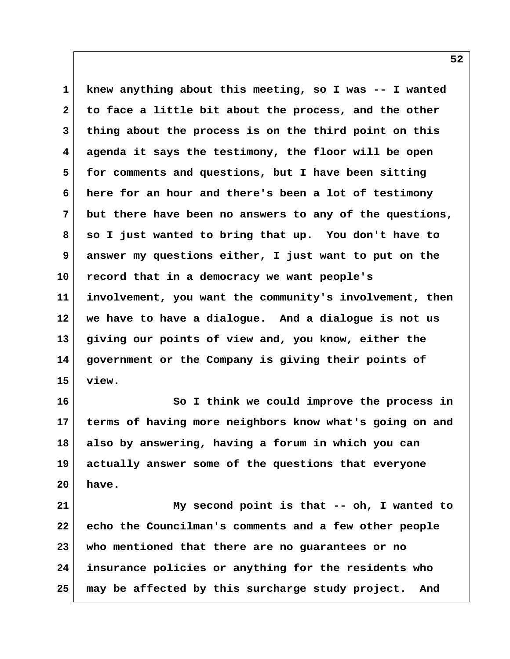**1 knew anything about this meeting, so I was -- I wanted 2 to face a little bit about the process, and the other 3 thing about the process is on the third point on this 4 agenda it says the testimony, the floor will be open 5 for comments and questions, but I have been sitting 6 here for an hour and there's been a lot of testimony 7 but there have been no answers to any of the questions, 8 so I just wanted to bring that up. You don't have to 9 answer my questions either, I just want to put on the 10 record that in a democracy we want people's 11 involvement, you want the community's involvement, then 12 we have to have a dialogue. And a dialogue is not us 13 giving our points of view and, you know, either the 14 government or the Company is giving their points of 15 view.**

**16 So I think we could improve the process in 17 terms of having more neighbors know what's going on and 18 also by answering, having a forum in which you can 19 actually answer some of the questions that everyone 20 have.**

**21 My second point is that -- oh, I wanted to 22 echo the Councilman's comments and a few other people 23 who mentioned that there are no guarantees or no 24 insurance policies or anything for the residents who 25 may be affected by this surcharge study project. And**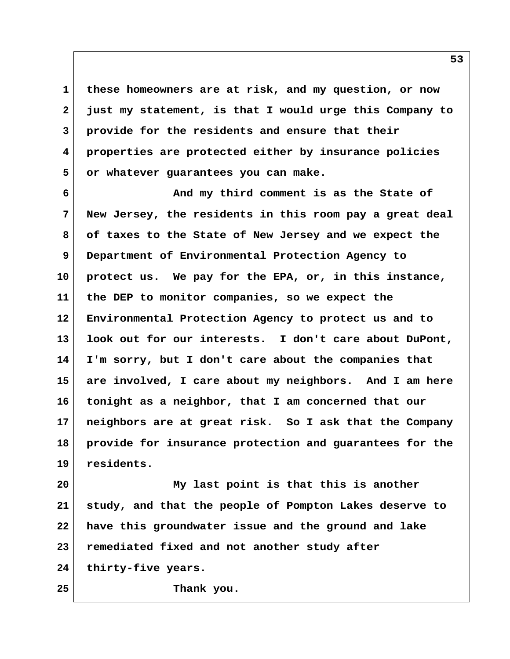**1 these homeowners are at risk, and my question, or now 2 just my statement, is that I would urge this Company to 3 provide for the residents and ensure that their 4 properties are protected either by insurance policies 5 or whatever guarantees you can make.**

 **6 And my third comment is as the State of 7 New Jersey, the residents in this room pay a great deal 8 of taxes to the State of New Jersey and we expect the 9 Department of Environmental Protection Agency to 10 protect us. We pay for the EPA, or, in this instance, 11 the DEP to monitor companies, so we expect the 12 Environmental Protection Agency to protect us and to 13 look out for our interests. I don't care about DuPont, 14 I'm sorry, but I don't care about the companies that 15 are involved, I care about my neighbors. And I am here 16 tonight as a neighbor, that I am concerned that our 17 neighbors are at great risk. So I ask that the Company 18 provide for insurance protection and guarantees for the 19 residents.**

**20 My last point is that this is another 21 study, and that the people of Pompton Lakes deserve to 22 have this groundwater issue and the ground and lake 23 remediated fixed and not another study after 24 thirty-five years.**

**25 Thank you.**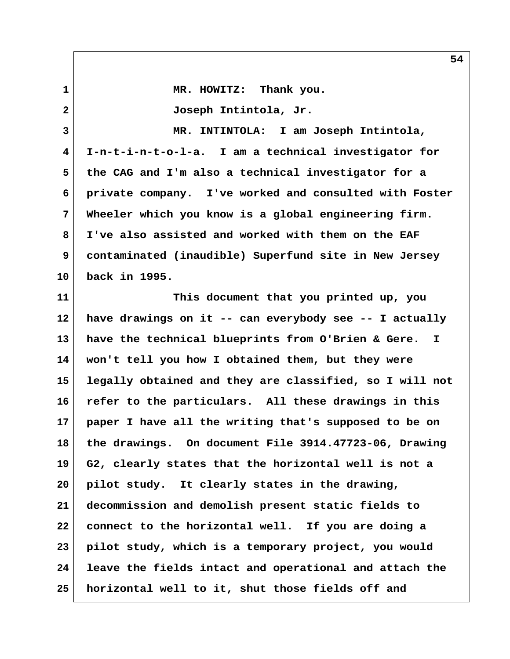1 MR. HOWITZ: Thank you.  **2 Joseph Intintola, Jr. 3 MR. INTINTOLA: I am Joseph Intintola, 4 I-n-t-i-n-t-o-l-a. I am a technical investigator for 5 the CAG and I'm also a technical investigator for a 6 private company. I've worked and consulted with Foster 7 Wheeler which you know is a global engineering firm. 8 I've also assisted and worked with them on the EAF 9 contaminated (inaudible) Superfund site in New Jersey 10 back in 1995. 11 This document that you printed up, you 12 have drawings on it -- can everybody see -- I actually 13 have the technical blueprints from O'Brien & Gere. I 14 won't tell you how I obtained them, but they were 15 legally obtained and they are classified, so I will not 16 refer to the particulars. All these drawings in this 17 paper I have all the writing that's supposed to be on 18 the drawings. On document File 3914.47723-06, Drawing 19 G2, clearly states that the horizontal well is not a 20 pilot study. It clearly states in the drawing, 21 decommission and demolish present static fields to 22 connect to the horizontal well. If you are doing a 23 pilot study, which is a temporary project, you would 24 leave the fields intact and operational and attach the 25 horizontal well to it, shut those fields off and**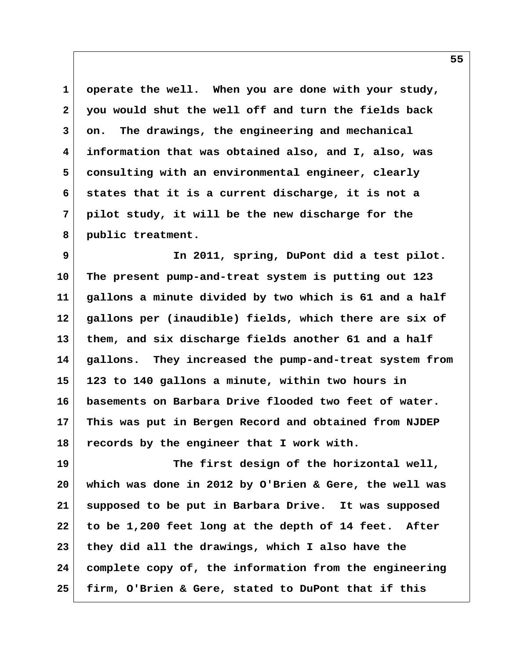**1 operate the well. When you are done with your study, 2 you would shut the well off and turn the fields back 3 on. The drawings, the engineering and mechanical 4 information that was obtained also, and I, also, was 5 consulting with an environmental engineer, clearly 6 states that it is a current discharge, it is not a 7 pilot study, it will be the new discharge for the 8 public treatment.**

 **9 In 2011, spring, DuPont did a test pilot. 10 The present pump-and-treat system is putting out 123 11 gallons a minute divided by two which is 61 and a half 12 gallons per (inaudible) fields, which there are six of 13 them, and six discharge fields another 61 and a half 14 gallons. They increased the pump-and-treat system from 15 123 to 140 gallons a minute, within two hours in 16 basements on Barbara Drive flooded two feet of water. 17 This was put in Bergen Record and obtained from NJDEP 18 records by the engineer that I work with.**

**19 The first design of the horizontal well, 20 which was done in 2012 by O'Brien & Gere, the well was 21 supposed to be put in Barbara Drive. It was supposed 22 to be 1,200 feet long at the depth of 14 feet. After 23 they did all the drawings, which I also have the 24 complete copy of, the information from the engineering 25 firm, O'Brien & Gere, stated to DuPont that if this**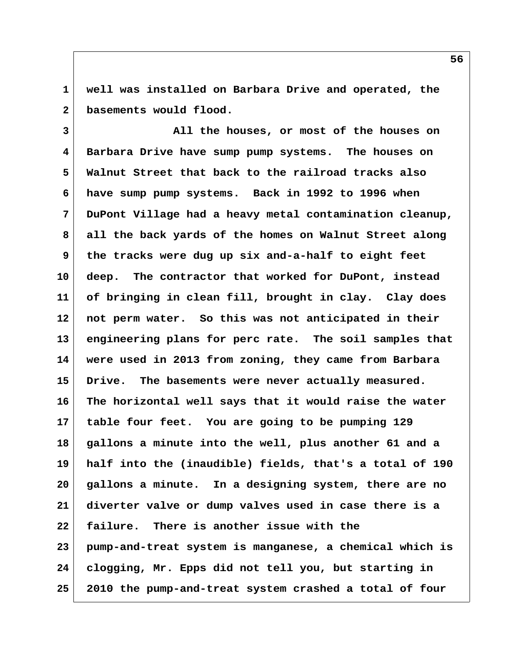**1 well was installed on Barbara Drive and operated, the 2 basements would flood.**

 **3 All the houses, or most of the houses on 4 Barbara Drive have sump pump systems. The houses on 5 Walnut Street that back to the railroad tracks also 6 have sump pump systems. Back in 1992 to 1996 when 7 DuPont Village had a heavy metal contamination cleanup, 8 all the back yards of the homes on Walnut Street along 9 the tracks were dug up six and-a-half to eight feet 10 deep. The contractor that worked for DuPont, instead 11 of bringing in clean fill, brought in clay. Clay does 12 not perm water. So this was not anticipated in their 13 engineering plans for perc rate. The soil samples that 14 were used in 2013 from zoning, they came from Barbara 15 Drive. The basements were never actually measured. 16 The horizontal well says that it would raise the water 17 table four feet. You are going to be pumping 129 18 gallons a minute into the well, plus another 61 and a 19 half into the (inaudible) fields, that's a total of 190 20 gallons a minute. In a designing system, there are no 21 diverter valve or dump valves used in case there is a 22 failure. There is another issue with the 23 pump-and-treat system is manganese, a chemical which is 24 clogging, Mr. Epps did not tell you, but starting in 25 2010 the pump-and-treat system crashed a total of four**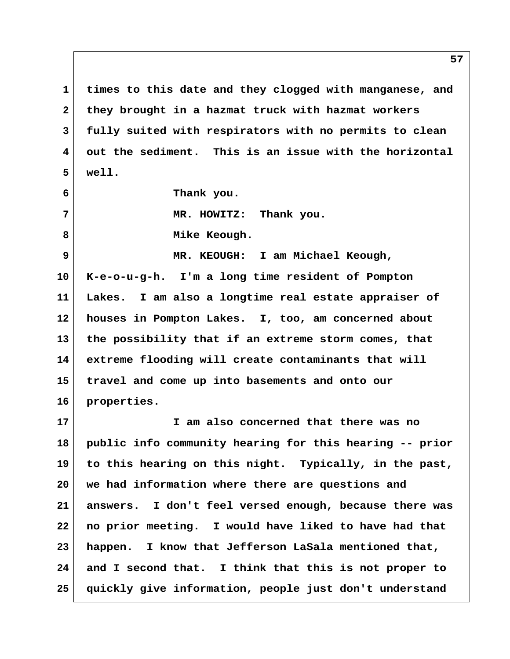**1 times to this date and they clogged with manganese, and 2 they brought in a hazmat truck with hazmat workers 3 fully suited with respirators with no permits to clean 4 out the sediment. This is an issue with the horizontal 5 well.**

 **6 Thank you.**

 **7 MR. HOWITZ: Thank you.**

8 Mike Keough.

 **9 MR. KEOUGH: I am Michael Keough, 10 K-e-o-u-g-h. I'm a long time resident of Pompton 11 Lakes. I am also a longtime real estate appraiser of 12 houses in Pompton Lakes. I, too, am concerned about 13 the possibility that if an extreme storm comes, that 14 extreme flooding will create contaminants that will 15 travel and come up into basements and onto our 16 properties.**

**17 I am also concerned that there was no 18 public info community hearing for this hearing -- prior 19 to this hearing on this night. Typically, in the past, 20 we had information where there are questions and 21 answers. I don't feel versed enough, because there was 22 no prior meeting. I would have liked to have had that 23 happen. I know that Jefferson LaSala mentioned that, 24 and I second that. I think that this is not proper to 25 quickly give information, people just don't understand**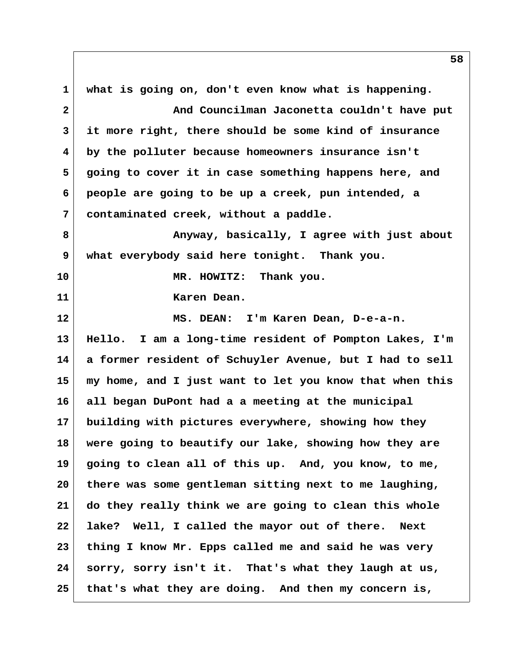**1 what is going on, don't even know what is happening. 2 And Councilman Jaconetta couldn't have put 3 it more right, there should be some kind of insurance 4 by the polluter because homeowners insurance isn't 5 going to cover it in case something happens here, and 6 people are going to be up a creek, pun intended, a 7 contaminated creek, without a paddle. 8 Anyway, basically, I agree with just about 9 what everybody said here tonight. Thank you. 10 MR. HOWITZ: Thank you. 11 Karen Dean. 12 MS. DEAN: I'm Karen Dean, D-e-a-n. 13 Hello. I am a long-time resident of Pompton Lakes, I'm 14 a former resident of Schuyler Avenue, but I had to sell 15 my home, and I just want to let you know that when this 16 all began DuPont had a a meeting at the municipal 17 building with pictures everywhere, showing how they 18 were going to beautify our lake, showing how they are 19 going to clean all of this up. And, you know, to me, 20 there was some gentleman sitting next to me laughing, 21 do they really think we are going to clean this whole 22 lake? Well, I called the mayor out of there. Next 23 thing I know Mr. Epps called me and said he was very 24 sorry, sorry isn't it. That's what they laugh at us, 25 that's what they are doing. And then my concern is,**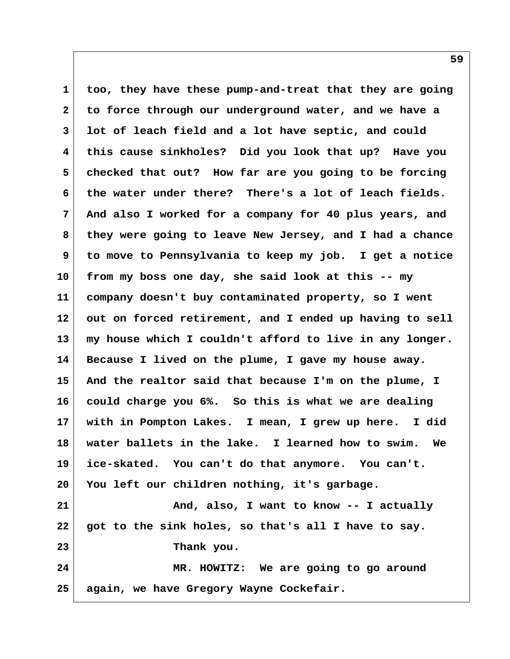**1 too, they have these pump-and-treat that they are going 2 to force through our underground water, and we have a 3 lot of leach field and a lot have septic, and could 4 this cause sinkholes? Did you look that up? Have you 5 checked that out? How far are you going to be forcing 6 the water under there? There's a lot of leach fields. 7 And also I worked for a company for 40 plus years, and 8 they were going to leave New Jersey, and I had a chance 9 to move to Pennsylvania to keep my job. I get a notice 10 from my boss one day, she said look at this -- my 11 company doesn't buy contaminated property, so I went 12 out on forced retirement, and I ended up having to sell 13 my house which I couldn't afford to live in any longer. 14 Because I lived on the plume, I gave my house away. 15 And the realtor said that because I'm on the plume, I 16 could charge you 6%. So this is what we are dealing 17 with in Pompton Lakes. I mean, I grew up here. I did 18 water ballets in the lake. I learned how to swim. We 19 ice-skated. You can't do that anymore. You can't. 20 You left our children nothing, it's garbage. 21 And, also, I want to know -- I actually 22 got to the sink holes, so that's all I have to say. 23 Thank you. 24 MR. HOWITZ: We are going to go around 25 again, we have Gregory Wayne Cockefair.**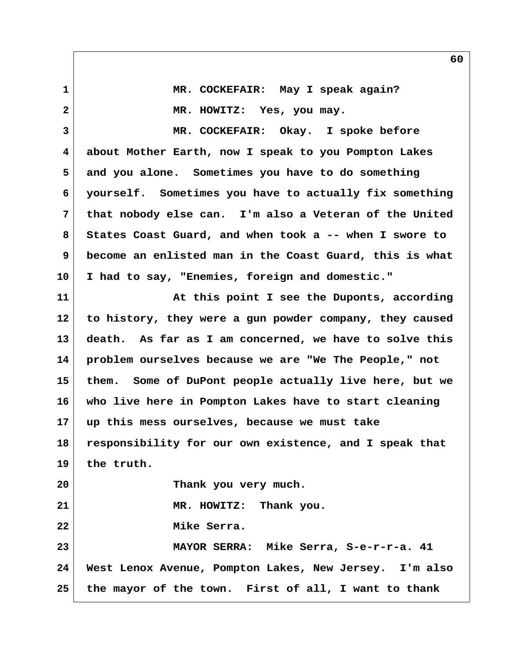**1 MR. COCKEFAIR: May I speak again? 2 MR. HOWITZ: Yes, you may. 3 MR. COCKEFAIR: Okay. I spoke before 4 about Mother Earth, now I speak to you Pompton Lakes 5 and you alone. Sometimes you have to do something 6 yourself. Sometimes you have to actually fix something 7 that nobody else can. I'm also a Veteran of the United 8 States Coast Guard, and when took a -- when I swore to 9 become an enlisted man in the Coast Guard, this is what 10 I had to say, "Enemies, foreign and domestic." 11 At this point I see the Duponts, according 12 to history, they were a gun powder company, they caused 13 death. As far as I am concerned, we have to solve this 14 problem ourselves because we are "We The People," not 15 them. Some of DuPont people actually live here, but we 16 who live here in Pompton Lakes have to start cleaning 17 up this mess ourselves, because we must take 18 responsibility for our own existence, and I speak that 19 the truth. 20 Thank you very much. 21 MR. HOWITZ: Thank you. 22 Mike Serra. 23 MAYOR SERRA: Mike Serra, S-e-r-r-a. 41 24 West Lenox Avenue, Pompton Lakes, New Jersey. I'm also 25 the mayor of the town. First of all, I want to thank**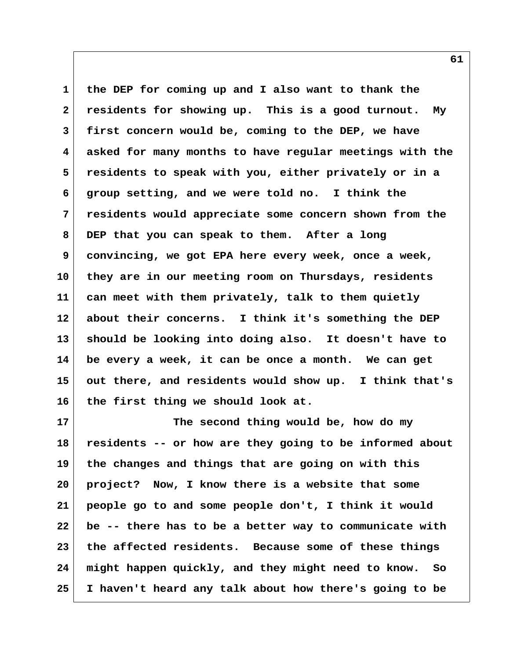**1 the DEP for coming up and I also want to thank the 2 residents for showing up. This is a good turnout. My 3 first concern would be, coming to the DEP, we have 4 asked for many months to have regular meetings with the 5 residents to speak with you, either privately or in a 6 group setting, and we were told no. I think the 7 residents would appreciate some concern shown from the 8 DEP that you can speak to them. After a long 9 convincing, we got EPA here every week, once a week, 10 they are in our meeting room on Thursdays, residents 11 can meet with them privately, talk to them quietly 12 about their concerns. I think it's something the DEP 13 should be looking into doing also. It doesn't have to 14 be every a week, it can be once a month. We can get 15 out there, and residents would show up. I think that's 16 the first thing we should look at.**

**17 The second thing would be, how do my 18 residents -- or how are they going to be informed about 19 the changes and things that are going on with this 20 project? Now, I know there is a website that some 21 people go to and some people don't, I think it would 22 be -- there has to be a better way to communicate with 23 the affected residents. Because some of these things 24 might happen quickly, and they might need to know. So 25 I haven't heard any talk about how there's going to be**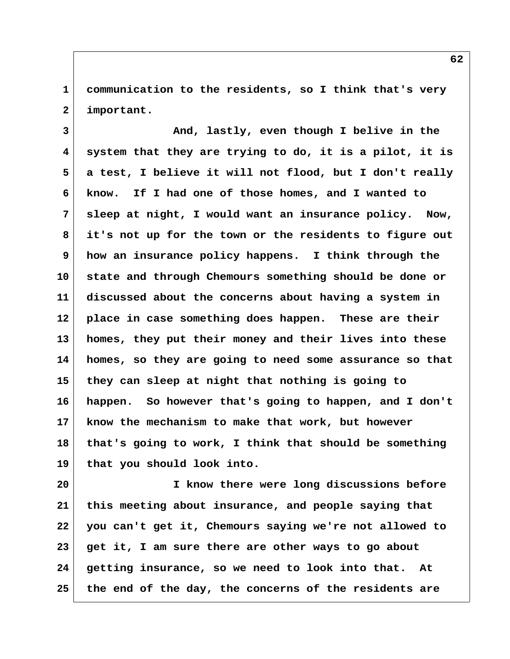**1 communication to the residents, so I think that's very 2 important.**

 **3 And, lastly, even though I belive in the 4 system that they are trying to do, it is a pilot, it is 5 a test, I believe it will not flood, but I don't really 6 know. If I had one of those homes, and I wanted to 7 sleep at night, I would want an insurance policy. Now, 8 it's not up for the town or the residents to figure out 9 how an insurance policy happens. I think through the 10 state and through Chemours something should be done or 11 discussed about the concerns about having a system in 12 place in case something does happen. These are their 13 homes, they put their money and their lives into these 14 homes, so they are going to need some assurance so that 15 they can sleep at night that nothing is going to 16 happen. So however that's going to happen, and I don't 17 know the mechanism to make that work, but however 18 that's going to work, I think that should be something 19 that you should look into.**

**20 I know there were long discussions before 21 this meeting about insurance, and people saying that 22 you can't get it, Chemours saying we're not allowed to 23 get it, I am sure there are other ways to go about 24 getting insurance, so we need to look into that. At 25 the end of the day, the concerns of the residents are**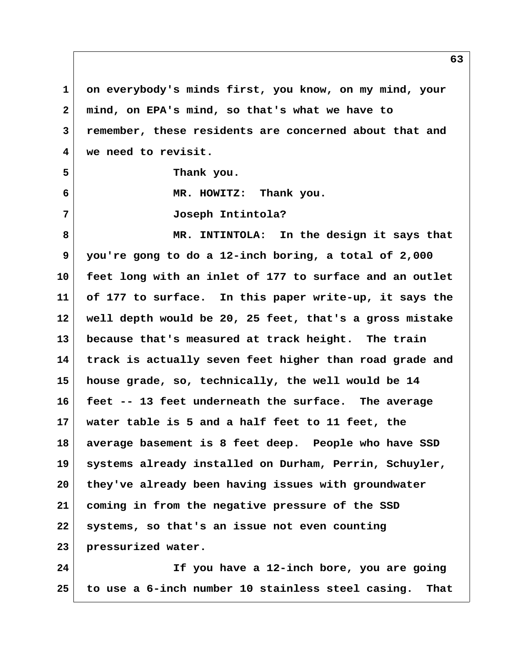**1 on everybody's minds first, you know, on my mind, your 2 mind, on EPA's mind, so that's what we have to 3 remember, these residents are concerned about that and 4 we need to revisit. 5 Thank you. 6 MR. HOWITZ: Thank you. 7 Joseph Intintola? 8 MR. INTINTOLA: In the design it says that 9 you're gong to do a 12-inch boring, a total of 2,000 10 feet long with an inlet of 177 to surface and an outlet 11 of 177 to surface. In this paper write-up, it says the 12 well depth would be 20, 25 feet, that's a gross mistake 13 because that's measured at track height. The train 14 track is actually seven feet higher than road grade and 15 house grade, so, technically, the well would be 14 16 feet -- 13 feet underneath the surface. The average 17 water table is 5 and a half feet to 11 feet, the 18 average basement is 8 feet deep. People who have SSD 19 systems already installed on Durham, Perrin, Schuyler, 20 they've already been having issues with groundwater 21 coming in from the negative pressure of the SSD 22 systems, so that's an issue not even counting 23 pressurized water.**

**24 If you have a 12-inch bore, you are going 25 to use a 6-inch number 10 stainless steel casing. That**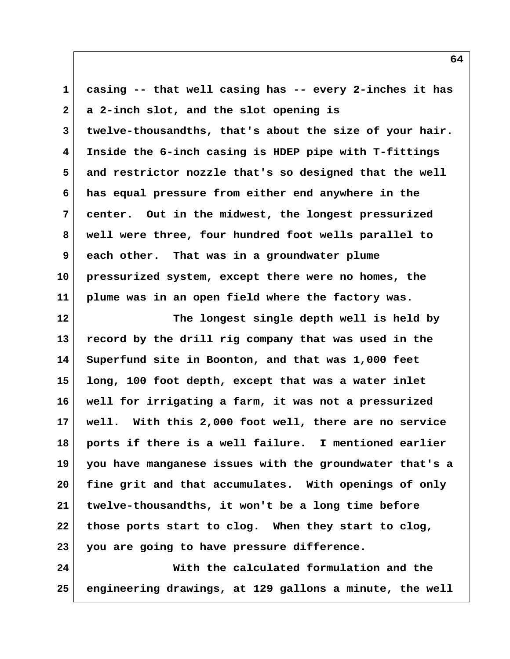**1 casing -- that well casing has -- every 2-inches it has 2 a 2-inch slot, and the slot opening is 3 twelve-thousandths, that's about the size of your hair. 4 Inside the 6-inch casing is HDEP pipe with T-fittings 5 and restrictor nozzle that's so designed that the well 6 has equal pressure from either end anywhere in the 7 center. Out in the midwest, the longest pressurized 8 well were three, four hundred foot wells parallel to 9 each other. That was in a groundwater plume 10 pressurized system, except there were no homes, the 11 plume was in an open field where the factory was. 12 The longest single depth well is held by 13 record by the drill rig company that was used in the 14 Superfund site in Boonton, and that was 1,000 feet 15 long, 100 foot depth, except that was a water inlet 16 well for irrigating a farm, it was not a pressurized 17 well. With this 2,000 foot well, there are no service 18 ports if there is a well failure. I mentioned earlier 19 you have manganese issues with the groundwater that's a 20 fine grit and that accumulates. With openings of only 21 twelve-thousandths, it won't be a long time before 22 those ports start to clog. When they start to clog, 23 you are going to have pressure difference. 24 With the calculated formulation and the 25 engineering drawings, at 129 gallons a minute, the well**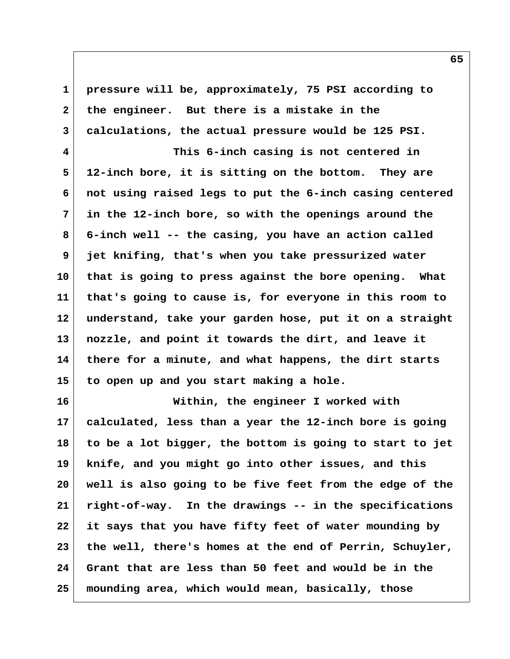**1 pressure will be, approximately, 75 PSI according to 2 the engineer. But there is a mistake in the 3 calculations, the actual pressure would be 125 PSI.**

 **4 This 6-inch casing is not centered in 5 12-inch bore, it is sitting on the bottom. They are 6 not using raised legs to put the 6-inch casing centered 7 in the 12-inch bore, so with the openings around the 8 6-inch well -- the casing, you have an action called 9 jet knifing, that's when you take pressurized water 10 that is going to press against the bore opening. What 11 that's going to cause is, for everyone in this room to 12 understand, take your garden hose, put it on a straight 13 nozzle, and point it towards the dirt, and leave it 14 there for a minute, and what happens, the dirt starts 15 to open up and you start making a hole.**

**16 Within, the engineer I worked with 17 calculated, less than a year the 12-inch bore is going 18 to be a lot bigger, the bottom is going to start to jet 19 knife, and you might go into other issues, and this 20 well is also going to be five feet from the edge of the 21 right-of-way. In the drawings -- in the specifications 22 it says that you have fifty feet of water mounding by 23 the well, there's homes at the end of Perrin, Schuyler, 24 Grant that are less than 50 feet and would be in the 25 mounding area, which would mean, basically, those**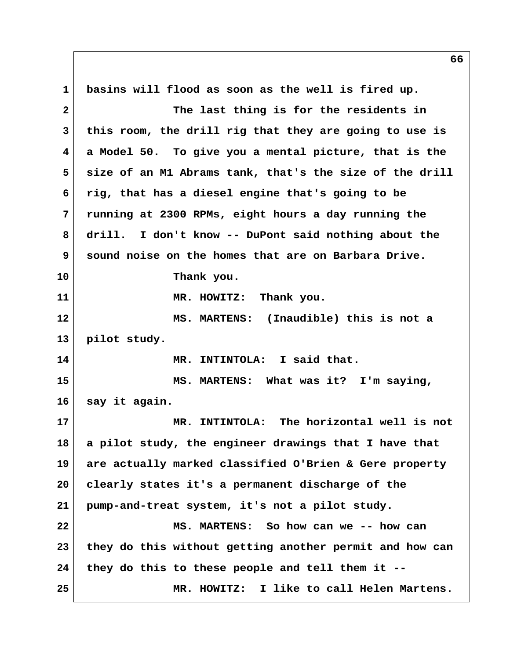**1 basins will flood as soon as the well is fired up. 2 The last thing is for the residents in 3 this room, the drill rig that they are going to use is 4 a Model 50. To give you a mental picture, that is the 5 size of an M1 Abrams tank, that's the size of the drill 6 rig, that has a diesel engine that's going to be 7 running at 2300 RPMs, eight hours a day running the 8 drill. I don't know -- DuPont said nothing about the 9 sound noise on the homes that are on Barbara Drive. 10 Thank you. 11 MR. HOWITZ: Thank you. 12 MS. MARTENS: (Inaudible) this is not a 13 pilot study. 14 MR. INTINTOLA: I said that. 15 MS. MARTENS: What was it? I'm saying, 16 say it again. 17 MR. INTINTOLA: The horizontal well is not 18 a pilot study, the engineer drawings that I have that 19 are actually marked classified O'Brien & Gere property 20 clearly states it's a permanent discharge of the 21 pump-and-treat system, it's not a pilot study. 22 MS. MARTENS: So how can we -- how can 23 they do this without getting another permit and how can 24 they do this to these people and tell them it -- 25 MR. HOWITZ: I like to call Helen Martens.**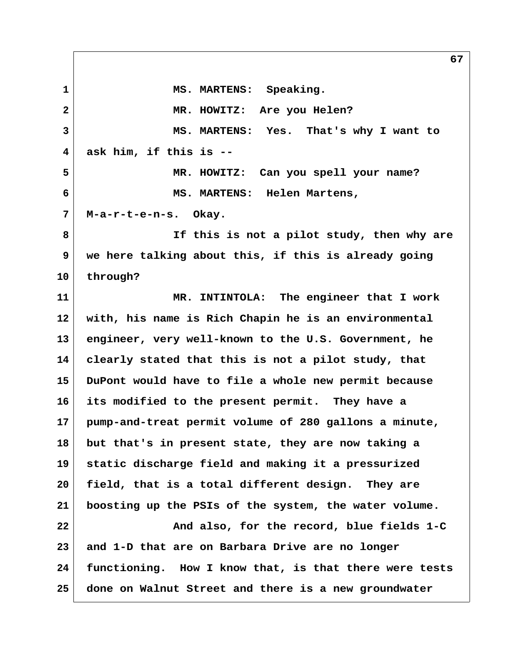1 MS. MARTENS: Speaking.  **2 MR. HOWITZ: Are you Helen? 3 MS. MARTENS: Yes. That's why I want to 4 ask him, if this is -- 5 MR. HOWITZ: Can you spell your name? 6 MS. MARTENS: Helen Martens, 7 M-a-r-t-e-n-s. Okay. 8 If this is not a pilot study, then why are 9 we here talking about this, if this is already going 10 through? 11 MR. INTINTOLA: The engineer that I work 12 with, his name is Rich Chapin he is an environmental 13 engineer, very well-known to the U.S. Government, he 14 clearly stated that this is not a pilot study, that 15 DuPont would have to file a whole new permit because 16 its modified to the present permit. They have a 17 pump-and-treat permit volume of 280 gallons a minute, 18 but that's in present state, they are now taking a 19 static discharge field and making it a pressurized 20 field, that is a total different design. They are 21 boosting up the PSIs of the system, the water volume. 22 And also, for the record, blue fields 1-C 23 and 1-D that are on Barbara Drive are no longer**

**24 functioning. How I know that, is that there were tests 25 done on Walnut Street and there is a new groundwater**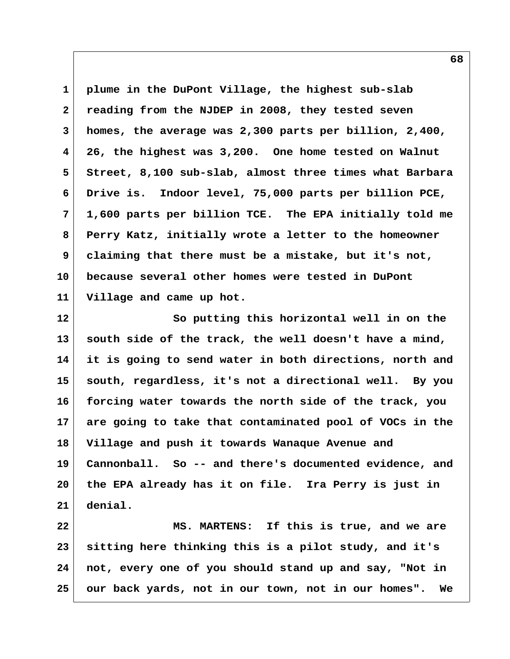**1 plume in the DuPont Village, the highest sub-slab 2 reading from the NJDEP in 2008, they tested seven 3 homes, the average was 2,300 parts per billion, 2,400, 4 26, the highest was 3,200. One home tested on Walnut 5 Street, 8,100 sub-slab, almost three times what Barbara 6 Drive is. Indoor level, 75,000 parts per billion PCE, 7 1,600 parts per billion TCE. The EPA initially told me 8 Perry Katz, initially wrote a letter to the homeowner 9 claiming that there must be a mistake, but it's not, 10 because several other homes were tested in DuPont 11 Village and came up hot.**

**12 So putting this horizontal well in on the 13 south side of the track, the well doesn't have a mind, 14 it is going to send water in both directions, north and 15 south, regardless, it's not a directional well. By you 16 forcing water towards the north side of the track, you 17 are going to take that contaminated pool of VOCs in the 18 Village and push it towards Wanaque Avenue and 19 Cannonball. So -- and there's documented evidence, and 20 the EPA already has it on file. Ira Perry is just in 21 denial.**

22 MS. MARTENS: If this is true, and we are **23 sitting here thinking this is a pilot study, and it's 24 not, every one of you should stand up and say, "Not in 25 our back yards, not in our town, not in our homes". We**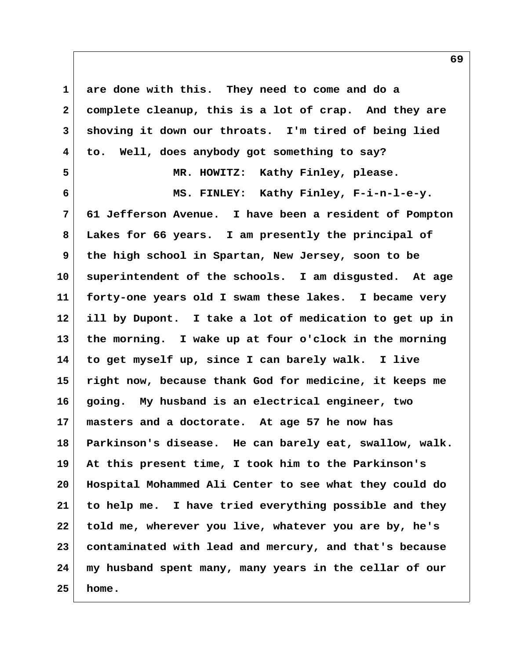**1 are done with this. They need to come and do a 2 complete cleanup, this is a lot of crap. And they are 3 shoving it down our throats. I'm tired of being lied 4 to. Well, does anybody got something to say? 5 MR. HOWITZ: Kathy Finley, please. 6 MS. FINLEY: Kathy Finley, F-i-n-l-e-y. 7 61 Jefferson Avenue. I have been a resident of Pompton 8 Lakes for 66 years. I am presently the principal of 9 the high school in Spartan, New Jersey, soon to be 10 superintendent of the schools. I am disgusted. At age 11 forty-one years old I swam these lakes. I became very 12 ill by Dupont. I take a lot of medication to get up in 13 the morning. I wake up at four o'clock in the morning 14 to get myself up, since I can barely walk. I live 15 right now, because thank God for medicine, it keeps me 16 going. My husband is an electrical engineer, two 17 masters and a doctorate. At age 57 he now has 18 Parkinson's disease. He can barely eat, swallow, walk. 19 At this present time, I took him to the Parkinson's 20 Hospital Mohammed Ali Center to see what they could do 21 to help me. I have tried everything possible and they 22 told me, wherever you live, whatever you are by, he's 23 contaminated with lead and mercury, and that's because 24 my husband spent many, many years in the cellar of our 25 home.**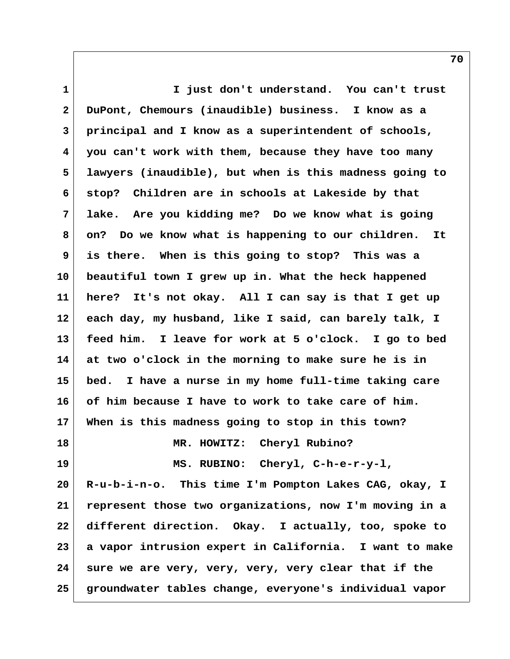**1 I just don't understand. You can't trust 2 DuPont, Chemours (inaudible) business. I know as a 3 principal and I know as a superintendent of schools, 4 you can't work with them, because they have too many 5 lawyers (inaudible), but when is this madness going to 6 stop? Children are in schools at Lakeside by that 7 lake. Are you kidding me? Do we know what is going 8 on? Do we know what is happening to our children. It 9 is there. When is this going to stop? This was a 10 beautiful town I grew up in. What the heck happened 11 here? It's not okay. All I can say is that I get up 12 each day, my husband, like I said, can barely talk, I 13 feed him. I leave for work at 5 o'clock. I go to bed 14 at two o'clock in the morning to make sure he is in 15 bed. I have a nurse in my home full-time taking care 16 of him because I have to work to take care of him. 17 When is this madness going to stop in this town? 18 MR. HOWITZ: Cheryl Rubino? 19 MS. RUBINO: Cheryl, C-h-e-r-y-l, 20 R-u-b-i-n-o. This time I'm Pompton Lakes CAG, okay, I 21 represent those two organizations, now I'm moving in a 22 different direction. Okay. I actually, too, spoke to 23 a vapor intrusion expert in California. I want to make 24 sure we are very, very, very, very clear that if the 25 groundwater tables change, everyone's individual vapor**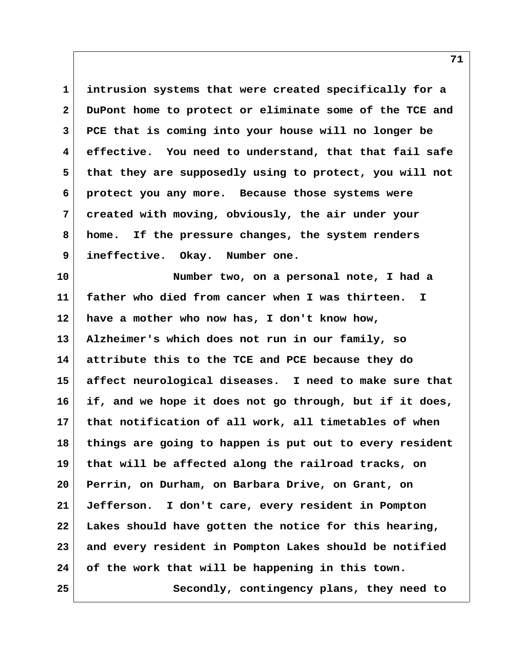**1 intrusion systems that were created specifically for a 2 DuPont home to protect or eliminate some of the TCE and 3 PCE that is coming into your house will no longer be 4 effective. You need to understand, that that fail safe 5 that they are supposedly using to protect, you will not 6 protect you any more. Because those systems were 7 created with moving, obviously, the air under your 8 home. If the pressure changes, the system renders 9 ineffective. Okay. Number one.**

**10 Number two, on a personal note, I had a 11 father who died from cancer when I was thirteen. I 12 have a mother who now has, I don't know how, 13 Alzheimer's which does not run in our family, so 14 attribute this to the TCE and PCE because they do 15 affect neurological diseases. I need to make sure that 16 if, and we hope it does not go through, but if it does, 17 that notification of all work, all timetables of when 18 things are going to happen is put out to every resident 19 that will be affected along the railroad tracks, on 20 Perrin, on Durham, on Barbara Drive, on Grant, on 21 Jefferson. I don't care, every resident in Pompton 22 Lakes should have gotten the notice for this hearing, 23 and every resident in Pompton Lakes should be notified 24 of the work that will be happening in this town. 25 Secondly, contingency plans, they need to**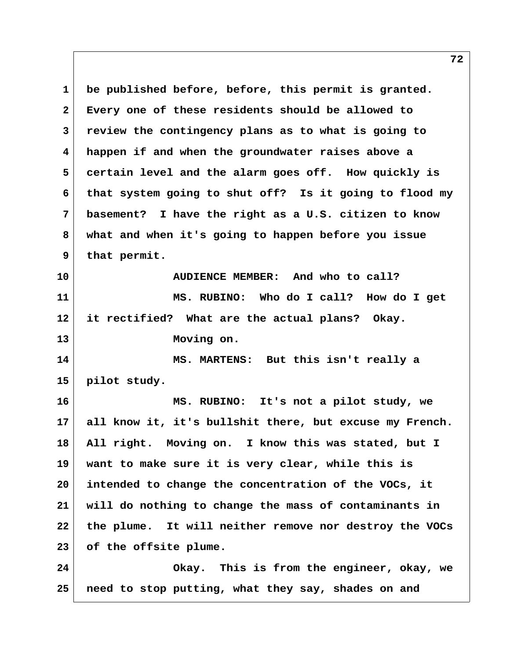**1 be published before, before, this permit is granted. 2 Every one of these residents should be allowed to 3 review the contingency plans as to what is going to 4 happen if and when the groundwater raises above a 5 certain level and the alarm goes off. How quickly is 6 that system going to shut off? Is it going to flood my 7 basement? I have the right as a U.S. citizen to know 8 what and when it's going to happen before you issue 9 that permit. 10 AUDIENCE MEMBER: And who to call? 11 MS. RUBINO: Who do I call? How do I get 12 it rectified? What are the actual plans? Okay. 13 Moving on. 14 MS. MARTENS: But this isn't really a 15 pilot study. 16 MS. RUBINO: It's not a pilot study, we 17 all know it, it's bullshit there, but excuse my French. 18 All right. Moving on. I know this was stated, but I 19 want to make sure it is very clear, while this is 20 intended to change the concentration of the VOCs, it 21 will do nothing to change the mass of contaminants in 22 the plume. It will neither remove nor destroy the VOCs 23 of the offsite plume. 24 Okay. This is from the engineer, okay, we 25 need to stop putting, what they say, shades on and**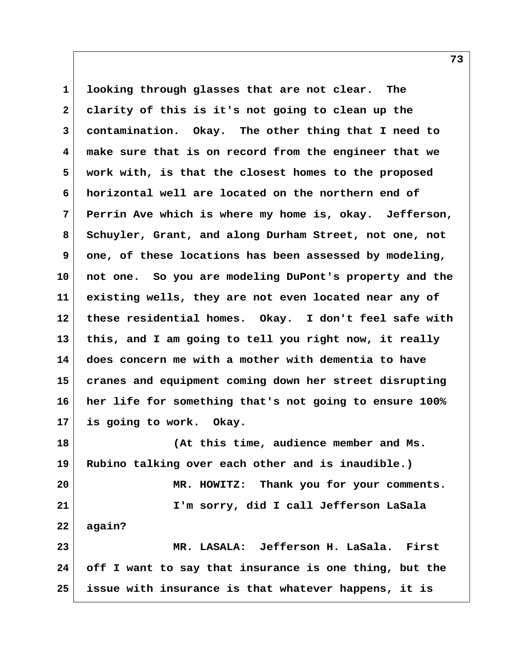**1 looking through glasses that are not clear. The 2 clarity of this is it's not going to clean up the 3 contamination. Okay. The other thing that I need to 4 make sure that is on record from the engineer that we 5 work with, is that the closest homes to the proposed 6 horizontal well are located on the northern end of 7 Perrin Ave which is where my home is, okay. Jefferson, 8 Schuyler, Grant, and along Durham Street, not one, not 9 one, of these locations has been assessed by modeling, 10 not one. So you are modeling DuPont's property and the 11 existing wells, they are not even located near any of 12 these residential homes. Okay. I don't feel safe with 13 this, and I am going to tell you right now, it really 14 does concern me with a mother with dementia to have 15 cranes and equipment coming down her street disrupting 16 her life for something that's not going to ensure 100% 17 is going to work. Okay. 18 (At this time, audience member and Ms. 19 Rubino talking over each other and is inaudible.) 20 MR. HOWITZ: Thank you for your comments. 21 I'm sorry, did I call Jefferson LaSala 22 again? 23 MR. LASALA: Jefferson H. LaSala. First 24 off I want to say that insurance is one thing, but the**

**25 issue with insurance is that whatever happens, it is**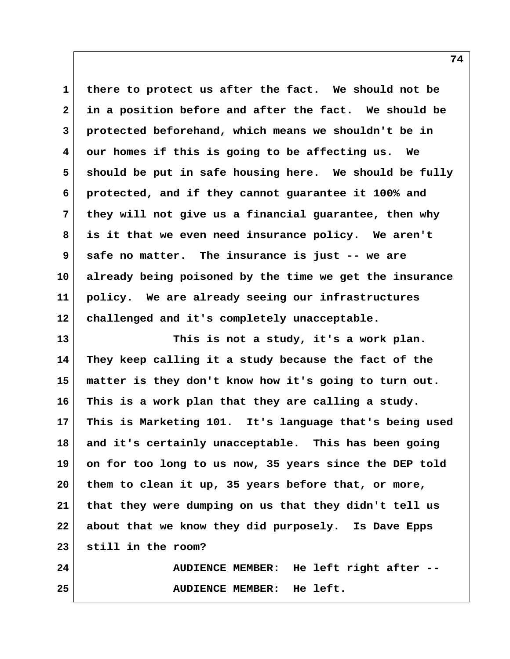**1 there to protect us after the fact. We should not be 2 in a position before and after the fact. We should be 3 protected beforehand, which means we shouldn't be in 4 our homes if this is going to be affecting us. We 5 should be put in safe housing here. We should be fully 6 protected, and if they cannot guarantee it 100% and 7 they will not give us a financial guarantee, then why 8 is it that we even need insurance policy. We aren't 9 safe no matter. The insurance is just -- we are 10 already being poisoned by the time we get the insurance 11 policy. We are already seeing our infrastructures 12 challenged and it's completely unacceptable.**

**13 This is not a study, it's a work plan. 14 They keep calling it a study because the fact of the 15 matter is they don't know how it's going to turn out. 16 This is a work plan that they are calling a study. 17 This is Marketing 101. It's language that's being used 18 and it's certainly unacceptable. This has been going 19 on for too long to us now, 35 years since the DEP told 20 them to clean it up, 35 years before that, or more, 21 that they were dumping on us that they didn't tell us 22 about that we know they did purposely. Is Dave Epps 23 still in the room?**

**24 AUDIENCE MEMBER: He left right after -- 25 AUDIENCE MEMBER: He left.**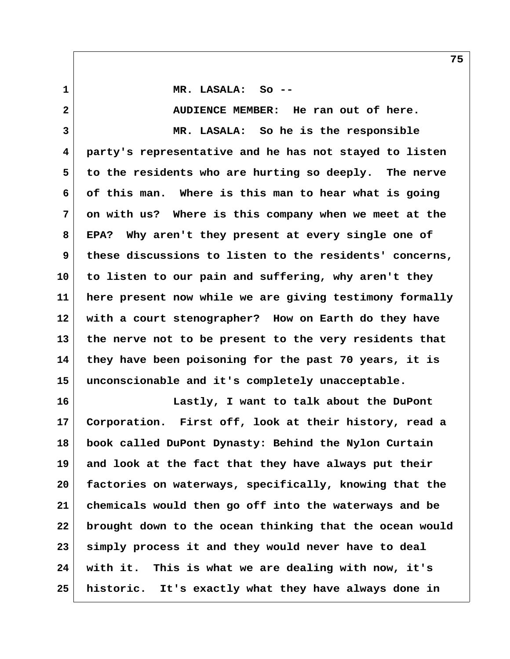**1 MR. LASALA: So -- 2 AUDIENCE MEMBER: He ran out of here. 3 MR. LASALA: So he is the responsible 4 party's representative and he has not stayed to listen 5 to the residents who are hurting so deeply. The nerve 6 of this man. Where is this man to hear what is going 7 on with us? Where is this company when we meet at the 8 EPA? Why aren't they present at every single one of 9 these discussions to listen to the residents' concerns, 10 to listen to our pain and suffering, why aren't they 11 here present now while we are giving testimony formally 12 with a court stenographer? How on Earth do they have 13 the nerve not to be present to the very residents that 14 they have been poisoning for the past 70 years, it is 15 unconscionable and it's completely unacceptable.**

**16 Lastly, I want to talk about the DuPont 17 Corporation. First off, look at their history, read a 18 book called DuPont Dynasty: Behind the Nylon Curtain 19 and look at the fact that they have always put their 20 factories on waterways, specifically, knowing that the 21 chemicals would then go off into the waterways and be 22 brought down to the ocean thinking that the ocean would 23 simply process it and they would never have to deal 24 with it. This is what we are dealing with now, it's 25 historic. It's exactly what they have always done in**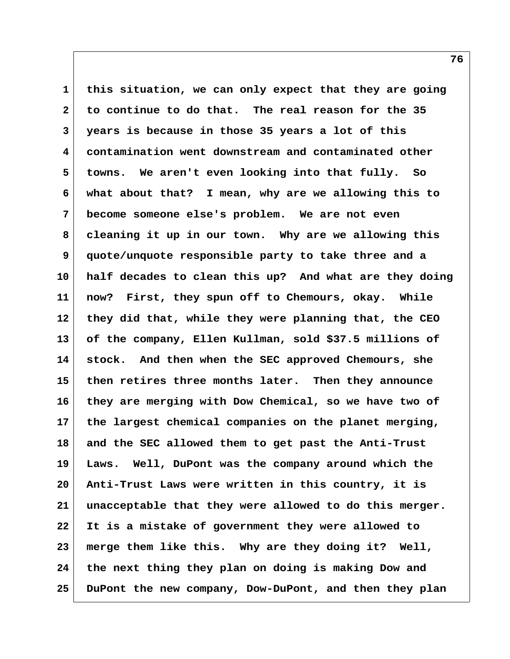**1 this situation, we can only expect that they are going 2 to continue to do that. The real reason for the 35 3 years is because in those 35 years a lot of this 4 contamination went downstream and contaminated other 5 towns. We aren't even looking into that fully. So 6 what about that? I mean, why are we allowing this to 7 become someone else's problem. We are not even 8 cleaning it up in our town. Why are we allowing this 9 quote/unquote responsible party to take three and a 10 half decades to clean this up? And what are they doing 11 now? First, they spun off to Chemours, okay. While 12 they did that, while they were planning that, the CEO 13 of the company, Ellen Kullman, sold \$37.5 millions of 14 stock. And then when the SEC approved Chemours, she 15 then retires three months later. Then they announce 16 they are merging with Dow Chemical, so we have two of 17 the largest chemical companies on the planet merging, 18 and the SEC allowed them to get past the Anti-Trust 19 Laws. Well, DuPont was the company around which the 20 Anti-Trust Laws were written in this country, it is 21 unacceptable that they were allowed to do this merger. 22 It is a mistake of government they were allowed to 23 merge them like this. Why are they doing it? Well, 24 the next thing they plan on doing is making Dow and 25 DuPont the new company, Dow-DuPont, and then they plan**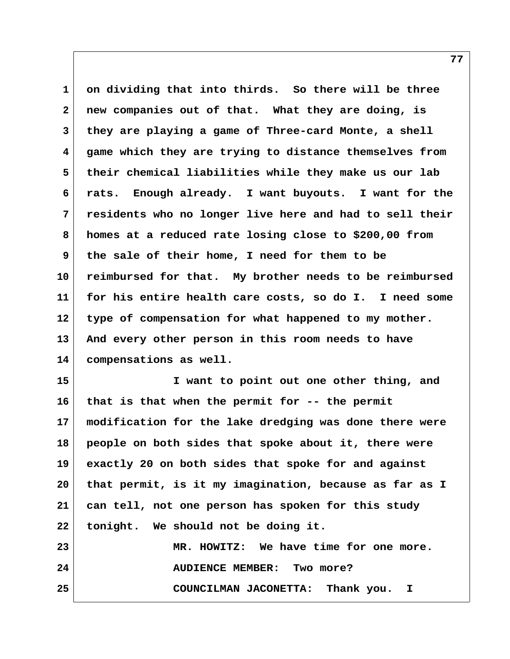**1 on dividing that into thirds. So there will be three 2 new companies out of that. What they are doing, is 3 they are playing a game of Three-card Monte, a shell 4 game which they are trying to distance themselves from 5 their chemical liabilities while they make us our lab 6 rats. Enough already. I want buyouts. I want for the 7 residents who no longer live here and had to sell their 8 homes at a reduced rate losing close to \$200,00 from 9 the sale of their home, I need for them to be 10 reimbursed for that. My brother needs to be reimbursed 11 for his entire health care costs, so do I. I need some 12 type of compensation for what happened to my mother. 13 And every other person in this room needs to have 14 compensations as well.**

**15 I want to point out one other thing, and 16 that is that when the permit for -- the permit 17 modification for the lake dredging was done there were 18 people on both sides that spoke about it, there were 19 exactly 20 on both sides that spoke for and against 20 that permit, is it my imagination, because as far as I 21 can tell, not one person has spoken for this study 22 tonight. We should not be doing it.**

**23 MR. HOWITZ: We have time for one more. 24 AUDIENCE MEMBER: Two more? 25 COUNCILMAN JACONETTA: Thank you. I**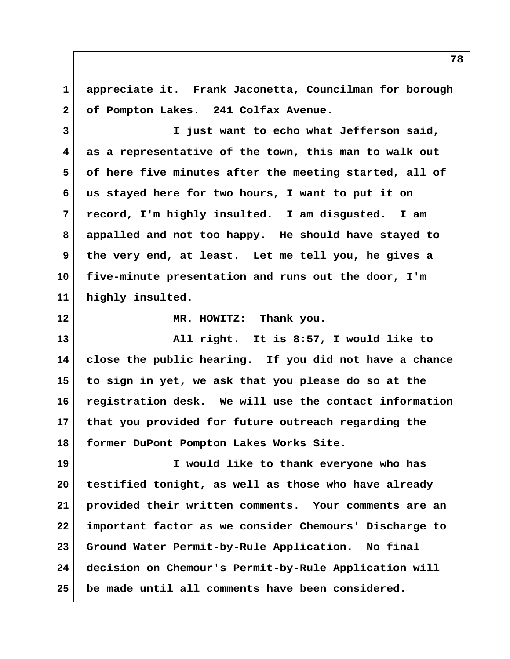**1 appreciate it. Frank Jaconetta, Councilman for borough 2 of Pompton Lakes. 241 Colfax Avenue.**

 **3 I just want to echo what Jefferson said, 4 as a representative of the town, this man to walk out 5 of here five minutes after the meeting started, all of 6 us stayed here for two hours, I want to put it on 7 record, I'm highly insulted. I am disgusted. I am 8 appalled and not too happy. He should have stayed to 9 the very end, at least. Let me tell you, he gives a 10 five-minute presentation and runs out the door, I'm 11 highly insulted.**

**12 MR. HOWITZ: Thank you.**

**13 All right. It is 8:57, I would like to 14 close the public hearing. If you did not have a chance 15 to sign in yet, we ask that you please do so at the 16 registration desk. We will use the contact information 17 that you provided for future outreach regarding the 18 former DuPont Pompton Lakes Works Site.**

**19 I would like to thank everyone who has 20 testified tonight, as well as those who have already 21 provided their written comments. Your comments are an 22 important factor as we consider Chemours' Discharge to 23 Ground Water Permit-by-Rule Application. No final 24 decision on Chemour's Permit-by-Rule Application will 25 be made until all comments have been considered.**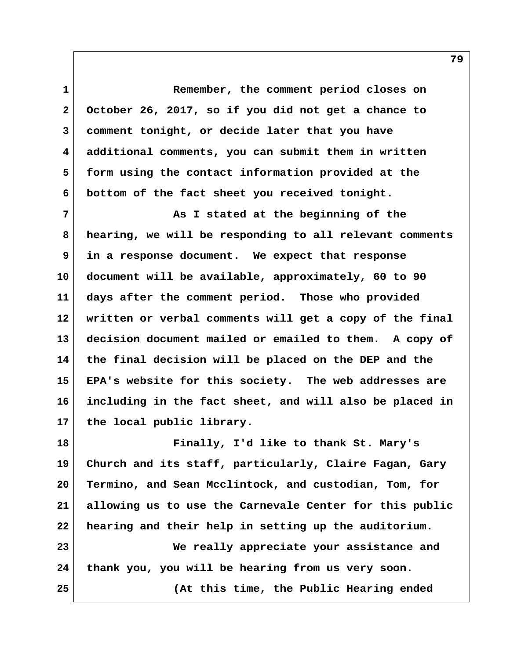**1 Remember, the comment period closes on 2 October 26, 2017, so if you did not get a chance to 3 comment tonight, or decide later that you have 4 additional comments, you can submit them in written 5 form using the contact information provided at the 6 bottom of the fact sheet you received tonight.**

 **7 As I stated at the beginning of the 8 hearing, we will be responding to all relevant comments 9 in a response document. We expect that response 10 document will be available, approximately, 60 to 90 11 days after the comment period. Those who provided 12 written or verbal comments will get a copy of the final 13 decision document mailed or emailed to them. A copy of 14 the final decision will be placed on the DEP and the 15 EPA's website for this society. The web addresses are 16 including in the fact sheet, and will also be placed in 17 the local public library.**

**18 Finally, I'd like to thank St. Mary's 19 Church and its staff, particularly, Claire Fagan, Gary 20 Termino, and Sean Mcclintock, and custodian, Tom, for 21 allowing us to use the Carnevale Center for this public 22 hearing and their help in setting up the auditorium. 23 We really appreciate your assistance and 24 thank you, you will be hearing from us very soon. 25 (At this time, the Public Hearing ended**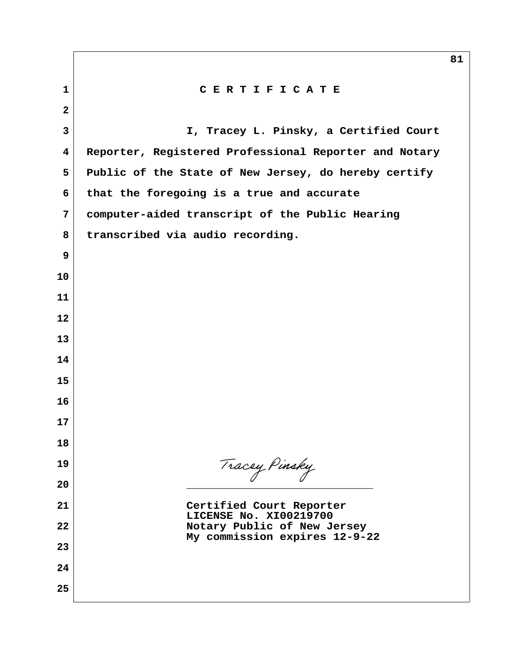**1 C E R T I F I C A T E 2 3 I, Tracey L. Pinsky, a Certified Court 4 Reporter, Registered Professional Reporter and Notary 5 Public of the State of New Jersey, do hereby certify 6 that the foregoing is a true and accurate 7 computer-aided transcript of the Public Hearing 8 transcribed via audio recording. 9 10 11 12 13 14 15 16 17 18 19 20 \_\_\_\_\_\_\_\_\_\_\_\_\_\_\_\_\_\_\_\_\_\_\_\_\_\_\_\_ 21 Certified Court Reporter LICENSE No. XI00219700 22 Notary Public of New Jersey My commission expires 12-9-22 23 24 25** Tracey Pinsky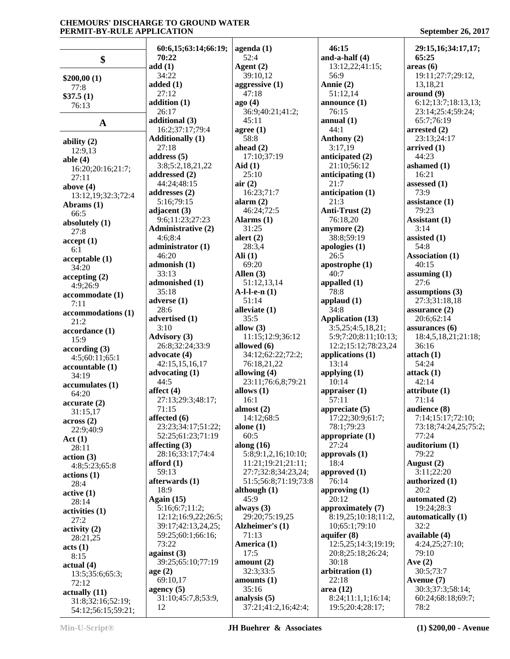|                         | 60:6,15;63:14;66:19;           | $a$ genda $(1)$              | 46:15                          | 29:15,16;34:17,17;                |
|-------------------------|--------------------------------|------------------------------|--------------------------------|-----------------------------------|
| \$                      | 70:22                          | 52:4                         | and-a-half $(4)$               | 65:25                             |
|                         | add(1)                         | Agent $(2)$                  | 13:12,22;41:15;                | area <sub>6</sub>                 |
| \$200,00(1)             | 34:22                          | 39:10,12                     | 56:9                           | 19:11;27:7;29:12,                 |
| 77:8                    | added $(1)$                    | aggressive $(1)$             | Annie (2)                      | 13,18,21                          |
| \$37.5(1)               | 27:12                          | 47:18                        | 51:12,14                       | around (9)                        |
| 76:13                   | addition $(1)$                 | ago(4)                       | announce $(1)$                 | 6:12;13:7;18:13,13;               |
|                         | 26:17                          | 36:9;40:21;41:2;             | 76:15                          | 23:14;25:4;59:24;                 |
| $\mathbf A$             | additional (3)                 | 45:11                        | annual $(1)$                   | 65:7;76:19                        |
|                         | 16:2;37:17;79:4                | agree (1)                    | 44:1                           | arrested $(2)$                    |
| ability $(2)$           | <b>Additionally (1)</b>        | 58:8                         | Anthony (2)                    | 23:13;24:17                       |
| 12:9,13                 | 27:18                          | ahead $(2)$                  | 3:17,19                        | arrived $(1)$                     |
| able $(4)$              | address $(5)$                  | 17:10;37:19                  | anticipated (2)                | 44:23                             |
| 16:20:20:16:21:7;       | 3:8;5:2,18,21,22               | $\text{A}$ id $(1)$<br>25:10 | 21:10;56:12                    | ashamed $(1)$<br>16:21            |
| 27:11                   | addressed $(2)$<br>44:24;48:15 | air(2)                       | anticipating $(1)$<br>21:7     | assessed $(1)$                    |
| above $(4)$             | addresses $(2)$                | 16:23;71:7                   | anticipation (1)               | 73:9                              |
| 13:12,19;32:3;72:4      | 5:16;79:15                     | alarm $(2)$                  | 21:3                           | assistance $(1)$                  |
| Abrams (1)              | adjacent $(3)$                 | 46:24;72:5                   | Anti-Trust (2)                 | 79:23                             |
| 66:5                    | 9:6;11:23;27:23                | Alarms $(1)$                 | 76:18,20                       | Assistant (1)                     |
| absolutely (1)          | <b>Administrative (2)</b>      | 31:25                        | anymore $(2)$                  | 3:14                              |
| 27:8                    | 4:6;8:4                        | alert $(2)$                  | 38:8;59:19                     | assisted $(1)$                    |
| accept(1)               | administrator (1)              | 28:3,4                       | apologies $(1)$                | 54:8                              |
| 6:1                     | 46:20                          | $\text{Ali} (1)$             | 26:5                           | <b>Association (1)</b>            |
| acceptable(1)           | admonish (1)                   | 69:20                        | apostrophe (1)                 | 40:15                             |
| 34:20<br>accepting(2)   | 33:13                          | Allen $(3)$                  | 40:7                           | assuming $(1)$                    |
| 4:9:26:9                | admonished (1)                 | 51:12,13,14                  | appalled $(1)$                 | 27:6                              |
| accommodate (1)         | 35:18                          | $A-l-l-e-n(1)$               | 78:8                           | assumptions $(3)$                 |
| 7:11                    | adverse $(1)$                  | 51:14                        | applaud $(1)$                  | 27:3;31:18,18                     |
| accommodations (1)      | 28:6                           | alleviate (1)                | 34:8                           | assurance $(2)$                   |
| 21:2                    | advertised (1)                 | 35:5                         | <b>Application (13)</b>        | 20:6;62:14                        |
| accordance (1)          | 3:10                           | allow $(3)$                  | 3:5,25;4:5,18,21;              | assurances $(6)$                  |
| 15:9                    | <b>Advisory</b> (3)            | 11:15;12:9;36:12             | 5:9;7:20;8:11;10:13;           | 18:4,5,18,21;21:18;               |
| according(3)            | 26:8;32:24;33:9                | allowed $(6)$                | 12:2;15:12;78:23,24            | 36:16                             |
| 4:5;60:11;65:1          | advocate (4)                   | 34:12;62:22;72:2;            | applications (1)               | attach(1)                         |
| accountable (1)         | 42:15,15,16,17                 | 76:18,21,22                  | 13:14                          | 54:24                             |
| 34:19                   | advocating $(1)$               | allowing $(4)$               | applying $(1)$                 | attack(1)                         |
| accumulates (1)         | 44:5                           | 23:11;76:6,8;79:21           | 10:14                          | 42:14                             |
| 64:20                   | affect $(4)$                   | allows $(1)$                 | appraiser $(1)$                | attribute(1)                      |
| accurate(2)             | 27:13;29:3;48:17;              | 16:1                         | 57:11                          | 71:14                             |
| 31:15,17                | 71:15<br>affected (6)          | almost $(2)$<br>14:12;68:5   | appreciate (5)                 | audience (8)<br>7:14;15:17;72:10; |
| across(2)               | 23:23;34:17;51:22;             | alone $(1)$                  | 17:22;30:9;61:7;<br>78:1;79:23 | 73:18;74:24,25;75:2;              |
| 22:9;40:9               | 52:25;61:23;71:19              | 60:5                         | appropriate $(1)$              | 77:24                             |
| Act(1)                  | affecting $(3)$                | along $(16)$                 | 27:24                          | auditorium (1)                    |
| 28:11                   | 28:16;33:17;74:4               | 5:8;9:1,2,16;10:10;          | approvals $(1)$                | 79:22                             |
| action(3)               | afford $(1)$                   | 11:21;19:21;21:11;           | 18:4                           | August (2)                        |
| 4:8;5:23;65:8           | 59:13                          | 27:7;32:8;34:23,24;          | approved $(1)$                 | 3:11;22:20                        |
| actions(1)<br>28:4      | afterwards (1)                 | 51:5;56:8;71:19;73:8         | 76:14                          | authorized (1)                    |
| active(1)               | 18:9                           | although $(1)$               | approving (1)                  | 20:2                              |
| 28:14                   | Again $(15)$                   | 45:9                         | 20:12                          | automated (2)                     |
| activities (1)          | 5:16;6:7;11:2;                 | always $(3)$                 | approximately (7)              | 19:24;28:3                        |
| 27:2                    | 12:12:16:9,22:26:5;            | 29:20;75:19,25               | 8:19,25;10:18;11:2,            | automatically (1)                 |
| activity <sub>(2)</sub> | 39:17;42:13,24,25;             | Alzheimer's (1)              | 10;65:1;79:10                  | 32:2                              |
| 28:21,25                | 59:25;60:1;66:16;              | 71:13                        | aquifer $(8)$                  | available (4)                     |
| acts (1)                | 73:22                          | America (1)                  | 12:5,25;14:3;19:19;            | 4:24,25;27:10;                    |
| 8:15                    | against $(3)$                  | 17:5                         | 20:8;25:18;26:24;              | 79:10                             |
| actual(4)               | 39:25;65:10;77:19              | amount $(2)$                 | 30:18                          | Ave $(2)$                         |
| 13:5;35:6;65:3;         | age(2)                         | 32:3;33:5                    | arbitration (1)                | 30:5;73:7                         |
| 72:12                   | 69:10,17                       | amounts(1)                   | 22:18                          | Avenue (7)                        |
| actually(11)            | agency $(5)$                   | 35:16                        | area $(12)$                    | 30:3;37:3;58:14;                  |
| 31:8;32:16;52:19;       | 31:10;45:7,8;53:9,             | analysis (5)                 | 8:24;11:1,1;16:14;             | 60:24;68:18;69:7;                 |
| 54:12;56:15;59:21;      | 12                             | 37:21;41:2,16;42:4;          | 19:5;20:4;28:17;               | 78:2                              |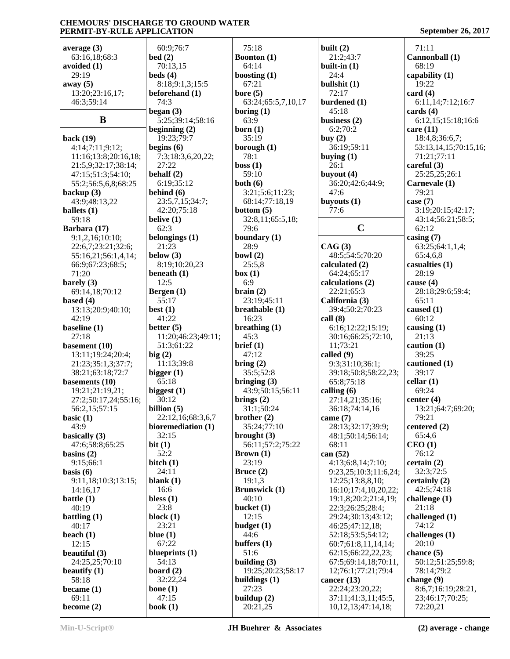| average $(3)$                           | 60:9;76:7                  | 75:18                        | built $(2)$                            | 71:11                                   |
|-----------------------------------------|----------------------------|------------------------------|----------------------------------------|-----------------------------------------|
| 63:16,18;68:3                           | bed(2)                     | <b>Boonton</b> (1)           | 21:2;43:7                              | Cannonball (1)                          |
| avoided $(1)$                           | 70:13,15                   | 64:14                        | built-in $(1)$                         | 68:19                                   |
| 29:19                                   | beds(4)                    | boosting $(1)$               | 24:4                                   | capability (1)                          |
| away $(5)$                              | 8:18;9:1,3;15:5            | 67:21                        | bullshit (1)                           | 19:22                                   |
| 13:20;23:16,17;                         | beforehand (1)             | bore $(5)$                   | 72:17                                  | card $(4)$                              |
| 46:3;59:14                              | 74:3                       | 63:24;65:5,7,10,17           | burdened (1)                           | 6:11,14;7:12;16:7                       |
|                                         | began $(3)$                | boring $(1)$                 | 45:18                                  | cards $(4)$                             |
| B                                       | 5:25;39:14;58:16           | 63:9                         | business $(2)$                         | 6:12,15:15:18;16:6                      |
|                                         | beginning $(2)$            | born (1)                     | 6:2;70:2                               | care $(11)$                             |
| back (19)                               | 19:23;79:7<br>begins $(6)$ | 35:19                        | buy $(2)$<br>36:19;59:11               | 18:4,8;36:6,7;<br>53:13,14,15;70:15,16; |
| 4:14;7:11;9:12;<br>11:16;13:8;20:16,18; | 7:3;18:3,6,20,22;          | borough $(1)$<br>78:1        | buying $(1)$                           | 71:21;77:11                             |
| 21:5,9;32:17;38:14;                     | 27:22                      | boss(1)                      | 26:1                                   | careful $(3)$                           |
| 47:15;51:3;54:10;                       | behalf (2)                 | 59:10                        | buyout $(4)$                           | 25:25,25;26:1                           |
| 55:2;56:5,6,8;68:25                     | 6:19;35:12                 | both $(6)$                   | 36:20;42:6;44:9;                       | Carnevale (1)                           |
| backup $(3)$                            | behind (6)                 | 3:21;5:6;11:23;              | 47:6                                   | 79:21                                   |
| 43:9;48:13,22                           | 23:5,7,15;34:7;            | 68:14;77:18,19               | buyouts $(1)$                          | case $(7)$                              |
| ballets $(1)$                           | 42:20;75:18                | bottom $(5)$                 | 77:6                                   | 3:19;20:15;42:17;                       |
| 59:18                                   | belive $(1)$               | 32:8,11;65:5,18;             |                                        | 43:14;56:21;58:5;                       |
| Barbara (17)                            | 62:3                       | 79:6                         | $\mathbf C$                            | 62:12                                   |
| 9:1,2,16;10:10;                         | belongings (1)             | boundary $(1)$               |                                        | casing $(7)$                            |
| 22:6,7;23:21;32:6;                      | 21:23                      | 28:9                         | CAG(3)                                 | 63:25;64:1,1,4;                         |
| 55:16,21;56:1,4,14;                     | below $(3)$                | bowl $(2)$                   | 48:5;54:5;70:20                        | 65:4,6,8                                |
| 66:9;67:23;68:5;                        | 8:19;10:20,23              | 25:5,8                       | calculated (2)                         | casualties $(1)$                        |
| 71:20                                   | beneath $(1)$              | box(1)                       | 64:24;65:17                            | 28:19                                   |
| barely $(3)$                            | 12:5                       | 6:9                          | calculations (2)                       | cause $(4)$                             |
| 69:14,18;70:12                          | Bergen $(1)$<br>55:17      | brain(2)<br>23:19;45:11      | 22:21;65:3                             | 28:18;29:6;59:4;<br>65:11               |
| based $(4)$<br>13:13;20:9;40:10;        | best $(1)$                 | breathable (1)               | California (3)<br>39:4;50:2;70:23      | caused $(1)$                            |
| 42:19                                   | 41:22                      | 16:23                        | call(8)                                | 60:12                                   |
| baseline $(1)$                          | better $(5)$               | breathing $(1)$              | 6:16;12:22;15:19;                      | causing $(1)$                           |
| 27:18                                   | 11:20;46:23;49:11;         | 45:3                         | 30:16;66:25;72:10,                     | 21:13                                   |
| basement $(10)$                         | 51:3;61:22                 | brief (1)                    | 11;73:21                               | caution $(1)$                           |
| 13:11;19:24;20:4;                       | big(2)                     | 47:12                        | called (9)                             | 39:25                                   |
| 21:23;35:1,3;37:7;                      | 11:13;39:8                 | bring(2)                     | 9:3;31:10;36:1;                        | cautioned (1)                           |
| 38:21;63:18;72:7                        | bigger $(1)$               | 35:5;52:8                    | 39:18;50:8;58:22,23;                   | 39:17                                   |
| basements $(10)$                        | 65:18                      | bringing $(3)$               | 65:8;75:18                             | cellar $(1)$                            |
| 19:21;21:19,21;                         | biggest $(1)$              | 43:9;50:15;56:11             | calling $(6)$                          | 69:24                                   |
| 27:2;50:17,24;55:16;                    | 30:12                      | brings $(2)$                 | 27:14,21;35:16;                        | center $(4)$                            |
| 56:2,15;57:15                           | billion $(5)$              | 31:1;50:24                   | 36:18;74:14,16                         | 13:21;64:7;69:20;                       |
| basic $(1)$                             | 22:12,16;68:3,6,7          | brother $(2)$                | came $(7)$                             | 79:21                                   |
| 43:9                                    | bioremediation (1)         | 35:24;77:10                  | 28:13;32:17;39:9;                      | centered (2)                            |
| basically (3)                           | 32:15                      | brought $(3)$                | 48:1;50:14;56:14;<br>68:11             | 65:4,6                                  |
| 47:6;58:8;65:25<br>basins $(2)$         | bit(1)<br>52:2             | 56:11;57:2;75:22<br>Brown(1) | can $(52)$                             | CEO(1)<br>76:12                         |
| 9:15;66:1                               | bitch $(1)$                | 23:19                        | 4:13;6:8,14;7:10;                      | certain(2)                              |
| basis $(6)$                             | 24:11                      | Bruce $(2)$                  | 9:23,25;10:3;11:6,24;                  | 32:3;72:5                               |
| 9:11,18;10:3;13:15;                     | blank $(1)$                | 19:1,3                       | 12:25;13:8,8,10;                       | certainly $(2)$                         |
| 14:16,17                                | 16:6                       | <b>Brunswick</b> (1)         | 16:10;17:4,10,20,22;                   | 42:5:74:18                              |
| battle $(1)$                            | bless $(1)$                | 40:10                        | 19:1,8;20:2;21:4,19;                   | challenge $(1)$                         |
| 40:19                                   | 23:8                       | bucket $(1)$                 | 22:3;26:25;28:4;                       | 21:18                                   |
| battling $(1)$                          | block $(1)$                | 12:15                        | 29:24;30:13;43:12;                     | challenged (1)                          |
| 40:17                                   | 23:21                      | budget $(1)$                 | 46:25;47:12,18;                        | 74:12                                   |
| beach $(1)$                             | blue $(1)$                 | 44:6                         | 52:18;53:5;54:12;                      | challenges (1)                          |
| 12:15                                   | 67:22                      | buffers $(1)$                | 60:7;61:8,11,14,14;                    | 20:10                                   |
| beautiful $(3)$                         | blueprints $(1)$           | 51:6                         | 62:15;66:22,22,23;                     | chance $(5)$                            |
| 24:25,25;70:10                          | 54:13                      | building $(3)$               | 67:5;69:14,18;70:11,                   | 50:12;51:25;59:8;                       |
| beautify $(1)$                          | board $(2)$                | 19:25;20:23;58:17            | 12;76:1;77:21;79:4                     | 78:14;79:2                              |
| 58:18                                   | 32:22,24                   | buildings $(1)$              | cancer $(13)$                          | change $(9)$                            |
| became $(1)$<br>69:11                   | bone $(1)$<br>47:15        | 27:23<br>buildup $(2)$       | 22:24;23:20,22;<br>37:11;41:3,11;45:5, | 8:6,7;16:19;28:21,<br>23;46:17;70:25;   |
| become $(2)$                            | book $(1)$                 | 20:21,25                     | 10, 12, 13; 47: 14, 18;                | 72:20,21                                |
|                                         |                            |                              |                                        |                                         |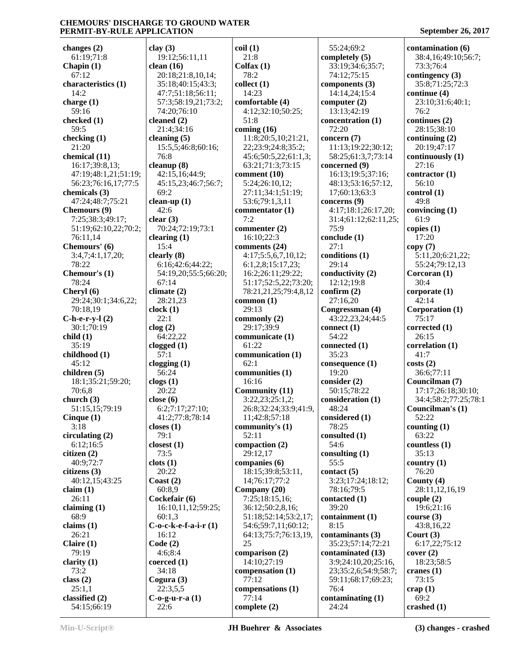**changes (2)** 61:19;71:8 **Chapin (1)** 67:12 **characteristics (1)** 14:2 **charge (1)** 59:16 **checked (1)** 59:5 **checking (1)** 21:20 **chemical (11)** 16:17;39:8,13; 47:19;48:1,21;51:19; 56:23;76:16,17;77:5 **chemicals (3)** 47:24;48:7;75:21 **Chemours (9)** 7:25;38:3;49:17; 51:19;62:10,22;70:2; 76:11,14 **Chemours' (6)** 3:4,7;4:1,17,20; 78:22 **Chemour's (1)** 78:24 **Cheryl (6)** 29:24;30:1;34:6,22; 70:18,19 **C-h-e-r-y-l (2)** 30:1;70:19 **child (1)** 35:19 **childhood (1)**  $45:12$ **children (5)** 18:1;35:21;59:20; 70:6,8 **church (3)** 51:15,15;79:19 **Cinque (1)** 3:18 **circulating (2)** 6:12;16:5 **citizen (2)** 40:9;72:7 **citizens (3)** 40:12,15;43:25 **claim (1)** 26:11 **claiming (1)** 68:9 **claims (1)** 26:21 **Claire (1)** 79:19 **clarity (1)** 73:2 **class (2)** 25:1,1 **classified (2)** 54:15;66:19 **clay (3) clean (16)** 74:20;76:10 **cleaned (2)** 21:4;34:16 **cleaning (5)** 76:8 **cleanup (8)** 69:2 **clean-up (1)** 42:6 **clear (3) clearing (1)** 15:4 **clearly (8)** 67:14 **climate (2)** 28:21,23 **clock (1)** 22:1 **clog (2)** 64:22,22 **clogged (1)** 57:1 **clogging (1)** 56:24 **clogs (1)** 20:22 **close (6) closes (1)** 79:1 **closest (1)** 73:5 **clots (1)** 20:22 **Coast (2)** 60:8,9 **Cockefair (6)** 60:1,3 16:12 **Code (2)** 4:6;8:4 **coerced (1)** 34:18 **Cogura (3)** 22:3,5,5 **C-o-g-u-r-a (1)** 22:6

 19:12;56:11,11 20:18;21:8,10,14; 35:18;40:15;43:3; 47:7;51:18;56:11; 57:3;58:19,21;73:2; 15:5,5;46:8;60:16; 42:15,16;44:9; 45:15,23;46:7;56:7; 70:24;72:19;73:1 6:16;42:6;44:22; 54:19,20;55:5;66:20; 6:2;7:17;27:10; 41:2;77:8;78:14 16:10,11,12;59:25; **C-o-c-k-e-f-a-i-r (1) coil (1)** 21:8 **Colfax (1)** 78:2 **collect (1)** 14:23 **comfortable (4)** 4:12;32:10;50:25; 51:8 **coming (16)** 11:8;20:5,10;21:21, 22;23:9;24:8;35:2; 45:6;50:5,22;61:1,3; 63:21;71:3;73:15 **comment (10)** 5:24;26:10,12; 27:11;34:1;51:19; 53:6;79:1,3,11 **commentator (1)** 7:2 **commenter (2)** 16:10;22:3 **comments (24)** 4:17;5:5,6,7,10,12; 6:1,2,8;15:17,23; 16:2;26:11;29:22; 51:17;52:5,22;73:20; 78:21,21,25;79:4,8,12 **common (1)** 29:13 **commonly (2)** 29:17;39:9 **communicate (1)** 61:22 **communication (1)** 62:1 **communities (1)** 16:16 **Community (11)** 3:22,23;25:1,2; 26:8;32:24;33:9;41:9, 11;42:8;57:18 **community's (1)** 52:11 **compaction (2)** 29:12,17 **companies (6)** 18:15;39:8;53:11, 14;76:17;77:2 **Company (20)** 7:25;18:15,16; 36:12;50:2,8,16; 51:18;52:14;53:2,17; 54:6;59:7,11;60:12; 64:13;75:7;76:13,19, 25 **comparison (2)** 14:10;27:19 **compensation (1)** 77:12 **compensations (1)** 77:14 **complete (2)**

 55:24;69:2 **completely (5)** 33:19;34:6;35:7; 74:12;75:15 **components (3)** 14:14,24;15:4 **computer (2)** 13:13;42:19 **concentration (1)** 72:20 **concern (7)** 11:13;19:22;30:12; 58:25;61:3,7;73:14 **concerned (9)** 16:13;19:5;37:16; 48:13;53:16;57:12, 17;60:13;63:3 **concerns (9)** 4:17;18:1;26:17,20; 31:4;61:12;62:11,25; 75:9 **conclude (1)** 27:1 **conditions (1)** 29:14 **conductivity (2)** 12:12;19:8 **confirm (2)** 27:16,20 **Congressman (4)** 43:22,23,24;44:5 **connect (1)** 54:22 **connected (1)** 35:23 **consequence (1)** 19:20 **consider (2)** 50:15;78:22 **consideration (1)** 48:24 **considered (1)** 78:25 **consulted (1)** 54:6 **consulting (1)** 55:5 **contact (5)** 3:23;17:24;18:12; 78:16;79:5 **contacted (1)** 39:20 **containment (1)** 8:15 **contaminants (3)** 35:23;57:14;72:21 **contaminated (13)** 3:9;24:10,20;25:16, 23;35:2,6;54:9;58:7; 59:11;68:17;69:23; 76:4 **contaminating (1)** 24:24

**contamination (6)** 38:4,16;49:10;56:7; 73:3;76:4 **contingency (3)** 35:8;71:25;72:3 **continue (4)** 23:10;31:6;40:1; 76:2 **continues (2)** 28:15;38:10 **continuing (2)** 20:19;47:17 **continuously (1)** 27:16 **contractor (1)** 56:10 **control (1)** 49:8 **convincing (1)** 61:9 **copies (1)** 17:20 **copy (7)** 5:11,20;6:21,22; 55:24;79:12,13 **Corcoran (1)** 30:4 **corporate (1)** 42:14 **Corporation (1)** 75:17 **corrected (1)**  $26.15$ **correlation (1)** 41:7 **costs (2)** 36:6;77:11 **Councilman (7)** 17:17;26:18;30:10; 34:4;58:2;77:25;78:1 **Councilman's (1)** 52:22 **counting (1)** 63:22 **countless (1)** 35:13 **country (1)** 76:20 **County (4)** 28:11,12,16,19 **couple (2)** 19:6;21:16 **course (3)** 43:8,16,22 **Court (3)** 6:17,22;75:12 **cover (2)** 18:23;58:5 **cranes (1)** 73:15 **crap (1)** 69:2 **crashed (1)**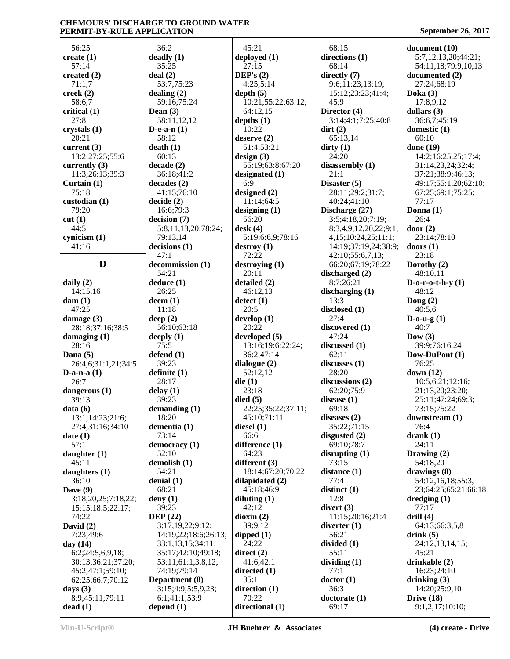56:25 **create (1)** 57:14 **created (2)** 71:1,7 **creek (2)** 58:6,7 **critical (1)** 27:8 **crystals (1)** 20:21 **current (3)** 13:2;27:25;55:6 **currently (3)** 11:3;26:13;39:3 **Curtain (1)** 75:18 **custodian (1)** 79:20 **cut (1)** 44:5 **cynicism (1)** 41:16 **D decommission (1) daily (2)** 14:15,16 **dam (1)** 47:25 **damage (3)** 28:18;37:16;38:5 **damaging (1)** 28:16 **Dana (5)** 26:4,6;31:1,21;34:5 **D-a-n-a (1)** 26:7 **dangerous (1)** 39:13 **data (6)** 13:1;14:23;21:6; 27:4;31:16;34:10 **date (1)** 57:1 **daughter (1)** 45:11 **daughters (1)** 36:10 **Dave (9)** 3:18,20,25;7:18,22; 15:15;18:5;22:17; 74:22 **David (2)** 7:23;49:6 **day (14)** 6:2;24:5,6,9,18; 30:13;36:21;37:20; 45:2;47:1;59:10; 62:25;66:7;70:12 **days (3)** 8:9;45:11;79:11 **dead (1)** 36:2 **deadly (1)** 35:25 **deal (2)** 53:7;75:23 **dealing (2) Dean (3) D-e-a-n (1)** 58:12 **death (1)** 60:13 **decade (2)** 36:18;41:2 **decades (2) decide (2)** 16:6;79:3 **decision (7)** 79:13,14 **decisions (1)** 47:1 54:21 **deduce (1)** 26:25 **deem (1)** 11:18 **deep (2) deeply (1)** 75:5 **defend (1)** 39:23 **definite (1)** 28:17 **delay (1)** 39:23 **demanding (1)** 18:20 **dementia (1)** 73:14 **democracy (1)** 52:10 **demolish (1)** 54:21 **denial (1)** 68:21 **deny (1)** 39:23 **DEP (22) Department (8) depend (1)**

 59:16;75:24 58:11,12,12 41:15;76:10 5:8,11,13,20;78:24; 56:10;63:18 3:17,19,22;9:12; 14:19,22;18:6;26:13; 33:1,13,15;34:11; 35:17;42:10;49:18; 53:11;61:1,3,8,12; 74:19;79:14 3:15;4:9;5:5,9,23; 6:1;41:1;53:9 45:21 **deployed (1)** 27:15 **DEP's (2)** 4:25;5:14 **depth (5)** 10:21;55:22;63:12; 64:12,15 **depths (1)** 10:22 **deserve (2)** 51:4;53:21 **design (3)** 55:19;63:8;67:20 **designated (1)** 6:9 **designed (2)** 11:14;64:5 **designing (1)** 56:20 **desk (4)** 5:19;6:6,9;78:16 **destroy (1)** 72:22 **destroying (1)** 20:11 **detailed (2)** 46:12,13 **detect (1)** 20:5 **develop (1)** 20:22 **developed (5)** 13:16;19:6;22:24; 36:2;47:14 **dialogue (2)** 52:12,12 **die (1)** 23:18 **died (5)** 22:25;35:22;37:11; 45:10;71:11 **diesel (1)** 66:6 **difference (1)** 64:23 **different (3)** 18:14;67:20;70:22 **dilapidated (2)** 45:18;46:9 **diluting (1)** 42:12 **dioxin (2)** 39:9,12 **dipped (1)** 24:22 **direct (2)** 41:6;42:1 **directed (1)** 35:1 **direction (1)** 70:22 **directional (1)**

 68:15 **directions (1)** 68:14 **directly (7)** 9:6;11:23;13:19; 15:12;23:23;41:4; 45:9 **Director (4)** 3:14;4:1;7:25;40:8 **dirt (2)** 65:13,14 **dirty (1)** 24:20 **disassembly (1)** 21:1 **Disaster (5)** 28:11;29:2;31:7; 40:24;41:10 **Discharge (27)** 3:5;4:18,20;7:19; 8:3,4,9,12,20,22;9:1, 4,15;10:24,25;11:1; 14:19;37:19,24;38:9; 42:10;55:6,7,13; 66:20;67:19;78:22 **discharged (2)** 8:7;26:21 **discharging (1)** 13:3 **disclosed (1)** 27:4 **discovered (1)** 47:24 **discussed (1)** 62:11 **discusses (1)** 28:20 **discussions (2)** 62:20;75:9 **disease (1)** 69:18 **diseases (2)** 35:22;71:15 **disgusted (2)** 69:10;78:7 **disrupting (1)** 73:15 **distance (1)** 77:4 **distinct (1)** 12:8 **divert (3)** 11:15;20:16;21:4 **diverter (1)** 56:21 **divided (1)** 55:11 **dividing (1)** 77:1 **doctor (1)** 36:3 **doctorate (1)** 69:17

**document (10)** 5:7,12,13,20;44:21; 54:11,18;79:9,10,13 **documented (2)** 27:24;68:19 **Doka (3)** 17:8,9,12 **dollars (3)** 36:6,7;45:19 **domestic (1)** 60:10 **done (19)** 14:2;16:25,25;17:4; 31:14,23,24;32:4; 37:21;38:9;46:13; 49:17;55:1,20;62:10; 67:25;69:1;75:25; 77:17 **Donna (1)** 26:4 **door (2)** 23:14;78:10 **doors (1)** 23:18 **Dorothy (2)** 48:10,11 **D-o-r-o-t-h-y (1)** 48:12 **Doug (2)** 40:5,6 **D-o-u-g (1)** 40:7 **Dow (3)** 39:9;76:16,24 **Dow-DuPont (1)** 76:25 **down (12)** 10:5,6,21;12:16; 21:13,20;23:20; 25:11;47:24;69:3; 73:15;75:22 **downstream (1)** 76:4 **drank (1)** 24:11 **Drawing (2)** 54:18,20 **drawings (8)** 54:12,16,18;55:3, 23;64:25;65:21;66:18 **dredging (1)** 77:17 **drill (4)** 64:13;66:3,5,8 **drink (5)** 24:12,13,14,15; 45:21 **drinkable (2)** 16:23;24:10 **drinking (3)** 14:20;25:9,10 **Drive (18)** 9:1,2,17;10:10;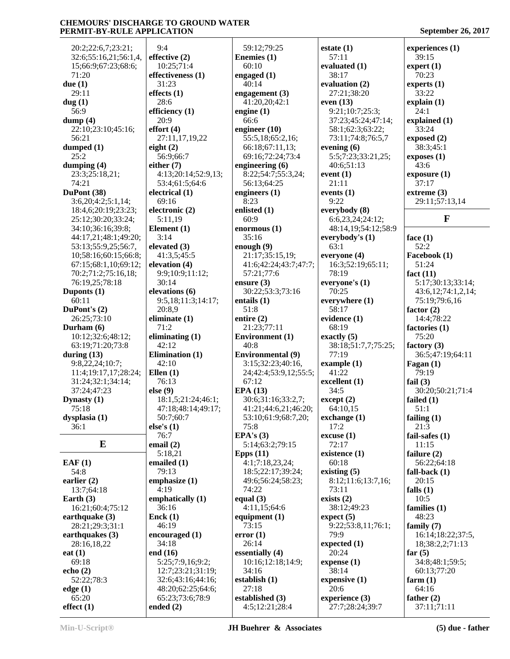20:2;22:6,7;23:21; 32:6;55:16,21;56:1,4, 15;66:9;67:23;68:6; 71:20 **due (1)** 29:11 **dug (1)** 56:9 **dump (4)** 22:10;23:10;45:16; 56:21 **dumped (1)** 25:2 **dumping (4)** 23:3;25:18,21; 74:21 **DuPont (38)** 3:6,20;4:2;5:1,14; 18:4,6;20:19;23:23; 25:12;30:20;33:24; 34:10;36:16;39:8; 44:17,21;48:1;49:20; 53:13;55:9,25;56:7, 10;58:16;60:15;66:8; 67:15;68:1,10;69:12; 70:2;71:2;75:16,18; 76:19,25;78:18 **Duponts (1)** 60:11 **DuPont's (2)** 26:25;73:10 **Durham (6)** 10:12;32:6;48:12; 63:19;71:20;73:8 **during (13)** 9:8,22,24;10:7; 11:4;19:17,17;28:24; 31:24;32:1;34:14; 37:24;47:23 **Dynasty (1)** 75:18 **dysplasia (1)** 36:1 **E EAF (1)** 54:8 **earlier (2)** 13:7;64:18 **Earth (3)** 16:21;60:4;75:12 **earthquake (3)** 28:21;29:3;31:1 **earthquakes (3)** 28:16,18,22 **eat (1)** 69:18 **echo (2)** 52:22;78:3 **edge (1)** 65:20 **effect (1)** 9:4 28:6 20:9 **effort (4) eight (2) either (7)** 3:14 71:2 **Ellen (1) else (9) else's (1)** 76:7 **email (2)** 4:19 **Enck (1) end (16) ended (2)**

**effective (2)** 10:25;71:4 **effectiveness (1)** 31:23 **effects (1) efficiency (1)** 27:11,17,19,22 56:9;66:7 4:13;20:14;52:9,13; 53:4;61:5;64:6 **electrical (1)** 69:16 **electronic (2)** 5:11,19 **Element (1) elevated (3)** 41:3,5;45:5 **elevation (4)** 9:9;10:9;11:12; 30:14 **elevations (6)** 9:5,18;11:3;14:17; 20:8,9 **eliminate (1) eliminating (1)** 42:12 **Elimination (1)** 42:10 76:13 18:1,5;21:24;46:1; 47:18;48:14;49:17; 50:7;60:7 5:18,21 **emailed (1)** 79:13 **emphasize (1) emphatically (1)** 36:16 46:19 **encouraged (1)** 34:18 5:25;7:9,16;9:2; 12:7;23:21;31:19; 32:6;43:16;44:16; 48:20;62:25;64:6; 65:23;73:6;78:9

 59:12;79:25 **Enemies (1)** 60:10 **engaged (1)** 40:14 **engagement (3)** 41:20,20;42:1 **engine (1)** 66:6 **engineer (10)** 55:5,18;65:2,16; 66:18;67:11,13; 69:16;72:24;73:4 **engineering (6)** 8:22;54:7;55:3,24; 56:13;64:25 **engineers (1)** 8:23 **enlisted (1)** 60:9 **enormous (1)** 35:16 **enough (9)** 21:17;35:15,19; 41:6;42:24;43:7;47:7; 57:21;77:6 **ensure (3)** 30:22;53:3;73:16 **entails (1)** 51:8 **entire (2)** 21:23;77:11 **Environment (1)** 40:8 **Environmental (9)** 3:15;32:23;40:16, 24;42:4;53:9,12;55:5; 67:12 **EPA (13)** 30:6;31:16;33:2,7; 41:21;44:6,21;46:20; 53:10;61:9;68:7,20; 75:8 **EPA's (3)** 5:14;63:2;79:15 **Epps (11)** 4:1;7:18,23,24; 18:5;22:17;39:24; 49:6;56:24;58:23; 74:22 **equal (3)** 4:11,15;64:6 **equipment (1)** 73:15 **error (1)** 26:14 **essentially (4)** 10:16;12:18;14:9; 34:16 **establish (1)** 27:18 **established (3)** 4:5;12:21;28:4

**estate (1)** 57:11 **evaluated (1)** 38:17 **evaluation (2)** 27:21;38:20 **even (13)** 9:21;10:7;25:3; 37:23;45:24;47:14; 58:1;62:3;63:22; 73:11;74:8;76:5,7 **evening (6)** 5:5;7:23;33:21,25; 40:6;51:13 **event (1)** 21:11 **events (1)** 9:22 **everybody (8)** 6:6,23,24;24:12; 48:14,19;54:12;58:9 **everybody's (1)** 63:1 **everyone (4)** 16:3;52:19;65:11; 78:19 **everyone's (1)** 70:25 **everywhere (1)** 58:17 **evidence (1)** 68:19 **exactly (5)** 38:18;51:7,7;75:25; 77:19 **example (1)** 41:22 **excellent (1)** 34:5 **except (2)** 64:10,15 **exchange (1)** 17:2 **excuse (1)** 72:17 **existence (1)** 60:18 **existing (5)** 8:12;11:6;13:7,16; 73:11 **exists (2)** 38:12;49:23 **expect (5)** 9:22;53:8,11;76:1; 79:9 **expected (1)** 20:24 **expense (1)** 38:14 **expensive (1)** 20:6 **experience (3)** 27:7;28:24;39:7

**experiences (1)** 39:15 **expert (1)** 70:23 **experts (1)** 33:22 **explain (1)** 24:1 **explained (1)** 33:24 **exposed (2)** 38:3;45:1 **exposes (1)** 43:6 **exposure (1)** 37:17 **extreme (3)** 29:11;57:13,14 **F face (1)** 52:2 **Facebook (1)** 51:24 **fact (11)** 5:17;30:13;33:14; 43:6,12;74:1,2,14; 75:19;79:6,16 **factor (2)** 14:4;78:22 **factories (1)** 75:20 **factory (3)** 36:5;47:19;64:11 **Fagan (1)** 79:19 **fail (3)** 30:20;50:21;71:4 **failed (1)** 51:1 **failing (1)** 21:3 **fail-safes (1)** 11:15 **failure (2)** 56:22;64:18 **fall-back (1)** 20:15 **falls (1)** 10:5 **families (1)** 48:23 **family (7)** 16:14;18:22;37:5, 18;38:2,2;71:13 **far (5)** 34:8;48:1;59:5; 60:13;77:20 **farm (1)** 64:16 **father (2)** 37:11;71:11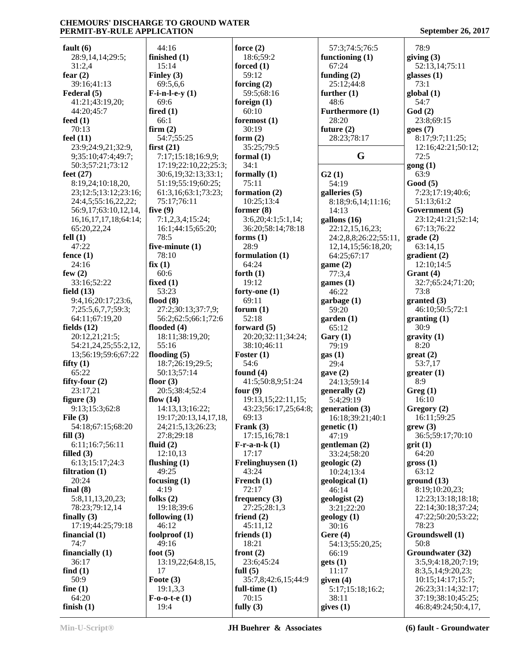**fault (6)** 28:9,14,14;29:5; 31:2,4 **fear (2)** 39:16;41:13 **Federal (5)** 41:21;43:19,20; 44:20;45:7 **feed (1)** 70:13 **feel (11)** 23:9;24:9,21;32:9, 9;35:10;47:4;49:7; 50:3;57:21;73:12 **feet (27)** 8:19,24;10:18,20, 23;12:5;13:12;23:16; 24:4,5;55:16,22,22; 56:9,17;63:10,12,14, 16,16,17,17,18;64:14; 65:20,22,24 **fell (1)** 47:22 **fence (1)** 24:16 **few (2)** 33:16;52:22 **field (13)** 9:4,16;20:17;23:6, 7;25:5,6,7,7;59:3; 64:11;67:19,20 **fields (12)** 20:12,21;21:5; 54:21,24,25;55:2,12, 13;56:19;59:6;67:22 **fifty (1)** 65:22 **fifty-four (2)** 23:17,21 **figure (3)** 9:13;15:3;62:8 **File (3)** 54:18;67:15;68:20 **fill (3)** 6:11;16:7;56:11 **filled (3)** 6:13;15:17;24:3 **filtration (1)** 20:24 **final (8)** 5:8,11,13,20,23; 78:23;79:12,14 **finally (3)** 17:19;44:25;79:18 **financial (1)** 74:7 **financially (1)** 36:17 **find (1)** 50:9 **fine (1)** 64:20 **finish (1)** 44:16 **finished (1)** 15:14 **Finley (3)** 69:5,6,6 **F-i-n-l-e-y (1)** 69:6 **fired (1)** 66:1 **firm (2) first (21) five (9)** 78:5 78:10 **fix (1)** 60:6 **fixed (1)** 53:23 **flood (8) flooded (4)** 55:16 **flooding (5) floor (3) flow (14) fluid (2)** 12:10,13 **flushing (1)** 49:25 **focusing (1)** 4:19 **folks (2) following (1)** 46:12 **foolproof (1)** 49:16 **foot (5)** 17 **Foote (3)** 19:1,3,3 **F-o-o-t-e (1)**  $19.4$ 

 54:7;55:25 7:17;15:18;16:9,9; 17:19;22:10,22;25:3; 30:6,19;32:13;33:1; 51:19;55:19;60:25; 61:3,16;63:1;73:23; 75:17;76:11 7:1,2,3,4;15:24; 16:1;44:15;65:20; **five-minute (1)** 27:2;30:13;37:7,9; 56:2;62:5;66:1;72:6 18:11;38:19,20; 18:7;26:19;29:5; 50:13;57:14 20:5;38:4;52:4 14:13,13;16:22; 19:17;20:13,14,17,18, 24;21:5,13;26:23; 27:8;29:18 19:18;39:6 13:19,22;64:8,15, **force (2)** 18:6;59:2 **forced (1)** 59:12 **forcing (2)** 59:5;68:16 **foreign (1)** 60:10 **foremost (1)** 30:19 **form (2)** 35:25;79:5 **formal (1)** 34:1 **formally (1)** 75:11 **formation (2)** 10:25;13:4 **former (8)** 3:6,20;4:1;5:1,14; 36:20;58:14;78:18 **forms (1)** 28:9 **formulation (1)** 64:24 **forth (1)** 19:12 **forty-one (1)** 69:11 **forum (1)** 52:18 **forward (5)** 20:20;32:11;34:24; 38:10;46:11 **Foster (1)** 54:6 **found (4)** 41:5;50:8,9;51:24 **four (9)** 19:13,15;22:11,15; 43:23;56:17,25;64:8; 69:13 **Frank (3)** 17:15,16;78:1 **F-r-a-n-k (1)** 17:17 **Frelinghuysen (1)** 43:24 **French (1)** 72:17 **frequency (3)** 27:25;28:1,3 **friend (2)** 45:11,12 **friends (1)** 18:21 **front (2)** 23:6;45:24 **full (5)** 35:7,8;42:6,15;44:9 **full-time (1)** 70:15 **fully (3)**

 57:3;74:5;76:5 **functioning (1)** 67:24 **funding (2)** 25:12;44:8 **further (1)** 48:6 **Furthermore (1)** 28:20 **future (2)** 28:23;78:17 **G G2 (1)** 54:19 **galleries (5)** 8:18;9:6,14;11:16; 14:13 **gallons (16)** 22:12,15,16,23; 24:2,8,8;26:22;55:11, 12,14,15;56:18,20; 64:25;67:17 **game (2)** 77:3,4 **games (1)** 46:22 **garbage (1)** 59:20 **garden (1)** 65:12 **Gary (1)** 79:19 **gas (1)** 29:4 **gave (2)** 24:13;59:14 **generally (2)** 5:4;29:19 **generation (3)** 16:18;39:21;40:1 **genetic (1)** 47:19 **gentleman (2)** 33:24;58:20 **geologic (2)** 10:24;13:4 **geological (1)** 46:14 **geologist (2)** 3:21;22:20 **geology (1)** 30:16 **Gere (4)** 54:13;55:20,25; 66:19 **gets (1)** 11:17 **given (4)** 5:17;15:18;16:2; 38:11 **gives (1)** 78:9 **giving (3)** 52:13,14;75:11 **glasses (1)** 73:1 **global (1)** 54:7 **God (2)** 23:8;69:15 **goes (7)** 8:17;9:7;11:25; 12:16;42:21;50:12; 72:5 **gong (1)** 63:9 **Good (5) grade (2) Grant (4)** 73:8 **granted (3)** 30:9 **gravity (1)** 8:20 **great (2) greater (1)** 8:9 **Greg (1)** 16:10 **grew (3) grit (1)** 64:20 **gross (1)** 63:12 78:23 50:8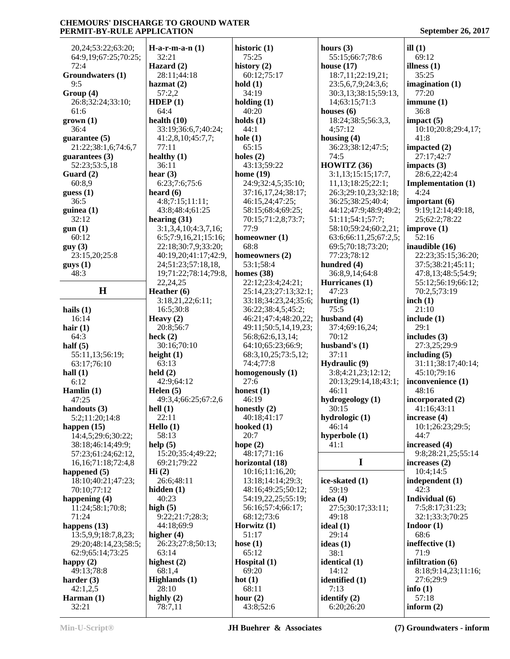| 20,24;53:22;63:20;           | $H-a-r-m-a-n(1)$                            | historic (1)                            | ho             |
|------------------------------|---------------------------------------------|-----------------------------------------|----------------|
| 64:9,19;67:25;70:25;         | 32:21                                       | 75:25                                   |                |
| 72:4                         | Hazard $(2)$                                | history $(2)$                           | ho             |
| Groundwaters (1)             | 28:11;44:18                                 | 60:12;75:17                             |                |
| 9:5                          | hazmat $(2)$                                | hold(1)                                 |                |
| Group (4)                    | 57:2,2                                      | 34:19                                   |                |
| 26:8;32:24;33:10;            | HDEP(1)                                     | holding $(1)$                           |                |
| 61:6                         | 64:4<br>health $(10)$                       | 40:20<br>holds $(1)$                    | ho             |
| $grown (1)$<br>36:4          | 33:19;36:6,7;40:24;                         | 44:1                                    |                |
| guarantee $(5)$              | 41:2,8,10;45:7,7;                           | hole $(1)$                              | ho             |
| 21:22;38:1,6;74:6,7          | 77:11                                       | 65:15                                   |                |
| guarantees $(3)$             | healthy $(1)$                               | holes $(2)$                             |                |
| 52:23;53:5,18                | 36:11                                       | 43:13:59:22                             | H <sub>0</sub> |
| Guard (2)                    | hear $(3)$                                  | home $(19)$                             |                |
| 60:8,9                       | 6:23;7:6;75:6                               | 24:9;32:4,5;35:10;                      |                |
| guess(1)                     | heard $(6)$                                 | 37:16,17,24;38:17;                      |                |
| 36:5                         | 4:8;7:15;11:11;                             | 46:15,24;47:25;                         |                |
| guinea $(1)$                 | 43:8;48:4;61:25                             | 58:15;68:4;69:25;                       |                |
| 32:12                        | hearing $(31)$                              | 70:15;71:2,8;73:7;                      |                |
| gun(1)                       | 3:1,3,4,10;4:3,7,16;                        | 77:9                                    |                |
| 60:12                        | 6:5;7:9,16,21;15:16;<br>22:18:30:7,9:33:20; | homeowner (1)<br>68:8                   |                |
| guy(3)<br>23:15,20;25:8      | 40:19,20;41:17;42:9,                        | homeowners $(2)$                        |                |
| guys(1)                      | 24;51:23;57:18,18,                          | 53:1;58:4                               | hu             |
| 48:3                         | 19;71:22;78:14;79:8,                        | homes $(38)$                            |                |
|                              | 22, 24, 25                                  | 22:12;23:4;24:21;                       | H <sub>u</sub> |
| $\bf H$                      | Heather (6)                                 | 25:14,23;27:13;32:1;                    |                |
|                              | 3:18,21,22;6:11;                            | 33:18;34:23,24;35:6;                    | hu             |
| hails $(1)$                  | 16:5;30:8                                   | 36:22;38:4,5;45:2;                      |                |
| 16:14                        | Heavy $(2)$                                 | 46:21;47:4;48:20,22;                    | hu             |
| hair $(1)$                   | 20:8;56:7                                   | 49:11;50:5,14,19,23;                    |                |
| 64:3                         | heck $(2)$                                  | 56:8;62:6,13,14;                        |                |
| half $(5)$                   | 30:16;70:10                                 | 64:10;65:23;66:9;                       | hu             |
| 55:11,13;56:19;              | height $(1)$                                | 68:3, 10, 25; 73: 5, 12;                |                |
| 63:17;76:10                  | 63:13<br>held $(2)$                         | 74:4;77:8                               | <b>Hy</b>      |
| hall $(1)$<br>6:12           | 42:9:64:12                                  | homogenously (1)<br>27:6                |                |
| Hamlin $(1)$                 | Helen $(5)$                                 | honest $(1)$                            |                |
| 47:25                        | 49:3,4;66:25;67:2,6                         | 46:19                                   | hy             |
| handouts (3)                 | hell $(1)$                                  | honestly $(2)$                          |                |
| 5:2;11:20;14:8               | 22:11                                       | 40:18;41:17                             | hy             |
| happen $(15)$                | Hello $(1)$                                 | hooked $(1)$                            |                |
| 14:4,5;29:6;30:22;           | 58:13                                       | 20:7                                    | hy             |
| 38:18;46:14;49:9;            | help $(5)$                                  | hope $(2)$                              |                |
| 57:23;61:24;62:12,           | 15:20;35:4;49:22;                           | 48:17;71:16                             |                |
| 16, 16; 71: 18; 72: 4, 8     | 69:21;79:22                                 | horizontal (18)                         |                |
| happened $(5)$               | Hi(2)                                       | 10:16;11:16,20;                         |                |
| 18:10;40:21;47:23;           | 26:6;48:11                                  | 13:18;14:14;29:3;<br>48:16;49:25;50:12; | ice            |
| 70:10;77:12<br>happening (4) | hidden $(1)$<br>40:23                       | 54:19,22,25;55:19;                      | id             |
| 11:24;58:1;70:8;             | high $(5)$                                  | 56:16;57:4;66:17;                       |                |
| 71:24                        | 9:22;21:7;28:3;                             | 68:12;73:6                              |                |
| happens $(13)$               | 44:18;69:9                                  | Horwitz $(1)$                           | id             |
| 13:5,9,9;18:7,8,23;          | higher $(4)$                                | 51:17                                   |                |
| 29:20;48:14,23;58:5;         | 26:23;27:8;50:13;                           | hose $(1)$                              | id             |
| 62:9;65:14;73:25             | 63:14                                       | 65:12                                   |                |
| happy $(2)$                  | highest $(2)$                               | Hospital (1)                            | id             |
| 49:13;78:8                   | 68:1,4                                      | 69:20                                   |                |
| harder $(3)$                 | Highlands (1)                               | hot $(1)$                               | id             |
| 42:1,2,5<br>Harman $(1)$     | 28:10                                       | 68:11                                   |                |
|                              |                                             |                                         |                |
| 32:21                        | highly $(2)$<br>78:7,11                     | hour $(2)$<br>43:8;52:6                 | ide            |

**hours (3)** 55:15;66:7;78:6 **house (17)** 18:7,11;22:19,21; 23:5,6,7,9;24:3,6; 30:3,13;38:15;59:13, 14;63:15;71:3 **houses (6)** 18:24;38:5;56:3,3, 4;57:12 **housing (4)** 36:23;38:12;47:5; 74:5 **HOWITZ (36)** 3:1,13;15:15;17:7, 11,13;18:25;22:1; 26:3;29:10,23;32:18; 36:25;38:25;40:4; 44:12;47:9;48:9;49:2; 51:11;54:1;57:7; 58:10;59:24;60:2,21; 63:6;66:11,25;67:2,5; 69:5;70:18;73:20; 77:23;78:12 **hundred (4)** 36:8,9,14;64:8 **Hurricanes (1)** 47:23 **hurting (1)** 75:5 **husband (4)** 37:4;69:16,24; 70:12 **husband's (1)** 37:11 **Hydraulic (9)** 3:8;4:21,23;12:12; 20:13;29:14,18;43:1; 46:11 **hydrogeology (1)** 30:15 **hydrologic (1)** 46:14 **hyperbole (1)** 41:1 **I ice-skated (1)** 59:19 **idea (4)** 27:5;30:17;33:11; 49:18 **ideal (1)** 29:14 **ideas (1)** 38:1 **identical (1)** 14:12 **identified (1)** 7:13 **identify (2)**

6:20;26:20

**ill (1)** 69:12 **illness (1)** 35:25 **imagination (1)** 77:20 **immune (1)** 36:8 **impact (5)** 10:10;20:8;29:4,17; 41:8 **impacted (2)** 27:17;42:7 **impacts (3)** 28:6,22;42:4 **Implementation (1)** 4:24 **important (6)** 9:19;12:14;49:18, 25;62:2;78:22 **improve (1)** 52:16 **inaudible (16)** 22:23;35:15;36:20; 37:5;38:21;45:11; 47:8,13;48:5;54:9; 55:12;56:19;66:12; 70:2,5;73:19 **inch (1)** 21:10 **include (1)** 29:1 **includes (3)** 27:3,25;29:9 **including (5)** 31:11;38:17;40:14; 45:10;79:16 **inconvenience (1)** 48:16 **incorporated (2)** 41:16;43:11 **increase (4)** 10:1;26:23;29:5; 44:7 **increased (4)** 9:8;28:21,25;55:14 **increases (2)** 10:4;14:5 **independent (1)** 42:3 **Individual (6)** 7:5;8:17;31:23; 32:1;33:3;70:25 **Indoor (1)** 68:6 **ineffective (1)** 71:9 **infiltration (6)** 8:18;9:14,23;11:16; 27:6;29:9 **info (1)** 57:18 **inform (2)**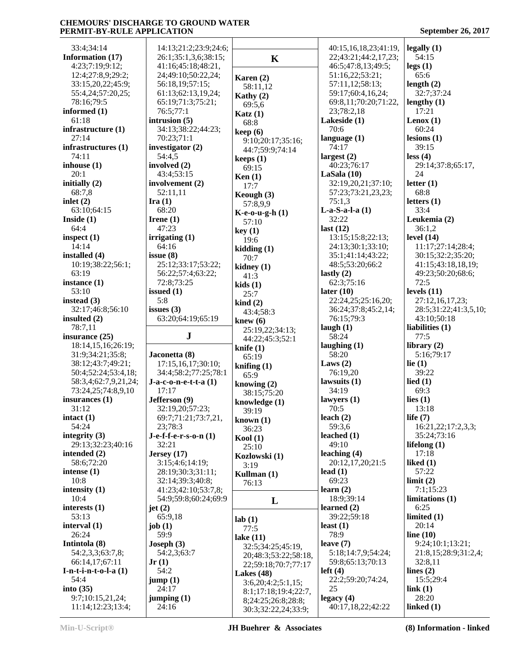| 33:4;34:14                            | 14:13;21:2;23:9;24:6;  |                          | 40:15,16,18,23;41:19,          | legally(1)                 |
|---------------------------------------|------------------------|--------------------------|--------------------------------|----------------------------|
| Information (17)                      | 26:1;35:1,3,6;38:15;   | $\mathbf K$              | 22;43:21;44:2,17,23;           | 54:15                      |
| 4:23;7:19;9:12;                       | 41:16;45:18;48:21,     |                          | 46:5;47:8,13;49:5;             | legs(1)                    |
| 12:4;27:8,9;29:2;                     | 24;49:10;50:22,24;     | Karen $(2)$              | 51:16,22;53:21;                | 65:6                       |
| 33:15,20,22;45:9;                     | 56:18,19;57:15;        |                          | 57:11,12;58:13;                | length $(2)$               |
| 55:4,24;57:20,25;                     | 61:13;62:13,19,24;     | 58:11,12                 | 59:17;60:4,16,24;              | 32:7;37:24                 |
| 78:16;79:5                            | 65:19;71:3;75:21;      | Kathy (2)                | 69:8,11;70:20;71:22,           | lengthy $(1)$              |
|                                       |                        | 69:5,6                   |                                |                            |
| informed $(1)$                        | 76:5;77:1              | Katz(1)                  | 23;78:2,18                     | 17:21                      |
| 61:18                                 | intrusion $(5)$        | 68:8                     | Lakeside (1)                   | Lenox $(1)$                |
| infrastructure (1)                    | 34:13;38:22;44:23;     | keep(6)                  | 70:6                           | 60:24                      |
| 27:14                                 | 70:23;71:1             | 9:10;20:17;35:16;        | language $(1)$                 | lesions(1)                 |
| infrastructures (1)                   | investigator $(2)$     | 44:7;59:9;74:14          | 74:17                          | 39:15                      |
| 74:11                                 | 54:4,5                 | keeps(1)                 | largest $(2)$                  | less (4)                   |
| inhouse $(1)$                         | involved (2)           | 69:15                    | 40:23;76:17                    | 29:14;37:8;65:17,          |
| 20:1                                  | 43:4;53:15             |                          | LaSala $(10)$                  | 24                         |
| initially (2)                         | involvement (2)        | Ken(1)                   | 32:19,20,21;37:10;             | letter $(1)$               |
| 68:7,8                                | 52:11,11               | 17:7                     | 57:23;73:21,23,23;             | 68:8                       |
|                                       |                        | Keough (3)               |                                |                            |
| inlet $(2)$                           | Ira(1)                 | 57:8,9,9                 | 75:1,3                         | letters $(1)$              |
| 63:10:64:15                           | 68:20                  | $K-e-o-u-g-h(1)$         | $L-a-S-a-l-a(1)$               | 33:4                       |
| Inside $(1)$                          | Irene $(1)$            | 57:10                    | 32:22                          | Leukemia (2)               |
| 64:4                                  | 47:23                  | key(1)                   | last $(12)$                    | 36:1,2                     |
| inspect $(1)$                         | irrigating (1)         | 19:6                     | 13:15:15:8:22:13;              | level $(14)$               |
| 14:14                                 | 64:16                  | kidding(1)               | 24:13;30:1;33:10;              | 11:17;27:14;28:4;          |
| installed (4)                         | issue $(8)$            | 70:7                     | 35:1;41:14;43:22;              | 30:15;32:2;35:20;          |
| 10:19;38:22;56:1;                     | 25:12;33:17;53:22;     |                          | 48:5;53:20;66:2                | 41:15;43:18,18,19;         |
| 63:19                                 | 56:22;57:4;63:22;      | kidney $(1)$             | lastly $(2)$                   | 49:23;50:20;68:6;          |
|                                       |                        | 41:3                     |                                | 72:5                       |
| instance (1)                          | 72:8;73:25             | kids(1)                  | 62:3;75:16                     |                            |
| 53:10                                 | issued $(1)$           | 25:7                     | later $(10)$                   | levels $(11)$              |
| instead $(3)$                         | 5:8                    | $\operatorname{kind}(2)$ | 22:24,25;25:16,20;             | 27:12,16,17,23;            |
| 32:17;46:8;56:10                      | issues $(3)$           | 43:4;58:3                | 36:24;37:8;45:2,14;            | 28:5;31:22;41:3,5,10;      |
| insulted $(2)$                        | 63:20;64:19;65:19      | knew $(6)$               | 76:15;79:3                     | 43:10;50:18                |
|                                       |                        |                          |                                |                            |
|                                       |                        |                          |                                |                            |
| 78:7,11                               |                        | 25:19,22;34:13;          | laugh $(1)$                    | liabilities (1)            |
| insurance (25)                        | ${\bf J}$              | 44:22;45:3;52:1          | 58:24                          | 77:5                       |
| 18:14,15,16;26:19;                    |                        | knife $(1)$              | laughing $(1)$                 | library $(2)$              |
| 31:9;34:21;35:8;                      | Jaconetta (8)          | 65:19                    | 58:20                          | 5:16;79:17                 |
| 38:12;43:7;49:21;                     | 17:15,16,17;30:10;     | knifing $(1)$            | Laws $(2)$                     | lie $(1)$                  |
| 50:4;52:24;53:4,18;                   | 34:4;58:2;77:25;78:1   | 65:9                     | 76:19,20                       | 39:22                      |
| 58:3,4;62:7,9,21,24;                  | $J-a-c-o-n-e-t-t-a(1)$ | knowing $(2)$            | lawsuits $(1)$                 | lied $(1)$                 |
| 73:24,25;74:8,9,10                    | 17:17                  | 38:15;75:20              | 34:19                          | 69:3                       |
| insurances $(1)$                      | Jefferson (9)          |                          | lawyers $(1)$                  | lies $(1)$                 |
| 31:12                                 | 32:19,20;57:23;        | knowledge (1)            | 70:5                           | 13:18                      |
| $\text{intact}(1)$                    | 69:7;71:21;73:7,21,    | 39:19                    | leach $(2)$                    | life $(7)$                 |
| 54:24                                 | 23;78:3                | known $(1)$              | 59:3,6                         | 16:21,22;17:2,3,3;         |
|                                       |                        | 36:23                    |                                |                            |
| integrity $(3)$                       | $J-e-f-f-e-r-s-o-n(1)$ | Kool(1)                  | leached $(1)$                  | 35:24;73:16                |
| 29:13;32:23;40:16                     | 32:21                  | 25:10                    | 49:10                          | lifelong $(1)$             |
| intended (2)                          | Jersey $(17)$          | Kozlowski (1)            | leaching $(4)$                 | 17:18                      |
| 58:6;72:20                            | 3:15;4:6;14:19;        | 3:19                     | 20:12,17,20;21:5               | liked $(1)$                |
| intense $(1)$                         | 28:19;30:3;31:11;      | Kullman (1)              | lead $(1)$                     | 57:22                      |
| 10:8                                  | 32:14;39:3;40:8;       | 76:13                    | 69:23                          | limit(2)                   |
| intensity $(1)$                       | 41:23;42:10;53:7,8;    |                          | learn $(2)$                    | 7:1;15:23                  |
| 10:4                                  | 54:9;59:8;60:24;69:9   | L                        | 18:9:39:14                     | limitations <sub>(1)</sub> |
| interests $(1)$                       | jet $(2)$              |                          | learned $(2)$                  | 6:25                       |
| 53:13                                 | 65:9,18                |                          | 39:22;59:18                    | limited $(1)$              |
| interval $(1)$                        | job $(1)$              | lab(1)                   | least $(1)$                    | 20:14                      |
| 26:24                                 | 59:9                   | 77:5                     | 78:9                           |                            |
|                                       |                        | lake $(11)$              |                                | line $(10)$                |
| Intintola (8)                         | Joseph $(3)$           | 32:5;34:25;45:19,        | leave $(7)$                    | 9:24;10:1;13:21;           |
| 54:2,3,3;63:7,8;                      | 54:2,3;63:7            | 20;48:3;53:22;58:18,     | 5:18;14:7,9;54:24;             | 21:8,15;28:9;31:2,4;       |
| 66:14,17;67:11                        | Jr(1)                  | 22;59:18;70:7;77:17      | 59:8;65:13;70:13               | 32:8,11                    |
| $I-n-t-in-t-o-l-a(1)$                 | 54:2                   | Lakes $(48)$             | left(4)                        | lines $(2)$                |
| 54:4                                  | jump(1)                | 3:6,20;4:2;5:1,15;       | 22:2;59:20;74:24,              | 15:5;29:4                  |
| into $(35)$                           | 24:17                  | 8:1;17:18;19:4;22:7,     | 25                             | link(1)                    |
| 9:7;10:15,21,24;<br>11:14;12:23;13:4; | jumping $(1)$<br>24:16 | 8;24:25;26:8;28:8;       | legacy(4)<br>40:17,18,22;42:22 | 28:20<br>linked $(1)$      |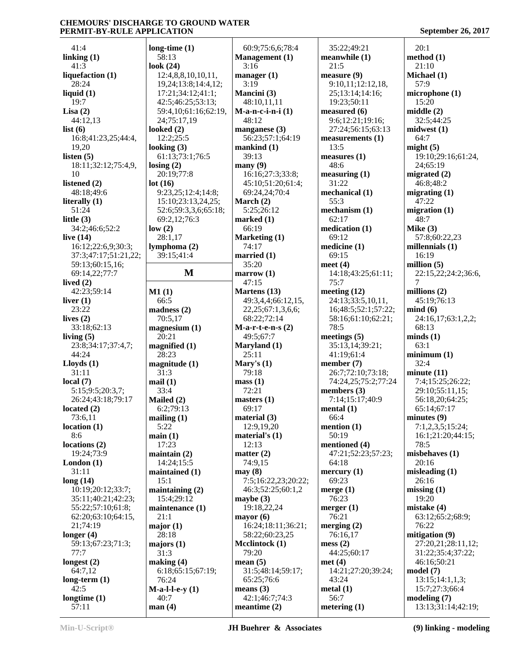41:4 **linking (1)** 41:3 **liquefaction (1)** 28:24 **liquid (1)** 19:7 **Lisa (2)** 44:12,13 **list (6)** 16:8;41:23,25;44:4, 19,20 **listen (5)** 18:11;32:12;75:4,9, 10 **listened (2)** 48:18;49:6 **literally (1)** 51:24 **little (3)** 34:2;46:6;52:2 **live (14)** 16:12;22:6,9;30:3; 37:3;47:17;51:21,22; 59:13;60:15,16; 69:14,22;77:7 **lived (2)** 42:23;59:14 **liver (1)** 23:22 **lives (2)** 33:18;62:13 **living (5)** 23:8;34:17;37:4,7; 44:24 **Lloyds (1)** 31:11 **local (7)** 5:15;9:5;20:3,7; 26:24;43:18;79:17 **located (2)** 73:6,11 **location (1)** 8:6 **locations (2)** 19:24;73:9 **London (1)** 31:11 **long (14)** 10:19;20:12;33:7; 35:11;40:21;42:23; 55:22;57:10;61:8; 62:20;63:10;64:15, 21;74:19 **longer (4)** 59:13;67:23;71:3; 77:7 **longest (2)** 64:7,12 **long-term (1)** 42:5 **longtime (1)** 57:11 **look (24) losing (2) lot (16) low (2) M1 (1)** 66:5 31:3 **mail (1)** 33:4 5:22 **main (1)**  $15:1$  21:1 **major (1)** 28:18 31:3 40:7 **man (4)**

**long-time (1)** 58:13 12:4,8,8,10,10,11, 19,24;13:8;14:4,12; 17:21;34:12;41:1; 42:5;46:25;53:13; 59:4,10;61:16;62:19, 24;75:17,19 **looked (2)** 12:2;25:5 **looking (3)** 61:13;73:1;76:5 20:19;77:8 9:23,25;12:4;14:8; 15:10;23:13,24,25; 52:6;59:3,3,6;65:18; 69:2,12;76:3 28:1,17 **lymphoma (2)** 39:15;41:4 **M marrow (1) madness (2)** 70:5,17 **magnesium (1)** 20:21 **magnified (1)** 28:23 **magnitude (1) Mailed (2)** 6:2;79:13 **mailing (1)** 17:23 **maintain (2)** 14:24;15:5 **maintained (1) maintaining (2)** 15:4;29:12 **maintenance (1) majors (1) making (4)** 6:18;65:15;67:19; 76:24 **M-a-l-l-e-y (1)** 60:9;75:6,6;78:4 **Management (1)** 3:16 **manager (1)** 3:19 **Mancini (3)** 48:10,11,11 **M-a-n-c-i-n-i (1)** 48:12 **manganese (3)** 56:23;57:1;64:19 **mankind (1)** 39:13 **many (9)** 16:16;27:3;33:8; 45:10;51:20;61:4; 69:24,24;70:4 **March (2)** 5:25;26:12 **marked (1)** 66:19 **Marketing (1)** 74:17 **married (1)** 35:20 47:15 **Martens (13)** 49:3,4,4;66:12,15, 22,25;67:1,3,6,6; 68:22;72:14 **M-a-r-t-e-n-s (2)** 49:5;67:7 **Maryland (1)** 25:11 **Mary's (1)** 79:18 **mass (1)** 72:21 **masters (1)** 69:17 **material (3)** 12:9,19,20 **material's (1)** 12:13 **matter (2)** 74:9,15 **may (8)** 7:5;16:22,23;20:22; 46:3;52:25;60:1,2 **maybe (3)** 19:18,22,24 **mayor (6)** 16:24;18:11;36:21; 58:22;60:23,25 **Mcclintock (1)** 79:20 **mean (5)** 31:5;48:14;59:17; 65:25;76:6 **means (3)** 42:1;46:7;74:3 **meantime (2)**

 35:22;49:21 **meanwhile (1)** 21:5 **measure (9)** 9:10,11;12:12,18, 25;13:14;14:16; 19:23;50:11 **measured (6)** 9:6;12:21;19:16; 27:24;56:15;63:13 **measurements (1)** 13:5 **measures (1)** 48:6 **measuring (1)** 31:22 **mechanical (1)** 55:3 **mechanism (1)** 62:17 **medication (1)** 69:12 **medicine (1)** 69:15 **meet (4)** 14:18;43:25;61:11; 75:7 **meeting (12)** 24:13;33:5,10,11, 16;48:5;52:1;57:22; 58:16;61:10;62:21; 78:5 **meetings (5)** 35:13,14;39:21; 41:19;61:4 **member (7)** 26:7;72:10;73:18; 74:24,25;75:2;77:24 **members (3)** 7:14;15:17;40:9 **mental (1)** 66:4 **mention (1)** 50:19 **mentioned (4)** 47:21;52:23;57:23; 64:18 **mercury (1)** 69:23 **merge (1)** 76:23 **merger (1)** 76:21 **merging (2)** 76:16,17 **mess (2)** 44:25;60:17 **met (4)** 14:21;27:20;39:24; 43:24 **metal (1)** 56:7 **metering (1)**

 20:1 **method (1)** 21:10 **Michael (1)** 57:9 **microphone (1)** 15:20 **middle (2)** 32:5;44:25 **midwest (1)** 64:7 **might (5)** 19:10;29:16;61:24, 24;65:19 **migrated (2)** 46:8;48:2 **migrating (1)** 47:22 **migration (1)** 48:7 **Mike (3)** 57:8;60:22,23 **millennials (1)** 16:19 **million (5)** 22:15,22;24:2;36:6, 7 **millions (2)** 45:19;76:13 **mind (6)** 24:16,17;63:1,2,2; 68:13 **minds (1)** 63:1 **minimum (1)** 32:4 **minute (11)** 7:4;15:25;26:22; 29:10;55:11,15; 56:18,20;64:25; 65:14;67:17 **minutes (9)** 7:1,2,3,5;15:24; 16:1;21:20;44:15; 78:5 **misbehaves (1)** 20:16 **misleading (1)** 26:16 **missing (1)** 19:20 **mistake (4)** 63:12;65:2;68:9; 76:22 **mitigation (9)** 27:20,21;28:11,12; 31:22;35:4;37:22; 46:16;50:21 **model (7)** 13:15;14:1,1,3; 15:7;27:3;66:4 **modeling (7)** 13:13;31:14;42:19;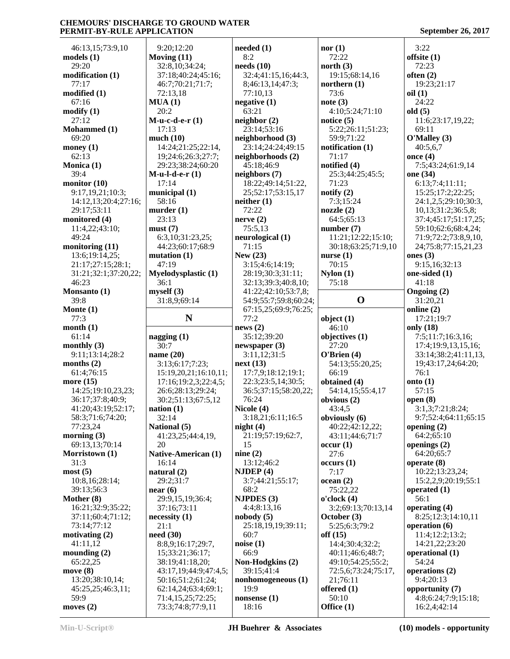| 46:13,15;73:9,10                                                                                                                           | 9:20;12:20                             | needed (1)              | nor(1)              | 3:22                                |
|--------------------------------------------------------------------------------------------------------------------------------------------|----------------------------------------|-------------------------|---------------------|-------------------------------------|
| models (1)                                                                                                                                 | Moving $(11)$                          | 8:2                     | 72:22               | offsite $(1)$                       |
| 29:20                                                                                                                                      | 32:8,10;34:24;                         | needs(10)               | north $(3)$         | 72:23                               |
| modification (1)                                                                                                                           | 37:18;40:24;45:16;                     | 32:4;41:15,16;44:3,     | 19:15;68:14,16      | often $(2)$                         |
| 77:17                                                                                                                                      | 46:7;70:21;71:7;                       | 8;46:13,14;47:3;        | northern $(1)$      | 19:23;21:17                         |
| modified (1)                                                                                                                               | 72:13,18                               | 77:10,13                | 73:6                | oil(1)                              |
| 67:16                                                                                                                                      | MUA(1)                                 |                         |                     | 24:22                               |
|                                                                                                                                            |                                        | negative $(1)$          | note(3)             |                                     |
| modify (1)                                                                                                                                 | 20:2                                   | 63:21                   | 4:10;5:24;71:10     | old(5)                              |
| 27:12                                                                                                                                      | $M$ -u-c-d-e-r $(1)$                   | neighbor(2)             | notice $(5)$        | 11:6;23:17,19,22;                   |
| Mohammed (1)                                                                                                                               | 17:13                                  | 23:14;53:16             | 5:22;26:11;51:23;   | 69:11                               |
| 69:20                                                                                                                                      | much(10)                               | neighborhood (3)        | 59:9;71:22          | O'Malley (3)                        |
| money (1)                                                                                                                                  | 14:24;21:25;22:14,                     | 23:14;24:24;49:15       | notification (1)    | 40:5,6,7                            |
| 62:13                                                                                                                                      | 19;24:6;26:3;27:7;                     | neighborhoods (2)       | 71:17               | once $(4)$                          |
| Monica (1)                                                                                                                                 | 29:23;38:24;60:20                      | 45:18;46:9              | notified (4)        | 7:5;43:24;61:9,14                   |
| 39:4                                                                                                                                       | $M$ -u-l-d-e-r $(1)$                   | neighbors (7)           | 25:3;44:25;45:5;    | one (34)                            |
| monitor (10)                                                                                                                               | 17:14                                  | 18:22;49:14;51:22,      | 71:23               | 6:13;7:4;11:11;                     |
| 9:17,19,21;10:3;                                                                                                                           | municipal (1)                          | 25;52:17;53:15,17       | notify $(2)$        | 15:25;17:2;22:25;                   |
| 14:12,13;20:4;27:16;                                                                                                                       | 58:16                                  | neither(1)              | 7:3;15:24           | 24:1,2,5;29:10;30:3,                |
| 29:17;53:11                                                                                                                                | murder $(1)$                           | 72:22                   | nozzle(2)           | 10,13;31:2;36:5,8;                  |
| monitored (4)                                                                                                                              | 23:13                                  | nerve(2)                | 64:5;65:13          | 37:4;45:17;51:17,25;                |
| 11:4,22;43:10;                                                                                                                             | must(7)                                | 75:5,13                 | number $(7)$        | 59:10;62:6;68:4,24;                 |
| 49:24                                                                                                                                      | 6:3,10;31:23,25;                       | neurological (1)        | 11:21;12:22;15:10;  | 71:9;72:2;73:8,9,10,                |
| monitoring (11)                                                                                                                            | 44:23;60:17;68:9                       | 71:15                   | 30:18;63:25;71:9,10 | 24;75:8;77:15,21,23                 |
| 13:6;19:14,25;                                                                                                                             | mutation $(1)$                         | New $(23)$              | nurse $(1)$         | ones $(3)$                          |
|                                                                                                                                            | 47:19                                  | 3:15;4:6;14:19;         | 70:15               | 9:15,16;32:13                       |
| 21:17;27:15;28:1;                                                                                                                          |                                        | 28:19:30:3:31:11:       |                     | one-sided (1)                       |
| 31:21;32:1;37:20,22;                                                                                                                       | <b>Myelodysplastic (1)</b>             |                         | Nylon(1)            |                                     |
| 46:23                                                                                                                                      | 36:1                                   | 32:13;39:3;40:8,10;     | 75:18               | 41:18                               |
| Monsanto (1)                                                                                                                               | myself(3)                              | 41:22;42:10;53:7,8;     |                     | Ongoing (2)                         |
| 39:8                                                                                                                                       | 31:8,9;69:14                           | 54:9;55:7;59:8;60:24;   | $\mathbf 0$         | 31:20,21                            |
| Monte (1)                                                                                                                                  |                                        | 67:15,25;69:9;76:25;    |                     | online (2)                          |
| 77:3                                                                                                                                       | N                                      | 77:2                    | object $(1)$        | 17:21;19:7                          |
|                                                                                                                                            |                                        |                         |                     |                                     |
| month (1)                                                                                                                                  |                                        | news(2)                 | 46:10               | only (18)                           |
| 61:14                                                                                                                                      | nagging $(1)$                          | 35:12;39:20             | objectives (1)      | 7:5;11:7;16:3,16;                   |
|                                                                                                                                            | 30:7                                   | newspaper $(3)$         | 27:20               | 17:4;19:9,13,15,16;                 |
| monthly $(3)$                                                                                                                              |                                        |                         |                     |                                     |
| 9:11;13:14;28:2                                                                                                                            | name $(20)$                            | 3:11,12;31:5            | O'Brien (4)         | 33:14;38:2;41:11,13,                |
| months $(2)$                                                                                                                               | 3:13;6:17;7:23;                        | next(13)                | 54:13;55:20,25;     | 19;43:17,24;64:20;                  |
| 61:4;76:15                                                                                                                                 | 15:19,20,21;16:10,11;                  | 17:7,9;18:12;19:1;      | 66:19               | 76:1                                |
|                                                                                                                                            | 17:16;19:2,3;22:4,5;                   | 22:3;23:5,14;30:5;      | obtained (4)        | onto $(1)$                          |
| 14:25;19:10,23,23;                                                                                                                         | 26:6;28:13;29:24;                      | 36:5;37:15;58:20,22;    | 54:14,15;55:4,17    | 57:15                               |
| 36:17;37:8;40:9;                                                                                                                           | 30:2;51:13;67:5,12                     | 76:24                   | obvious (2)         | open $(8)$                          |
| 41:20;43:19;52:17;                                                                                                                         | nation $(1)$                           | Nicole (4)              | 43:4,5              | 3:1,3;7:21;8:24;                    |
| 58:3;71:6;74:20;                                                                                                                           | 32:14                                  | 3:18,21;6:11;16:5       | obviously (6)       | 9:7;52:4;64:11;65:15                |
| 77:23,24                                                                                                                                   | National (5)                           | night $(4)$             | 40:22;42:12,22;     | opening $(2)$                       |
|                                                                                                                                            | 41:23,25;44:4,19,                      | 21:19;57:19;62:7,       | 43:11:44:6:71:7     | 64:2;65:10                          |
| 69:13,13;70:14                                                                                                                             | 20                                     | 15                      | occur(1)            | openings (2)                        |
|                                                                                                                                            | Native-American (1)                    | nine $(2)$              | 27:6                | 64:20;65:7                          |
| 31:3                                                                                                                                       | 16:14                                  | 13:12;46:2              | occurs(1)           | operate $(8)$                       |
|                                                                                                                                            | natural $(2)$                          | NJDEF(4)                | 7:17                | 10:22;13:23,24;                     |
| 10:8,16;28:14;                                                                                                                             | 29:2;31:7                              | 3:7;44:21;55:17;        | ocean (2)           | 15:2,2,9;20:19;55:1                 |
| 39:13;56:3                                                                                                                                 | near(6)                                | 68:2                    | 75:22,22            | operated $(1)$                      |
|                                                                                                                                            | 29:9,15,19;36:4;                       | <b>NJPDES</b> (3)       | o'clock(4)          | 56:1                                |
| 16:21;32:9;35:22;                                                                                                                          | 37:16;73:11                            | 4:4;8:13,16             | 3:2;69:13;70:13,14  | operating (4)                       |
| 37:11;60:4;71:12;                                                                                                                          | necessity(1)                           | nobody(5)               | October (3)         | 8:25;12:3;14:10,11                  |
| 73:14;77:12                                                                                                                                | 21:1                                   | 25:18,19,19;39:11;      | 5:25;6:3;79:2       | operation (6)                       |
|                                                                                                                                            | need(30)                               | 60:7                    | off $(15)$          | 11:4;12:2;13:2;                     |
|                                                                                                                                            |                                        |                         |                     |                                     |
| 41:11,12                                                                                                                                   | 8:8,9;16:17;29:7,                      | noise(1)                | 14:4;30:4;32:2;     | 14:21,22;23:20                      |
|                                                                                                                                            | 15;33:21;36:17;                        | 66:9                    | 40:11;46:6;48:7;    | operational (1)                     |
| 65:22,25                                                                                                                                   | 38:19;41:18,20;                        | Non-Hodgkins (2)        | 49:10;54:25;55:2;   | 54:24                               |
|                                                                                                                                            | 43:17,19;44:9;47:4,5;                  | 39:15;41:4              | 72:5,6;73:24;75:17, | operations (2)                      |
| 13:20;38:10,14;                                                                                                                            | 50:16;51:2;61:24;                      | nonhomogeneous (1)      | 21;76:11            | 9:4;20:13                           |
| 45:25,25;46:3,11;                                                                                                                          | 62:14,24;63:4;69:1;                    | 19:9                    | offered (1)         | opportunity (7)                     |
| more (15)<br>morning $(3)$<br>Morristown (1)<br>most(5)<br>Mother (8)<br>motivating (2)<br>mounding $(2)$<br>move (8)<br>59:9<br>moves (2) | 71:4,15,25;72:25;<br>73:3;74:8;77:9,11 | nonsense $(1)$<br>18:16 | 50:10<br>Office (1) | 4:8;6:24;7:9;15:18;<br>16:2,4;42:14 |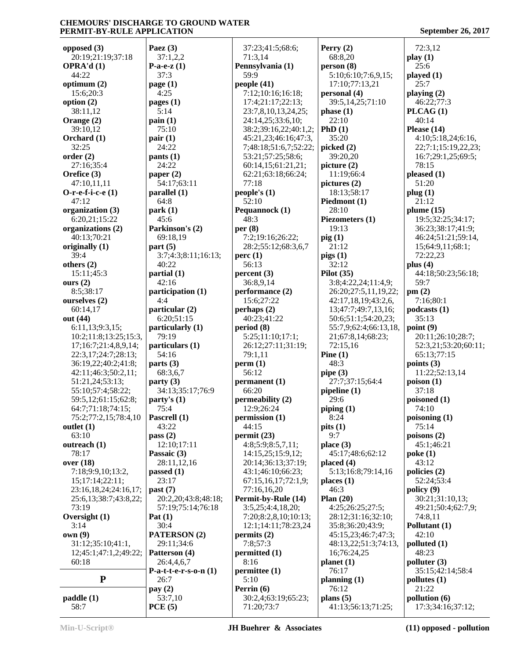| opposed $(3)$         | Paez $(3)$              | 37:23;41:5;68:6;      | Perry $(2)$           | 72:3,12                       |
|-----------------------|-------------------------|-----------------------|-----------------------|-------------------------------|
| 20:19;21:19;37:18     | 37:1,2,2                | 71:3,14               | 68:8,20               | play(1)                       |
| <b>OPRA'd</b> $(1)$   | P-a-e- $z(1)$           | Pennsylvania (1)      | person(8)             | 25:6                          |
| 44:22                 | 37:3                    | 59:9                  | 5:10;6:10;7:6,9,15;   | played $(1)$                  |
| optimum $(2)$         | page $(1)$              | people (41)           | 17:10;77:13,21        | 25:7                          |
|                       |                         |                       |                       |                               |
| 15:6;20:3             | 4:25                    | 7:12;10:16;16:18;     | personal (4)          | playing $(2)$                 |
| option $(2)$          | pages $(1)$             | 17:4;21:17;22:13;     | 39:5,14,25;71:10      | 46:22;77:3                    |
| 38:11,12              | 5:14                    | 23:7,8,10,13,24,25;   | phase(1)              | PLCAG(1)                      |
| Orange (2)            | $\text{pain}(1)$        | 24:14,25;33:6,10;     | 22:10                 | 40:14                         |
| 39:10,12              | 75:10                   | 38:2;39:16,22;40:1,2; | PhD(1)                | Please $(14)$                 |
| Orchard (1)           | pair(1)                 | 45:21,23;46:16;47:3,  | 35:20                 | 4:10;5:18,24;6:16,            |
| 32:25                 | 24:22                   | 7;48:18;51:6,7;52:22; | picked $(2)$          | 22;7:1;15:19,22,23;           |
| order(2)              | pants(1)                | 53:21;57:25;58:6;     | 39:20,20              | 16:7;29:1,25;69:5;            |
| 27:16;35:4            | 24:22                   | 60:14,15;61:21,21;    | picture $(2)$         | 78:15                         |
|                       |                         |                       |                       |                               |
| Orefice (3)           | paper $(2)$             | 62:21;63:18;66:24;    | 11:19;66:4            | pleased(1)                    |
| 47:10,11,11           | 54:17;63:11             | 77:18                 | pictures $(2)$        | 51:20                         |
| O-r-e-f-i-c-e $(1)$   | parallel(1)             | people's $(1)$        | 18:13;58:17           | plug(1)                       |
| 47:12                 | 64:8                    | 52:10                 | Piedmont (1)          | 21:12                         |
| organization (3)      | park(1)                 | Pequannock (1)        | 28:10                 | plume $(15)$                  |
| 6:20,21;15:22         | 45:6                    | 48:3                  | Piezometers (1)       | 19:5;32:25;34:17;             |
| organizations (2)     | Parkinson's (2)         | per $(8)$             | 19:13                 | 36:23;38:17;41:9;             |
| 40:13;70:21           | 69:18,19                | 7:2;19:16;26:22;      | $\pi$ ig (1)          | 46:24;51:21;59:14,            |
| originally $(1)$      | part(5)                 | 28:2;55:12;68:3,6,7   | 21:12                 | 15;64:9,11;68:1;              |
|                       |                         |                       |                       | 72:22,23                      |
| 39:4                  | 3:7;4:3;8:11;16:13;     | perc(1)               | pigs(1)               |                               |
| others $(2)$          | 40:22                   | 56:13                 | 32:12                 | plus $(4)$                    |
| 15:11;45:3            | partial (1)             | percent(3)            | Pilot $(35)$          | 44:18;50:23;56:18;            |
| ours $(2)$            | 42:16                   | 36:8,9,14             | 3:8;4:22,24;11:4,9;   | 59:7                          |
| 8:5;38:17             | participation (1)       | performance (2)       | 26:20;27:5,11,19,22;  | pm(2)                         |
| ourselves (2)         | 4:4                     | 15:6;27:22            | 42:17,18,19;43:2,6,   | 7:16;80:1                     |
| 60:14,17              | particular (2)          | perhaps $(2)$         | 13;47:7;49:7,13,16;   | podcasts(1)                   |
| out (44)              | 6:20;51:15              | 40:23;41:22           | 50:6;51:1;54:20,23;   | 35:13                         |
| 6:11,13;9:3,15;       | particularly (1)        | period(8)             | 55:7,9;62:4;66:13,18, | point $(9)$                   |
|                       | 79:19                   |                       |                       |                               |
| 10:2;11:8;13:25;15:3, |                         | 5:25;11:10;17:1;      | 21;67:8,14;68:23;     | 20:11;26:10;28:7;             |
| 17;16:7;21:4,8,9,14;  | particulars (1)         | 26:12;27:11;31:19;    | 72:15,16              | 52:3,21;53:20;60:11;          |
| 22:3,17;24:7;28:13;   | 54:16                   | 79:1,11               | Pine $(1)$            | 65:13;77:15                   |
| 36:19,22;40:2;41:8;   | parts $(3)$             | perm(1)               | 48:3                  | points $(3)$                  |
| 42:11;46:3;50:2,11;   | 68:3,6,7                | 56:12                 | pipe $(3)$            | 11:22;52:13,14                |
| 51:21,24;53:13;       | party(3)                | permanent (1)         | 27:7;37:15;64:4       | poison(1)                     |
| 55:10;57:4;58:22;     | 34:13;35:17;76:9        | 66:20                 | pipeline (1)          | 37:18                         |
| 59:5,12;61:15;62:8;   | party's (1)             | permeability (2)      | 29:6                  | poisoned (1)                  |
| 64:7;71:18;74:15;     | 75:4                    | 12:9;26:24            | piping(1)             | 74:10                         |
| 75:2;77:2,15;78:4,10  | Pascrell (1)            | permission (1)        | 8:24                  | poisoning $(1)$               |
|                       |                         |                       |                       |                               |
| outlet $(1)$          | 43:22                   | 44:15                 | pits(1)               | 75:14                         |
| 63:10                 | pass $(2)$              | permit(23)            | 9:7                   | poisons $(2)$                 |
| outreach (1)          | 12:10;17:11             | 4:8;5:9;8:5,7,11;     | place $(3)$           | 45:1;46:21                    |
| 78:17                 | Passaic (3)             | 14:15,25;15:9,12;     | 45:17;48:6;62:12      | $\mathbf{poke}\left(1\right)$ |
| over (18)             | 28:11,12,16             | 20:14;36:13;37:19;    | placed(4)             | 43:12                         |
| 7:18;9:9,10;13:2,     | passed $(1)$            | 43:1;46:10;66:23;     | 5:13;16:8;79:14,16    | policies (2)                  |
| 15; 17: 14; 22: 11;   | 23:17                   | 67:15,16,17;72:1,9;   | places(1)             | 52:24;53:4                    |
| 23:16,18,24;24:16,17; | past(7)                 | 77:16,16,20           | 46:3                  | policy (9)                    |
| 25:6,13;38:7;43:8,22; | 20:2,20;43:8;48:18;     | Permit-by-Rule (14)   | Plan $(20)$           | 30:21;31:10,13;               |
| 73:19                 |                         | 3:5,25;4:4,18,20;     | 4:25;26:25;27:5;      | 49:21;50:4;62:7,9;            |
|                       | 57:19;75:14;76:18       |                       |                       |                               |
| Oversight $(1)$       | Pat $(1)$               | 7:20;8:2,8,10;10:13;  | 28:12;31:16;32:10;    | 74:8,11                       |
| 3:14                  | 30:4                    | 12:1;14:11;78:23,24   | 35:8;36:20;43:9;      | Pollutant (1)                 |
| own(9)                | <b>PATERSON</b> (2)     | permits $(2)$         | 45:15,23;46:7;47:3;   | 42:10                         |
| 31:12;35:10;41:1,     | 29:11;34:6              | 7:8;57:3              | 48:13,22;51:3;74:13,  | polluted (1)                  |
| 12;45:1;47:1,2;49:22; | Patterson (4)           | permitted (1)         | 16;76:24,25           | 48:23                         |
| 60:18                 | 26:4,4,6,7              | 8:16                  | planet (1)            | polluter(3)                   |
|                       | P-a-t-t-e-r-s-o-n $(1)$ | permittee(1)          | 76:17                 | 35:15;42:14;58:4              |
| ${\bf P}$             | 26:7                    | 5:10                  | planning $(1)$        | pollutes $(1)$                |
|                       |                         |                       |                       | 21:22                         |
|                       | pay $(2)$               | Perrin $(6)$          | 76:12                 |                               |
| paddle(1)             | 53:7,10<br>PCE(5)       | 30:2,4;63:19;65:23;   | plans $(5)$           | pollution (6)                 |
| 58:7                  |                         | 71:20;73:7            | 41:13;56:13;71:25;    | 17:3;34:16;37:12;             |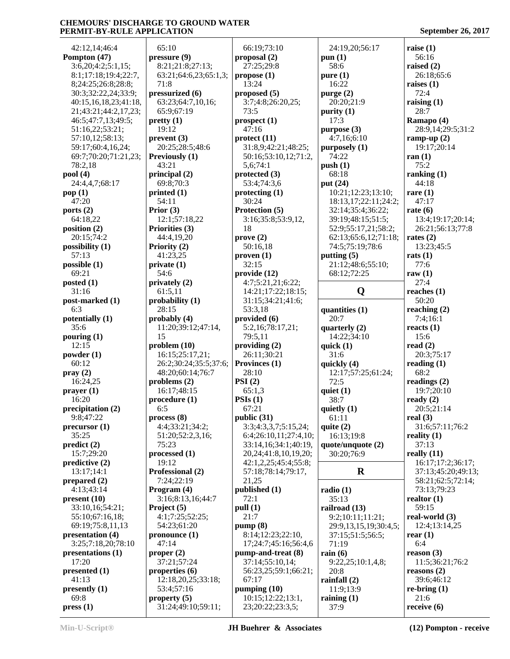| 42:12,14;46:4                   | 65:10                            | 66:19;73:10                | 24:19,20;56:17                     | raise $(1)$            |
|---------------------------------|----------------------------------|----------------------------|------------------------------------|------------------------|
| Pompton (47)                    | pressure (9)                     | proposal (2)               | pun $(1)$                          | 56:16                  |
| 3:6,20;4:2;5:1,15;              | 8:21;21:8;27:13;                 | 27:25;29:8                 | 58:6                               | raised $(2)$           |
| 8:1;17:18;19:4;22:7,            | 63:21;64:6,23;65:1,3;            | propose(1)                 | pure(1)                            | 26:18;65:6             |
| 8;24:25;26:8;28:8;              | 71:8                             | 13:24                      | 16:22                              | raises $(1)$           |
| 30:3;32:22,24;33:9;             | pressurized (6)                  | proposed (5)               | purge $(2)$                        | 72:4                   |
| 40:15,16,18,23;41:18,           | 63:23;64:7,10,16;                | 3:7;4:8;26:20,25;          | 20:20:21:9                         | raising $(1)$          |
| 21;43:21;44:2,17,23;            | 65:9;67:19                       | 73:5                       | purity $(1)$                       | 28:7                   |
| 46:5;47:7,13;49:5;              | pretty(1)                        | prospect(1)                | 17:3                               | Ramapo (4)             |
| 51:16,22;53:21;                 | 19:12                            | 47:16                      | purpose (3)                        | 28:9,14;29:5;31:2      |
| 57:10,12;58:13;                 | prevent(3)                       | $\text{protect } (11)$     | 4:7,16;6:10                        | ramp-up $(2)$          |
| 59:17;60:4,16,24;               | 20:25;28:5;48:6                  | 31:8,9;42:21;48:25;        | purposely(1)                       | 19:17;20:14            |
| 69:7;70:20;71:21,23;            | Previously (1)                   | 50:16;53:10,12;71:2,       | 74:22                              | ran $(1)$              |
| 78:2,18                         | 43:21                            | 5,6;74:1                   | push(1)                            | 75:2                   |
| pool(4)                         | principal (2)                    | protected (3)              | 68:18                              | ranking $(1)$          |
| 24:4,4,7;68:17                  | 69:8;70:3                        | 53:4;74:3,6                | put $(24)$                         | 44:18                  |
| pop(1)                          | printed $(1)$                    | $\mathbf{protect\,} (1)$   | 10:21;12:23;13:10;                 | rare $(1)$             |
| 47:20                           | 54:11                            | 30:24                      | 18:13,17;22:11;24:2;               | 47:17                  |
| ports $(2)$                     | Prior $(3)$                      | Protection (5)             | 32:14;35:4;36:22;                  | rate $(6)$             |
| 64:18,22                        | 12:1;57:18,22                    | 3:16;35:8;53:9,12,         | 39:19:48:15:51:5;                  | 13:4;19:17;20:14;      |
| position (2)                    | Priorities (3)                   | 18                         | 52:9;55:17,21;58:2;                | 26:21;56:13;77:8       |
| 20:15;74:2                      | 44:4,19,20                       | prove(2)                   | 62:13;65:6,12;71:18;               | rates $(2)$            |
| possibility $(1)$               | Priority (2)<br>41:23,25         | 50:16,18                   | 74:5;75:19;78:6                    | 13:23;45:5             |
| 57:13<br>possible (1)           | private(1)                       | proven(1)<br>32:15         | putting $(5)$<br>21:12;48:6;55:10; | rats $(1)$<br>77:6     |
| 69:21                           | 54:6                             | provide (12)               | 68:12;72:25                        | raw $(1)$              |
| posted $(1)$                    | privately $(2)$                  | 4:7;5:21,21;6:22;          |                                    | 27:4                   |
| 31:16                           | 61:5,11                          | 14:21;17:22;18:15;         | Q                                  | reaches $(1)$          |
| post-marked (1)                 | probability (1)                  | 31:15;34:21;41:6;          |                                    | 50:20                  |
| 6:3                             | 28:15                            | 53:3,18                    | quantities (1)                     | reaching $(2)$         |
| potentially (1)                 | probably (4)                     | provided $(6)$             | 20:7                               | 7:4;16:1               |
| 35:6                            | 11:20;39:12;47:14,               | 5:2,16;78:17,21;           | quarterly $(2)$                    | reacts $(1)$           |
| pouring $(1)$                   | 15                               | 79:5,11                    | 14:22;34:10                        | 15:6                   |
| 12:15                           | problem(10)                      | providing $(2)$            | quick $(1)$                        | read $(2)$             |
| powder $(1)$                    | 16:15;25:17,21;                  | 26:11;30:21                | 31:6                               | 20:3;75:17             |
| 60:12                           | 26:2;30:24;35:5;37:6;            | Provinces (1)              | quickly (4)                        | reading $(1)$          |
| pray(2)                         | 48:20;60:14;76:7                 | 28:10                      | 12:17;57:25;61:24;                 | 68:2                   |
| 16:24,25                        | problems $(2)$                   | PSI(2)                     | 72:5                               | readings $(2)$         |
| prayer(1)                       | 16:17;48:15                      | 65:1,3                     | quiet $(1)$                        | 19:7;20:10             |
| 16:20                           | procedure (1)                    | PSIs(1)                    | 38:7                               | ready $(2)$            |
| precipitation (2)               | 6:5                              | 67:21                      | quietly $(1)$                      | 20:5;21:14             |
| 9:8;47:22                       | process(8)                       | public (31)                | 61:11                              | real $(3)$             |
| precursor(1)                    | 4:4;33:21;34:2;                  | 3:3;4:3,3,7;5:15,24;       | quite $(2)$                        | 31:6;57:11;76:2        |
| 35:25                           | 51:20;52:2,3,16;                 | 6:4;26:10,11;27:4,10;      | 16:13;19:8                         | reality $(1)$          |
| predict(2)                      | 75:23                            | 33:14,16;34:1;40:19,       | quote/unquote (2)                  | 37:13                  |
| 15:7;29:20                      | processed (1)                    | 20, 24; 41: 8, 10, 19, 20; | 30:20;76:9                         | really $(11)$          |
| predictive(2)                   | 19:12                            | 42:1,2,25;45:4;55:8;       |                                    | 16:17;17:2;36:17;      |
| 13:17;14:1                      | Professional (2)                 | 57:18;78:14;79:17,         | $\bf R$                            | 37:13;45:20;49:13;     |
| prepared $(2)$                  | 7:24;22:19                       | 21,25                      |                                    | 58:21;62:5;72:14;      |
| 4:13;43:14                      | Program (4)                      | published (1)              | radio(1)<br>35:13                  | 73:13;79:23            |
| present (10)<br>33:10,16;54:21; | 3:16;8:13,16;44:7<br>Project (5) | 72:1<br>pull (1)           | railroad (13)                      | realtor $(1)$<br>59:15 |
| 55:10;67:16,18;                 | 4:1;7:25;52:25;                  | 21:7                       | 9:2;10:11;11:21;                   | real-world $(3)$       |
| 69:19;75:8,11,13                | 54:23;61:20                      | pump(8)                    | 29:9,13,15,19;30:4,5;              | 12:4;13:14,25          |
| presentation (4)                | pronounce $(1)$                  | 8:14;12:23;22:10,          | 37:15;51:5;56:5;                   | rear $(1)$             |
| 3:25;7:18,20;78:10              | 47:14                            | 17;24:7;45:16;56:4,6       | 71:19                              | 6:4                    |
| presentations (1)               | proper $(2)$                     | pump-and-treat (8)         | rain $(6)$                         | reason (3)             |
| 17:20                           | 37:21;57:24                      | 37:14;55:10,14;            | 9:22,25;10:1,4,8;                  | 11:5;36:21;76:2        |
| presented $(1)$                 | properties (6)                   | 56:23,25;59:1;66:21;       | 20:8                               | reasons $(2)$          |
| 41:13                           | 12:18,20,25;33:18;               | 67:17                      | rainfall $(2)$                     | 39:6;46:12             |
| presently (1)                   | 53:4;57:16                       | pumping $(10)$             | 11:9;13:9                          | re-bring $(1)$         |
| 69:8                            | property $(5)$                   | 10:15;12:22;13:1,          | raining $(1)$                      | 21:6                   |
| pres(1)                         | 31:24;49:10;59:11;               | 23;20:22;23:3,5;           | 37:9                               | receive $(6)$          |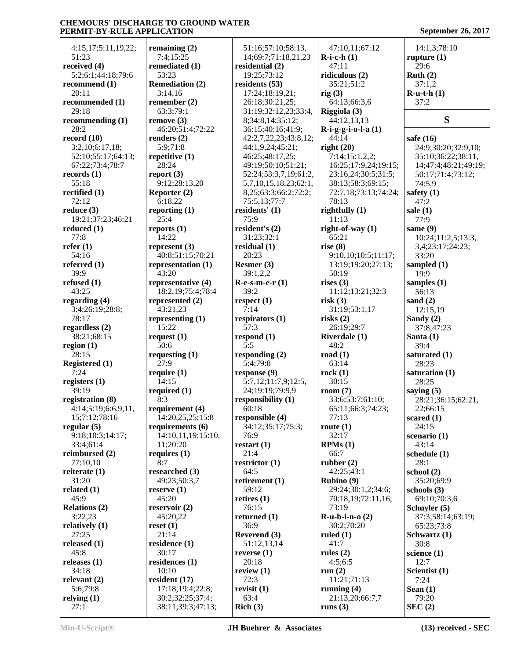4:15,17;5:11,19,22; 51:23 **received (4)** 5:2;6:1;44:18;79:6 **recommend (1)** 20:11 **recommended (1)** 29:18 **recommending (1)** 28:2 **record (10)** 3:2,10;6:17,18; 52:10;55:17;64:13; 67:22;73:4;78:7 **records (1)** 55:18 **rectified (1)** 72:12 **reduce (3)** 19:21;37:23;46:21 **reduced (1)** 77:8 **refer (1)** 54:16 **referred (1)** 39:9 **refused (1)** 43:25 **regarding (4)** 3:4;26:19;28:8; 78:17 **regardless (2)** 38:21;68:15 **region (1)** 28:15 **Registered (1)** 7:24 **registers (1)** 39:19 **registration (8)** 4:14;5:19;6:6,9,11, 15;7:12;78:16 **regular (5)** 9:18;10:3;14:17; 33:4;61:4 **reimbursed (2)** 77:10,10 **reiterate (1)** 31:20 **related (1)** 45:9 **Relations (2)** 3:22,23 **relatively (1)** 27:25 **released (1)** 45:8 **releases (1)** 34:18 **relevant (2)** 5:6;79:8 **relying (1)**

**remaining (2)** 7:4;15:25 **remediated (1)** 53:23 **Remediation (2)** 3:14,16 **remember (2)** 63:3;79:1 **remove (3)** 46:20;51:4;72:22 **renders (2)** 5:9;71:8 **repetitive (1)** 28:24 **report (3)** 9:12;28:13,20 **Reporter (2)** 6:18,22 **reporting (1)** 25:4 **reports (1)** 14:22 **represent (3)** 40:8;51:15;70:21 **representation (1)** 43:20 **representative (4)** 18:2,19;75:4;78:4 **represented (2)** 43:21,23 **representing (1)** 15:22 **request (1)** 50:6 **requesting (1)** 27:9 **require (1)** 14:15 **required (1)** 8:3 **requirement (4)** 14:20,25,25;15:8 **requirements (6)** 14:10,11,19;15:10, 11;20:20 **requires (1)** 8:7 **researched (3)** 49:23;50:3,7 **reserve (1)** 45:20 **reservoir (2)** 45:20,22 **reset (1)** 21:14 **residence (1)** 30:17 **residences (1)** 10:10 **resident (17)** 17:18;19:4;22:8; 30:2;32:25;37:4; 38:11;39:3;47:13;

 51:16;57:10;58:13, 14;69:7;71:18,21,23 **residential (2)** 19:25;73:12 **residents (53)** 17:24;18:19,21; 26:18;30:21,25; 31:19;32:12,23;33:4, 8;34:8,14;35:12; 36:15;40:16;41:9; 42:2,7,22,23;43:8,12; 44:1,9,24;45:21; 46:25;48:17,25; 49:19;50:10;51:21; 52:24;53:3,7,19;61:2, 5,7,10,15,18,23;62:1, 8,25;63:3;66:2;72:2; 75:5,13;77:7 **residents' (1)** 75:9 **resident's (2)** 31:23;32:1 **residual (1)** 20:23 **Resmer (3)** 39:1,2,2 **R-e-s-m-e-r (1)** 39:2 **respect (1)** 7:14 **respirators (1)** 57:3 **respond (1)** 5:5 **responding (2)** 5:4;79:8 **response (9)** 5:7,12;11:7,9;12:5, 24;19:19;79:9,9 **responsibility (1)** 60:18 **responsible (4)** 34:12;35:17;75:3; 76:9 **restart (1)** 21:4 **restrictor (1)** 64:5 **retirement (1)** 59:12 **retires (1)** 76:15 **returned (1)** 36:9 **Reverend (3)** 51:12,13,14 **reverse (1)** 20:18 **review (1)** 72:3 **revisit (1)** 63:4 **Rich (3)**

 47:10,11;67:12 **R-i-c-h (1)** 47:11 **ridiculous (2)** 35:21;51:2 **rig (3)** 64:13;66:3,6 **Riggiola (3)** 44:12,13,13 **R-i-g-g-i-o-l-a (1)** 44:14 **right (20)** 7:14;15:1,2,2; 16:25;17:9,24;19:15; 23:16,24;30:5;31:5; 38:13;58:3;69:15; 72:7,18;73:13;74:24; 78:13 **rightfully (1)** 11:13 **right-of-way (1)** 65:21 **rise (8)** 9:10,10;10:5;11:17; 13:19;19:20;27:13; 50:19 **rises (3)** 11:12;13:21;32:3 **risk (3)** 31:19;53:1,17 **risks (2)** 26:19;29:7 **Riverdale (1)** 48:2 **road (1)** 63:14 **rock (1)** 30:15 **room (7)** 33:6;53:7;61:10; 65:11;66:3;74:23; 77:13 **route (1)** 32:17 **RPMs (1)** 66:7 **rubber (2)** 42:25;43:1 **Rubino (9)** 29:24;30:1,2;34:6; 70:18,19;72:11,16; 73:19 **R-u-b-i-n-o (2)** 30:2;70:20 **ruled (1)** 41:7 **rules (2)** 4:5;6:5 **run (2)** 11:21;71:13 **running (4)** 21:13,20;66:7,7 **runs (3)**

 14:1,3;78:10 **rupture (1)** 29:6 **Ruth (2)** 37:1,2 **R-u-t-h (1)** 37:2 **S safe (16)** 24:9;30:20;32:9,10; 35:10;36:22;38:11, 14;47:4;48:21;49:19; 50:17;71:4;73:12; 74:5,9 **safety (1)** 47:2 **sale (1)** 77:9 **same (9)** 10:24;11:2,5;13:3, 3,4;23:17;24:23; 33:20 **sampled (1)** 19:9 **samples (1)** 56:13 **sand (2)** 12:15,19 **Sandy (2)** 37:8;47:23 **Santa (1)** 39:4 **saturated (1)** 28:23 **saturation (1)** 28:25 **saying (5)** 28:21;36:15;62:21, 22;66:15 **scared (1)** 24:15 **scenario (1)** 43:14 **schedule (1)** 28:1 **school (2)** 35:20;69:9 **schools (3)** 69:10;70:3,6 **Schuyler (5)** 37:3;58:14;63:19; 65:23;73:8 **Schwartz (1)** 30:8 **science (1)** 12:7 **Scientist (1)** 7:24 **Sean (1)** 79:20 **SEC (2)**

27:1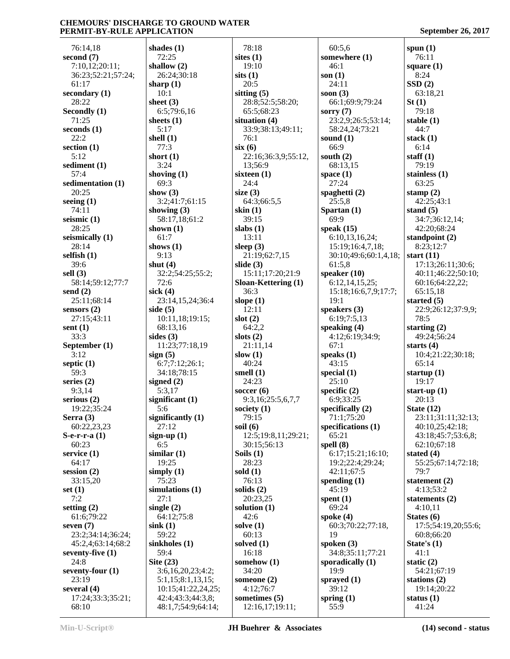| 76:14,18                       | shades $(1)$                            |                 |
|--------------------------------|-----------------------------------------|-----------------|
| second (7)<br>7:10,12;20:11;   | 72:25<br>shallow $(2)$                  | sit             |
| 36:23;52:21;57:24;             | 26:24;30:18                             | sit:            |
| 61:17<br>secondary (1)         | sharp $(1)$<br>10:1                     | sit             |
| 28:22                          | sheet $(3)$                             |                 |
| Secondly (1)                   | 6:5;79:6,16                             |                 |
| 71:25<br>seconds (1)           | sheets (1)<br>5:17                      | sit             |
| 22:2                           | shell $(1)$                             |                 |
| section (1)<br>5:12            | 77:3<br>short $(1)$                     | six             |
| sediment (1)                   | 3:24                                    |                 |
| 57:4                           | shoving $(1)$                           | six             |
| sedimentation (1)<br>20:25     | 69:3<br>show $(3)$                      | siz             |
| seeing (1)                     | 3:2;41:7;61:15                          |                 |
| 74:11                          | showing $(3)$                           | ski             |
| seismic (1)<br>28:25           | 58:17,18;61:2<br>shown $(1)$            | sla             |
| seismically (1)                | 61:7                                    |                 |
| 28:14                          | shows $(1)$                             | sle             |
| selfish (1)<br>39:6            | 9:13<br>shut $(4)$                      | slio            |
| sell $(3)$                     | 32:2;54:25;55:2;                        |                 |
| 58:14;59:12;77:7               | 72:6                                    | <b>Slo</b>      |
| send $(2)$<br>25:11;68:14      | sick $(4)$<br>23:14,15,24;36:4          | slo             |
| sensors (2)                    | side $(5)$                              |                 |
| 27:15;43:11<br>sent $(1)$      | 10:11,18;19:15;<br>68:13,16             | slo             |
| 33:3                           | sides $(3)$                             | slo             |
| September (1)                  | 11:23;77:18,19                          |                 |
| 3:12<br>septic $(1)$           | sign(5)<br>6:7;7:12;26:1;               | slo             |
| 59:3                           | 34:18;78:15                             | sm              |
| series (2)                     | signed $(2)$                            |                 |
| 9:3,14<br>serious (2)          | 5:3,17<br>significant $(1)$             | SO <sub>0</sub> |
| 19:22;35:24                    | 5:6                                     | <b>SO</b>       |
| Serra (3)                      | significantly $(1)$                     |                 |
| 60:22,23,23<br>S-e-r-r-a (1)   | 27:12<br>sign-up $(1)$                  | soi             |
| 60:23                          | 6:5                                     |                 |
| service (1)                    | similar(1)                              | So              |
| 64:17<br>session $(2)$         | 19:25<br>simply $(1)$                   | sol             |
| 33:15,20                       | 75:23                                   |                 |
| set (1)<br>7:2                 | simulations (1)<br>27:1                 | sol             |
| setting $(2)$                  | single $(2)$                            | sol             |
| 61:6;79:22                     | 64:12;75:8                              |                 |
| seven (7)<br>23:2;34:14;36:24; | sink(1)<br>59:22                        | sol             |
| 45:2,4;63:14;68:2              | sinkholes (1)                           | sol             |
| seventy-five (1)               | 59:4                                    |                 |
| 24:8<br>seventy-four (1)       | Site $(23)$<br>3:6,16,20,23;4:2;        | <b>SOI</b>      |
| 23:19                          | 5:1,15;8:1,13,15;                       | <b>SOI</b>      |
| several (4)                    | 10:15;41:22,24,25;                      |                 |
| 17:24;33:3;35:21;<br>68:10     | 42:4;43:3;44:3,8;<br>48:1,7;54:9;64:14; | SO <sub>1</sub> |
|                                |                                         |                 |

 78:18 **sites (1)** 19:10 **sits (1)** 20:5 **sitting (5)** 28:8;52:5;58:20; 65:5;68:23 **situation (4)** 33:9;38:13;49:11; 76:1 **six (6)** 22:16;36:3,9;55:12, 13;56:9 **sixteen (1)** 24:4 **size (3)** 64:3;66:5,5 **skin (1)** 39:15 **slabs (1)** 13:11 **sleep (3)** 21:19;62:7,15 **slide (3)** 15:11;17:20;21:9 **Sloan-Kettering (1)** 36:3 **slope (1)** 12:11 **slot (2)** 64:2,2 **slots (2)** 21:11,14 **slow (1)** 40:24 **smell (1)** 24:23 **soccer (6)** 9:3,16;25:5,6,7,7 **society (1)** 79:15 **soil (6)** 12:5;19:8,11;29:21; 30:15;56:13 **Soils (1)** 28:23 **sold (1)** 76:13 **solids (2)** 20:23,25 **solution (1)** 42:6 **solve (1)** 60:13 **solved (1)** 16:18 **somehow (1)** 34:20 **someone (2)** 4:12;76:7 **sometimes (5)** 12:16,17;19:11;

 60:5,6 **somewhere (1)** 46:1 **son (1)** 24:11 **soon (3)** 66:1;69:9;79:24 **sorry (7)** 23:2,9;26:5;53:14; 58:24,24;73:21 **sound (1)** 66:9 **south (2)** 68:13,15 **space (1)** 27:24 **spaghetti (2)** 25:5,8 **Spartan (1)** 69:9 **speak (15)** 6:10,13,16,24; 15:19;16:4,7,18; 30:10;49:6;60:1,4,18; 61:5,8 **speaker (10)** 6:12,14,15,25; 15:18;16:6,7,9;17:7; 19:1 **speakers (3)** 6:19;7:5,13 **speaking (4)** 4:12;6:19;34:9; 67:1 **speaks (1)** 43:15 **special (1)** 25:10 **specific (2)** 6:9;33:25 **specifically (2)** 71:1;75:20 **specifications (1)** 65:21 **spell (8)** 6:17;15:21;16:10; 19:2;22:4;29:24; 42:11;67:5 **spending (1)** 45:19 **spent (1)** 69:24 **spoke (4)** 60:3;70:22;77:18, 19 **spoken (3)** 34:8;35:11;77:21 **sporadically (1)** 19:9 **sprayed (1)** 39:12 **spring (1)** 55:9

**spun (1)** 76:11 **square (1)** 8:24 **SSD (2)** 63:18,21 **St (1)** 79:18 **stable (1)** 44:7 **stack (1)** 6:14 **staff (1)** 79:19 **stainless (1)** 63:25 **stamp (2)** 42:25;43:1 **stand (5)** 34:7;36:12,14; 42:20;68:24 **standpoint (2)** 8:23;12:7 **start (11)** 17:13;26:11;30:6; 40:11;46:22;50:10; 60:16;64:22,22; 65:15,18 **started (5)** 22:9;26:12;37:9,9; 78:5 **starting (2)** 49:24;56:24 **starts (4)** 10:4;21:22;30:18; 65:14 **startup (1)** 19:17 **start-up (1)** 20:13 **State (12)** 23:11;31:11;32:13; 40:10,25;42:18; 43:18;45:7;53:6,8; 62:10;67:18 **stated (4)** 55:25;67:14;72:18; 79:7 **statement (2)** 4:13;53:2 **statements (2)** 4:10,11 **States (6)** 17:5;54:19,20;55:6; 60:8;66:20 **State's (1)** 41:1 **static (2)** 54:21;67:19 **stations (2)** 19:14;20:22 **status (1)** 41:24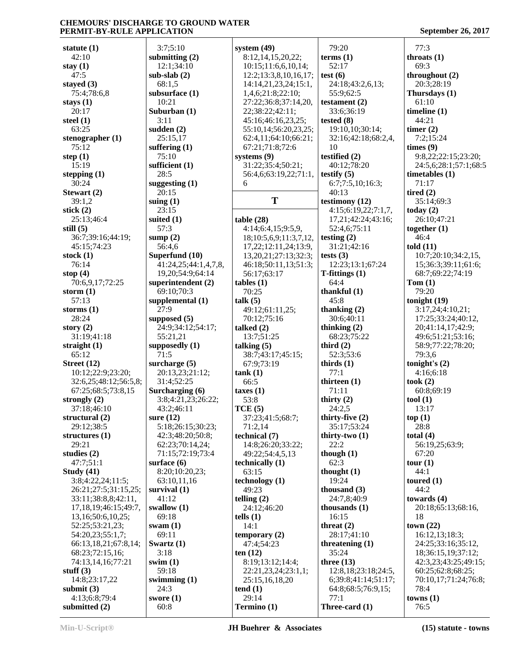| statute $(1)$              | 3:7;5:10             | system $(49)$              | 79:20                  | 77:3                  |
|----------------------------|----------------------|----------------------------|------------------------|-----------------------|
| 42:10                      | submitting $(2)$     | 8:12,14,15,20,22;          | terms <sub>(1)</sub>   | throats $(1)$         |
| stay $(1)$                 | 12:1;34:10           | 10:15;11:6,6,10,14;        | 52:17                  | 69:3                  |
| 47:5                       | sub-slab $(2)$       | 12:2;13:3,8,10,16,17;      | test(6)                | throughout (2)        |
| stayed $(3)$               | 68:1,5               | 14:14,21,23,24;15:1,       | 24:18:43:2,6,13;       | 20:3:28:19            |
| 75:4:78:6.8                | subsurface (1)       | 1,4,6;21:8;22:10;          | 55:9;62:5              | Thursdays (1)         |
| stays $(1)$                | 10:21                | 27:22;36:8;37:14,20,       | testament (2)          | 61:10                 |
| 20:17                      | Suburban $(1)$       | 22;38:22;42:11;            | 33:6;36:19             | timeline $(1)$        |
| steel $(1)$                | 3:11                 | 45:16:46:16.23,25;         | tested $(8)$           | 44:21                 |
| 63:25                      | sudden $(2)$         | 55:10,14;56:20,23,25;      | 19:10,10;30:14;        | timer $(2)$           |
|                            |                      |                            |                        |                       |
| stenographer $(1)$         | 25:15,17             | 62:4,11;64:10;66:21;       | 32:16;42:18;68:2,4,    | 7:2;15:24             |
| 75:12                      | suffering $(1)$      | 67:21;71:8;72:6            | 10                     | times (9)             |
| step $(1)$                 | 75:10                | systems $(9)$              | testified (2)          | 9:8,22;22:15;23:20;   |
| 15:19                      | sufficient $(1)$     | 31:22;35:4;50:21;          | 40:12;78:20            | 24:5,6;28:1;57:1;68:5 |
| stepping $(1)$             | 28:5                 | 56:4,6;63:19,22;71:1,      | testify $(5)$          | timetables $(1)$      |
| 30:24                      | suggesting $(1)$     | 6                          | 6:7;7:5,10;16:3;       | 71:17                 |
| Stewart (2)                | 20:15                |                            | 40:13                  | tired $(2)$           |
| 39:1,2                     | suing $(1)$          | T                          | testimony (12)         | 35:14;69:3            |
| stick $(2)$                | 23:15                |                            | 4:15;6:19,22;7:1,7,    | today $(2)$           |
| 25:13;46:4                 | suited $(1)$         | table(28)                  | 17,21;42:24;43:16;     | 26:10;47:21           |
| still $(5)$                | 57:3                 | 4:14;6:4,15;9:5,9,         | 52:4,6;75:11           | together $(1)$        |
| 36:7;39:16;44:19;          | sump $(2)$           | 18;10:5,6,9;11:3,7,12,     | testing $(2)$          | 46:4                  |
| 45:15;74:23                | 56:4,6               | 17, 22; 12: 11, 24; 13: 9, | 31:21;42:16            | told $(11)$           |
| stock $(1)$                | Superfund (10)       | 13,20,21;27:13;32:3;       | tests $(3)$            | 10:7;20:10;34:2,15,   |
| 76:14                      | 41:24,25;44:1,4,7,8, |                            | 12:23;13:1;67:24       |                       |
|                            |                      | 46:18;50:11,13;51:3;       |                        | 15;36:3;39:11;61:6;   |
| stop $(4)$                 | 19,20;54:9;64:14     | 56:17;63:17                | $T-fittings(1)$        | 68:7;69:22;74:19      |
| 70:6,9,17;72:25            | superintendent $(2)$ | tables(1)                  | 64:4                   | Tom(1)                |
| storm $(1)$                | 69:10;70:3           | 70:25                      | thankful $(1)$         | 79:20                 |
| 57:13                      | supplemental $(1)$   | talk (5)                   | 45:8                   | tonight $(19)$        |
| storms $(1)$               | 27:9                 | 49:12;61:11,25;            | thanking $(2)$         | 3:17,24;4:10,21;      |
| 28:24                      | supposed $(5)$       | 70:12;75:16                | 30:6;40:11             | 17:25;33:24;40:12,    |
| story $(2)$                | 24:9;34:12;54:17;    | talked $(2)$               | thinking $(2)$         | 20;41:14,17;42:9;     |
| 31:19;41:18                | 55:21,21             | 13:7;51:25                 | 68:23;75:22            | 49:6;51:21;53:16;     |
| straight $(1)$             | supposedly $(1)$     | talking $(5)$              | third $(2)$            | 58:9;77:22;78:20;     |
| 65:12                      | 71:5                 | 38:7;43:17;45:15;          | 52:3;53:6              | 79:3,6                |
| Street $(12)$              | surcharge $(5)$      | 67:9;73:19                 | thirds $(1)$           | tonight's $(2)$       |
| 10:12;22:9;23:20;          | 20:13,23;21:12;      | tank(1)                    | 77:1                   | 4:16;6:18             |
| 32:6,25;48:12;56:5,8;      | 31:4;52:25           | 66:5                       | thirteen $(1)$         | took $(2)$            |
| 67:25;68:5;73:8,15         | Surcharging (6)      | taxes(1)                   | 71:11                  | 60:8;69:19            |
| strongly $(2)$             | 3:8;4:21,23;26:22;   | 53:8                       | thirty $(2)$           | tool (1)              |
| 37:18:46:10                | 43:2;46:11           |                            | 24:2,5                 | 13:17                 |
|                            | sure $(12)$          | TCE(5)                     |                        |                       |
| structural (2)             |                      | 37:23;41:5;68:7;           | thirty-five $(2)$      | top(1)                |
| 29:12;38:5                 | 5:18;26:15;30:23;    | 71:2,14                    | 35:17;53:24            | 28:8                  |
| structures $(1)$           | 42:3;48:20;50:8;     | technical (7)              | thirty-two $(1)$       | total $(4)$           |
| 29:21                      | 62:23;70:14,24;      | 14:8;26:20;33:22;          | 22:2                   | 56:19,25;63:9;        |
| studies $(2)$              | 71:15;72:19;73:4     | 49:22;54:4,5,13            | though $(1)$           | 67:20                 |
| 47:7;51:1                  | surface $(6)$        | technically $(1)$          | 62:3                   | tour (1)              |
| Study $(41)$               | 8:20;10:20,23;       | 63:15                      | thought $(1)$          | 44:1                  |
| 3:8;4:22,24;11:5;          | 63:10,11,16          | technology (1)             | 19:24                  | toured $(1)$          |
| 26:21;27:5;31:15,25;       | survival $(1)$       | 49:23                      | thousand $(3)$         | 44:2                  |
| 33:11;38:8,8;42:11,        | 41:12                | telling $(2)$              | 24:7,8;40:9            | towards $(4)$         |
| 17, 18, 19; 46: 15; 49: 7, | swallow $(1)$        | 24:12;46:20                | thousands $(1)$        | 20:18;65:13;68:16,    |
| 13,16;50:6,10,25;          | 69:18                | tells $(1)$                | 16:15                  | 18                    |
| 52:25;53:21,23;            | swam $(1)$           | 14:1                       | threat $(2)$           | town $(22)$           |
| 54:20,23;55:1,7;           | 69:11                | temporary $(2)$            | 28:17;41:10            | 16:12,13;18:3;        |
| 66:13,18,21;67:8,14;       | Swartz $(1)$         | 47:4;54:23                 | threatening $(1)$      | 24:25;33:16;35:12,    |
| 68:23;72:15,16;            | 3:18                 | ten $(12)$                 | 35:24                  | 18;36:15,19;37:12;    |
| 74:13,14,16;77:21          | swim $(1)$           | 8:19;13:12;14:4;           | three $(13)$           | 42:3,23;43:25;49:15;  |
| stuff $(3)$                | 59:18                | 22:21,23,24;23:1,1;        | 12:8, 18:23: 18:24: 5, | 60:25;62:8;68:25;     |
| 14:8;23:17,22              | swimming $(1)$       | 25:15,16,18,20             | 6;39:8;41:14;51:17;    | 70:10,17;71:24;76:8;  |
| submit $(3)$               | 24:3                 | tend(1)                    | 64:8;68:5;76:9,15;     | 78:4                  |
| 4:13;6:8;79:4              | swore $(1)$          | 29:14                      | 77:1                   | towns(1)              |
| submitted (2)              | 60:8                 | Termino (1)                | Three-card (1)         | 76:5                  |
|                            |                      |                            |                        |                       |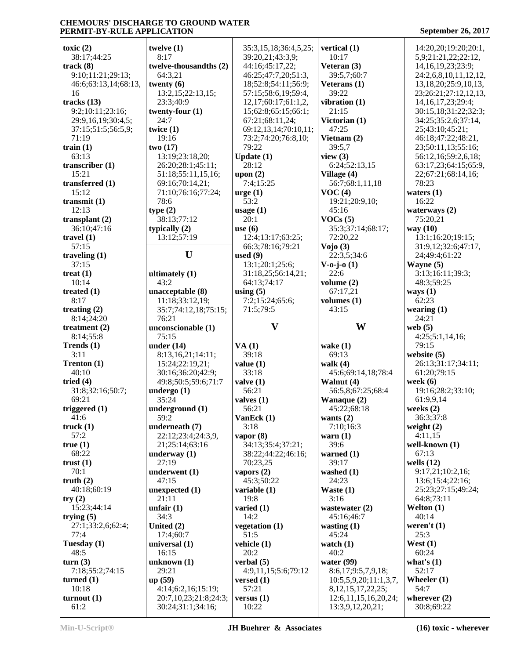| toxic $(2)$          | twelve $(1)$           | 35:3,15,18;36:4,5,25; | vertical (1)              | 14:20,20;19:20;20:1,       |
|----------------------|------------------------|-----------------------|---------------------------|----------------------------|
| 38:17;44:25          | 8:17                   | 39:20,21;43:3,9;      | 10:17                     | 5,9;21:21,22;22:12,        |
|                      |                        |                       |                           |                            |
| track(8)             | twelve-thousandths (2) | 44:16;45:17,22;       | Veteran (3)               | 14, 16, 19, 23; 23: 9;     |
| 9:10;11:21;29:13;    | 64:3,21                | 46:25;47:7,20;51:3,   | 39:5,7;60:7               | 24:2,6,8,10,11,12,12,      |
| 46:6;63:13,14;68:13, | twenty $(6)$           | 18;52:8;54:11;56:9;   | Veterans $(1)$            | 13, 18, 20; 25: 9, 10, 13, |
|                      |                        |                       |                           |                            |
| 16                   | 13:2,15;22:13,15;      | 57:15:58:6,19:59:4,   | 39:22                     | 23;26:21;27:12,12,13,      |
| tracks $(13)$        | 23:3;40:9              | 12,17;60:17;61:1,2,   | vibration $(1)$           | 14, 16, 17, 23; 29: 4;     |
| 9:2;10:11;23:16;     | twenty-four $(1)$      | 15;62:8;65:15;66:1;   | 21:15                     | 30:15,18;31:22;32:3;       |
|                      |                        |                       |                           |                            |
| 29:9,16,19;30:4,5;   | 24:7                   | 67:21;68:11,24;       | Victorian (1)             | 34:25;35:2,6;37:14,        |
| 37:15;51:5;56:5,9;   | twice $(1)$            | 69:12,13,14;70:10,11; | 47:25                     | 25;43:10;45:21;            |
| 71:19                | 19:16                  | 73:2;74:20;76:8,10;   | Vietnam (2)               | 46:18;47:22;48:21,         |
| train $(1)$          | two(17)                | 79:22                 | 39:5,7                    | 23;50:11,13;55:16;         |
|                      |                        |                       |                           |                            |
| 63:13                | 13:19;23:18,20;        | Update $(1)$          | view $(3)$                | 56:12,16;59:2,6,18;        |
| transcriber $(1)$    | 26:20;28:1;45:11;      | 28:12                 | 6:24;52:13,15             | 63:17,23;64:15;65:9,       |
| 15:21                | 51:18;55:11,15,16;     | upon $(2)$            | Village (4)               | 22;67:21;68:14,16;         |
|                      |                        |                       |                           |                            |
| transferred (1)      | 69:16;70:14,21;        | 7:4;15:25             | 56:7;68:1,11,18           | 78:23                      |
| 15:12                | 71:10;76:16;77:24;     | $\text{urge} (1)$     | VOC(4)                    | waters $(1)$               |
| transmit $(1)$       | 78:6                   | 53:2                  | 19:21;20:9,10;            | 16:22                      |
| 12:13                |                        |                       | 45:16                     |                            |
|                      | type(2)                | usage $(1)$           |                           | waterways $(2)$            |
| transplant $(2)$     | 38:13;77:12            | 20:1                  | VOCs(5)                   | 75:20,21                   |
| 36:10;47:16          | typically (2)          | use $(6)$             | 35:3;37:14;68:17;         | way (10)                   |
| travel $(1)$         | 13:12;57:19            | 12:4;13:17;63:25;     | 72:20,22                  | 13:1;16:20;19:15;          |
|                      |                        |                       |                           |                            |
| 57:15                |                        | 66:3;78:16;79:21      | Vojo(3)                   | 31:9,12;32:6;47:17,        |
| traveling $(1)$      | U                      | used $(9)$            | 22:3,5;34:6               | 24;49:4;61:22              |
| 37:15                |                        | 13:1;20:1;25:6;       | $V - o - j - o(1)$        | Wayne $(5)$                |
|                      |                        |                       |                           |                            |
| treat $(1)$          | ultimately (1)         | 31:18,25;56:14,21;    | 22:6                      | 3:13;16:11;39:3;           |
| 10:14                | 43:2                   | 64:13;74:17           | volume $(2)$              | 48:3;59:25                 |
| treated $(1)$        | unacceptable (8)       | using $(5)$           | 67:17,21                  | ways $(1)$                 |
| 8:17                 |                        |                       |                           | 62:23                      |
|                      | 11:18;33:12,19;        | 7:2;15:24;65:6;       | volumes $(1)$             |                            |
| treating $(2)$       | 35:7;74:12,18;75:15;   | 71:5;79:5             | 43:15                     | wearing $(1)$              |
| 8:14;24:20           | 76:21                  |                       |                           | 24:21                      |
|                      |                        |                       |                           |                            |
|                      |                        |                       |                           |                            |
| treatment $(2)$      | unconscionable (1)     | $\mathbf{V}$          | W                         | web $(5)$                  |
| 8:14;55:8            | 75:15                  |                       |                           | 4:25;5:1,14,16;            |
|                      |                        |                       |                           | 79:15                      |
| Trends $(1)$         | under $(14)$           | VA(1)                 | wake $(1)$                |                            |
| 3:11                 | 8:13,16,21;14:11;      | 39:18                 | 69:13                     | website $(5)$              |
| Trenton (1)          | 15:24;22:19,21;        | value(1)              | walk $(4)$                | 26:13;31:17;34:11;         |
| 40:10                | 30:16;36:20;42:9;      | 33:18                 | 45:6;69:14,18;78:4        | 61:20;79:15                |
|                      |                        |                       |                           |                            |
| tried $(4)$          | 49:8;50:5;59:6;71:7    | value(1)              | Walnut (4)                | week $(6)$                 |
| 31:8;32:16;50:7;     | undergo $(1)$          | 56:21                 | 56:5,8;67:25;68:4         | 19:16;28:2;33:10;          |
| 69:21                | 35:24                  | valves $(1)$          | Wanaque (2)               | 61:9,9,14                  |
|                      |                        |                       |                           |                            |
| triggered $(1)$      | underground (1)        | 56:21                 | 45:22;68:18               | weeks $(2)$                |
| 41:6                 | 59:2                   | VanEck $(1)$          | wants $(2)$               | 36:3;37:8                  |
| truek(1)             | underneath (7)         | 3:18                  | 7:10;16:3                 | weight $(2)$               |
| 57:2                 | 22:12;23:4;24:3,9,     | vapor $(8)$           | warn $(1)$                | 4:11,15                    |
| true(1)              | 21;25:14;63:16         | 34:13;35:4;37:21;     | 39:6                      | well-known (1)             |
|                      |                        |                       |                           |                            |
| 68:22                | underway $(1)$         | 38:22;44:22;46:16;    | warned $(1)$              | 67:13                      |
| trust(1)             | 27:19                  | 70:23,25              | 39:17                     | wells $(12)$               |
| 70:1                 | underwent (1)          | vapors $(2)$          | washed $(1)$              | 9:17,21;10:2,16;           |
|                      |                        |                       |                           |                            |
| truth $(2)$          | 47:15                  | 45:3;50:22            | 24:23                     | 13:6;15:4;22:16;           |
| 40:18;60:19          | unexpected $(1)$       | variable $(1)$        | Waste $(1)$               | 25:23;27:15;49:24;         |
| try(2)               | 21:11                  | 19:8                  | 3:16                      | 64:8;73:11                 |
|                      |                        |                       |                           |                            |
| 15:23;44:14          | unfair $(1)$           | varied $(1)$          | wastewater (2)            | Welton (1)                 |
| trying $(5)$         | 34:3                   | 14:2                  | 45:16;46:7                | 40:14                      |
| 27:1;33:2,6;62:4;    | United (2)             | vegetation $(1)$      | wasting $(1)$             | weren't $(1)$              |
| 77:4                 |                        | 51:5                  | 45:24                     | 25:3                       |
|                      | 17:4;60:7              |                       |                           |                            |
| Tuesday $(1)$        | universal (1)          | vehicle (1)           | watch $(1)$               | West $(1)$                 |
| 48:5                 | 16:15                  | 20:2                  | 40:2                      | 60:24                      |
| turn(3)              | unknown $(1)$          | verbal $(5)$          | water (99)                | what's $(1)$               |
|                      |                        |                       |                           | 52:17                      |
| 7:18;55:2;74:15      | 29:21                  | 4:9,11,15;5:6;79:12   | 8:6,17;9:5,7,9,18;        |                            |
| turned $(1)$         | up(59)                 | versed $(1)$          | 10:5,5,9,20;11:1,3,7,     | Wheeler $(1)$              |
| 10:18                | 4:14;6:2,16;15:19;     | 57:21                 | 8, 12, 15, 17, 22, 25;    | 54:7                       |
| turnout(1)           | 20:7,10,23;21:8;24:3;  | versus $(1)$          | 12:6, 11, 15, 16, 20, 24; | wherever $(2)$             |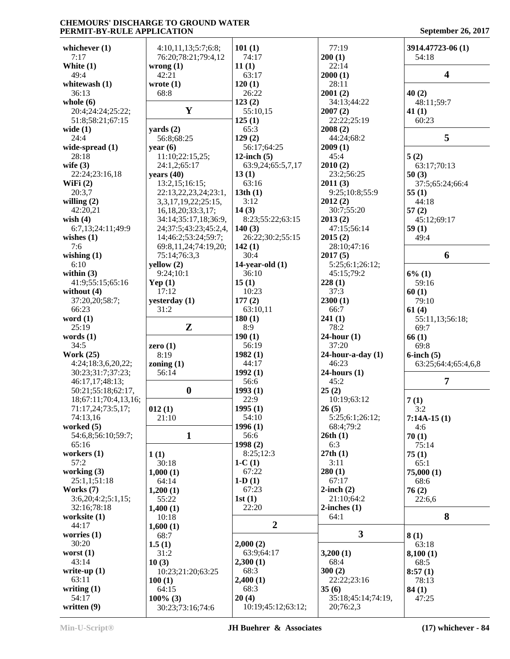# **CHEMOURS' DISCHARGE TO GROUND WATER PERMIT-BY-RULE APPLICATION September 26, 2017 September 26, 2017 September 26, 2017**

| September 26, 2017 |  |  |  |  |  |  |
|--------------------|--|--|--|--|--|--|
|--------------------|--|--|--|--|--|--|

| whichever $(1)$      | 4:10,11,13;5:7;6:8;   | 101(1)             | 77:19                   | 3914.47723-06 (1)   |
|----------------------|-----------------------|--------------------|-------------------------|---------------------|
| 7:17                 | 76:20;78:21;79:4,12   | 74:17              | 200(1)                  | 54:18               |
| White (1)            | wrong $(1)$           | 11(1)              | 22:14                   |                     |
| 49:4                 | 42:21                 | 63:17              | 2000(1)                 | 4                   |
| whitewash (1)        | wrote $(1)$           | 120(1)             | 28:11                   |                     |
| 36:13                | 68:8                  | 26:22              | 2001(2)                 | 40(2)               |
| whole $(6)$          |                       | 123(2)             | 34:13;44:22             | 48:11;59:7          |
| 20:4;24:24;25:22;    | Y                     | 55:10,15           | 2007(2)                 | 41(1)               |
| 51:8;58:21;67:15     |                       | 125(1)             | 22:22;25:19             | 60:23               |
| wide $(1)$           | yards $(2)$           | 65:3               | 2008(2)                 |                     |
| 24:4                 | 56:8;68:25            | 129(2)             | 44:24;68:2              | 5                   |
| wide-spread $(1)$    | year $(6)$            | 56:17;64:25        | 2009(1)                 |                     |
| 28:18                | 11:10;22:15,25;       | 12-inch $(5)$      | 45:4                    | 5(2)                |
| wife $(3)$           | 24:1,2;65:17          | 63:9,24;65:5,7,17  | 2010(2)                 | 63:17;70:13         |
| 22:24;23:16,18       | years $(40)$          | 13(1)              | 23:2;56:25              | 50(3)               |
| WiFi $(2)$           | 13:2,15;16:15;        | 63:16              | 2011(3)                 | 37:5;65:24;66:4     |
| 20:3,7               | 22:13,22,23,24;23:1,  | 13th(1)            | 9:25;10:8;55:9          | 55(1)               |
| willing $(2)$        | 3,3,17,19,22;25:15,   | 3:12               | 2012(2)                 | 44:18               |
| 42:20,21             | 16,18,20;33:3,17;     | 14(3)              | 30:7;55:20              | 57(2)               |
| wish $(4)$           | 34:14;35:17,18;36:9,  | 8:23;55:22;63:15   | 2013(2)                 | 45:12;69:17         |
| 6:7,13;24:11;49:9    | 24;37:5;43:23;45:2,4, | 140(3)             | 47:15;56:14             | 59(1)               |
| wishes $(1)$         | 14;46:2;53:24;59:7;   | 26:22;30:2;55:15   | 2015(2)                 | 49:4                |
| 7:6                  | 69:8,11,24;74:19,20;  | 142(1)             | 28:10;47:16             |                     |
| wishing $(1)$        | 75:14;76:3,3          | 30:4               | 2017(5)                 | 6                   |
| 6:10                 | yellow(2)             | 14-year-old $(1)$  | 5:25;6:1;26:12;         |                     |
| within $(3)$         | 9:24;10:1             | 36:10              | 45:15:79:2              | $6\%$ (1)           |
| 41:9;55:15;65:16     | Yep $(1)$             | 15(1)              | 228(1)                  | 59:16               |
| without $(4)$        | 17:12                 | 10:23              | 37:3                    | 60(1)               |
| 37:20,20;58:7;       | yesterday (1)         | 177(2)             | 2300(1)                 | 79:10               |
| 66:23                | 31:2                  | 63:10,11           | 66:7                    |                     |
| word $(1)$           |                       |                    |                         | 61(4)               |
| 25:19                | $\mathbf{Z}$          | 180(1)<br>8:9      | 241(1)<br>78:2          | 55:11,13;56:18;     |
|                      |                       |                    | $24$ -hour $(1)$        | 69:7                |
| words $(1)$          |                       | 190(1)             |                         | 66(1)               |
| 34:5                 | zero $(1)$            | 56:19              | 37:20                   | 69:8                |
| <b>Work (25)</b>     | 8:19                  | 1982(1)            | $24$ -hour-a-day $(1)$  | $6$ -inch $(5)$     |
| 4:24;18:3,6,20,22;   | zoning $(1)$          | 44:17              | 46:23                   | 63:25;64:4;65:4,6,8 |
| 30:23;31:7;37:23;    | 56:14                 | 1992(1)            | $24$ -hours $(1)$       |                     |
| 46:17,17;48:13;      |                       | 56:6               | 45:2                    | $\overline{7}$      |
| 50:21;55:18;62:17,   | $\boldsymbol{0}$      | 1993(1)            | 25(2)                   |                     |
| 18;67:11;70:4,13,16; |                       | 22:9               | 10:19;63:12             | 7(1)                |
| 71:17,24;73:5,17;    | 012(1)                | 1995(1)            | 26(5)                   | 3:2                 |
| 74:13,16             | 21:10                 | 54:10              | 5:25;6:1;26:12;         | $7:14A-15(1)$       |
| worked $(5)$         |                       | 1996(1)            | 68:4;79:2               | 4:6                 |
| 54:6,8;56:10;59:7;   | $\mathbf{1}$          | 56:6               | 26th(1)                 | 70(1)               |
| 65:16                |                       | 1998 (2)           | 6:3                     | 75:14               |
| workers $(1)$        | 1(1)                  | 8:25;12:3          | 27th(1)                 | 75(1)               |
| 57:2                 | 30:18                 | $1-C(1)$           | 3:11                    | 65:1                |
| working $(3)$        | 1,000(1)              | 67:22              | 280(1)                  | 75,000(1)           |
| 25:1,1;51:18         | 64:14                 | $1-D(1)$           | 67:17                   | 68:6                |
| Works $(7)$          | 1,200(1)              | 67:23              | $2$ -inch $(2)$         | 76(2)               |
| 3:6,20;4:2;5:1,15;   | 55:22                 | 1st(1)             | 21:10;64:2              | 22:6,6              |
| 32:16;78:18          | 1,400(1)              | 22:20              | $2$ -inches $(1)$       |                     |
| worksite $(1)$       | 10:18                 |                    | 64:1                    | 8                   |
| 44:17                | 1,600(1)              | $\overline{2}$     |                         |                     |
| worries $(1)$        | 68:7                  |                    | $\overline{\mathbf{3}}$ | 8(1)                |
| 30:20                | 1.5(1)                | 2,000(2)           |                         | 63:18               |
| worst $(1)$          | 31:2                  | 63:9;64:17         | 3,200(1)                | 8,100(1)            |
| 43:14                | 10(3)                 | 2,300(1)           | 68:4                    | 68:5                |
| write-up $(1)$       | 10:23;21:20;63:25     | 68:3               | 300(2)                  | 8:57(1)             |
| 63:11                | 100(1)                | 2,400(1)           | 22:22;23:16             | 78:13               |
| writing $(1)$        | 64:15                 | 68:3               | 35(6)                   | 84(1)               |
| 54:17                | $100\%$ (3)           | 20(4)              | 35:18;45:14;74:19,      | 47:25               |
| written (9)          | 30:23;73:16;74:6      | 10:19;45:12;63:12; | 20;76:2,3               |                     |